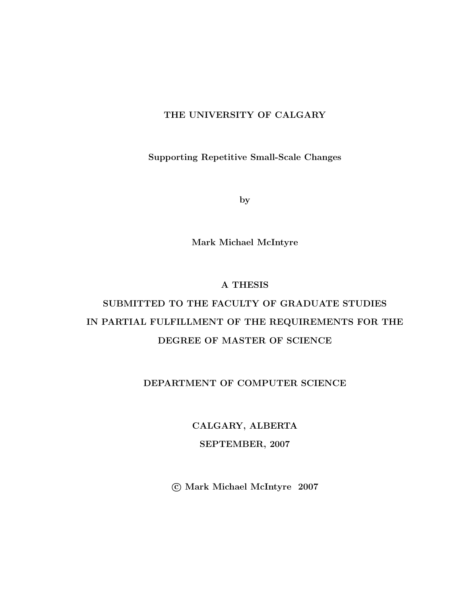### THE UNIVERSITY OF CALGARY

Supporting Repetitive Small-Scale Changes

by

Mark Michael McIntyre

A THESIS

## SUBMITTED TO THE FACULTY OF GRADUATE STUDIES IN PARTIAL FULFILLMENT OF THE REQUIREMENTS FOR THE DEGREE OF MASTER OF SCIENCE

## DEPARTMENT OF COMPUTER SCIENCE

CALGARY, ALBERTA SEPTEMBER, 2007

c Mark Michael McIntyre 2007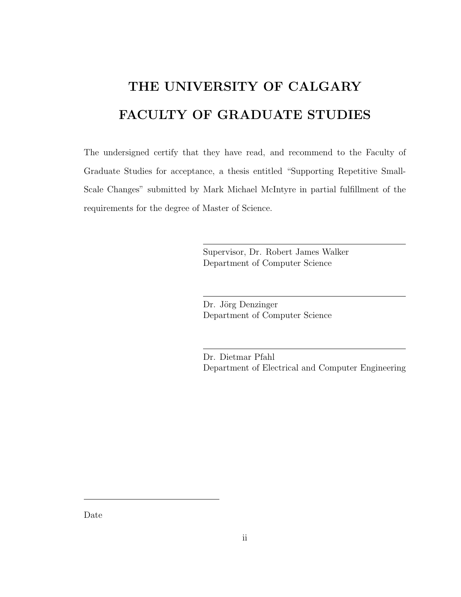# THE UNIVERSITY OF CALGARY FACULTY OF GRADUATE STUDIES

The undersigned certify that they have read, and recommend to the Faculty of Graduate Studies for acceptance, a thesis entitled "Supporting Repetitive Small-Scale Changes" submitted by Mark Michael McIntyre in partial fulfillment of the requirements for the degree of Master of Science.

> Supervisor, Dr. Robert James Walker Department of Computer Science

Dr. Jörg Denzinger Department of Computer Science

Dr. Dietmar Pfahl Department of Electrical and Computer Engineering

Date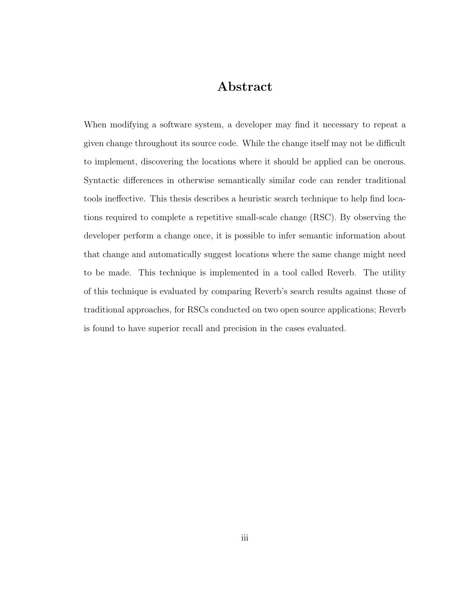## Abstract

When modifying a software system, a developer may find it necessary to repeat a given change throughout its source code. While the change itself may not be difficult to implement, discovering the locations where it should be applied can be onerous. Syntactic differences in otherwise semantically similar code can render traditional tools ineffective. This thesis describes a heuristic search technique to help find locations required to complete a repetitive small-scale change (RSC). By observing the developer perform a change once, it is possible to infer semantic information about that change and automatically suggest locations where the same change might need to be made. This technique is implemented in a tool called Reverb. The utility of this technique is evaluated by comparing Reverb's search results against those of traditional approaches, for RSCs conducted on two open source applications; Reverb is found to have superior recall and precision in the cases evaluated.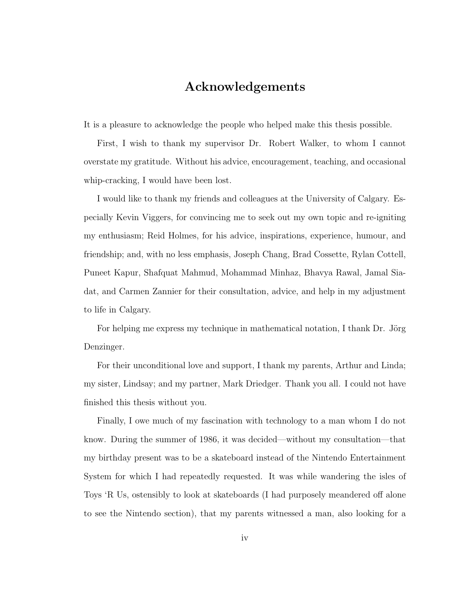## Acknowledgements

It is a pleasure to acknowledge the people who helped make this thesis possible.

First, I wish to thank my supervisor Dr. Robert Walker, to whom I cannot overstate my gratitude. Without his advice, encouragement, teaching, and occasional whip-cracking, I would have been lost.

I would like to thank my friends and colleagues at the University of Calgary. Especially Kevin Viggers, for convincing me to seek out my own topic and re-igniting my enthusiasm; Reid Holmes, for his advice, inspirations, experience, humour, and friendship; and, with no less emphasis, Joseph Chang, Brad Cossette, Rylan Cottell, Puneet Kapur, Shafquat Mahmud, Mohammad Minhaz, Bhavya Rawal, Jamal Siadat, and Carmen Zannier for their consultation, advice, and help in my adjustment to life in Calgary.

For helping me express my technique in mathematical notation, I thank Dr. Jörg Denzinger.

For their unconditional love and support, I thank my parents, Arthur and Linda; my sister, Lindsay; and my partner, Mark Driedger. Thank you all. I could not have finished this thesis without you.

Finally, I owe much of my fascination with technology to a man whom I do not know. During the summer of 1986, it was decided—without my consultation—that my birthday present was to be a skateboard instead of the Nintendo Entertainment System for which I had repeatedly requested. It was while wandering the isles of Toys 'R Us, ostensibly to look at skateboards (I had purposely meandered off alone to see the Nintendo section), that my parents witnessed a man, also looking for a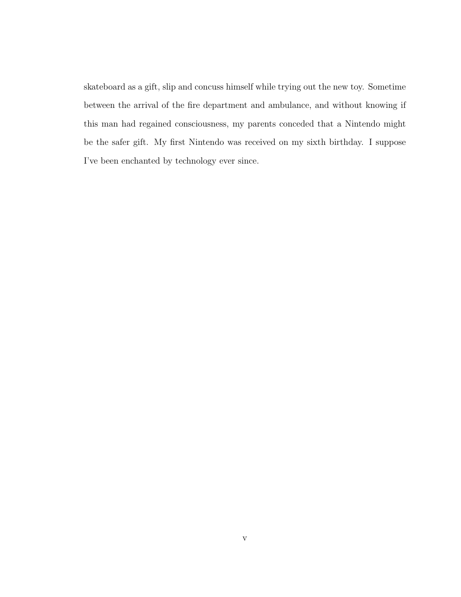skateboard as a gift, slip and concuss himself while trying out the new toy. Sometime between the arrival of the fire department and ambulance, and without knowing if this man had regained consciousness, my parents conceded that a Nintendo might be the safer gift. My first Nintendo was received on my sixth birthday. I suppose I've been enchanted by technology ever since.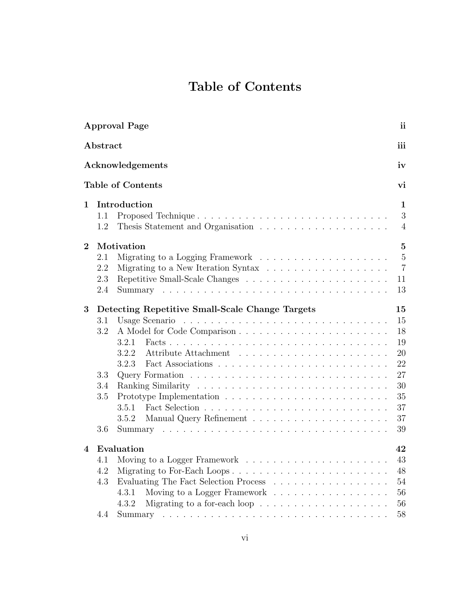## Table of Contents

|                |                                            | <b>Approval Page</b>                                                                                                                                                                                             | ii                                                                   |
|----------------|--------------------------------------------|------------------------------------------------------------------------------------------------------------------------------------------------------------------------------------------------------------------|----------------------------------------------------------------------|
|                | Abstract                                   |                                                                                                                                                                                                                  | iii                                                                  |
|                |                                            | Acknowledgements                                                                                                                                                                                                 | iv                                                                   |
|                |                                            | <b>Table of Contents</b>                                                                                                                                                                                         | vi                                                                   |
| $\mathbf{1}$   | 1.1<br>1.2                                 | Introduction<br>Proposed Technique                                                                                                                                                                               | $\mathbf{1}$<br>3<br>$\overline{4}$                                  |
| $\overline{2}$ | 2.1<br>2.2<br>2.3<br>2.4                   | Motivation<br>Migrating to a New Iteration Syntax $\dots \dots \dots \dots \dots \dots$                                                                                                                          | $\overline{5}$<br>$\overline{5}$<br>$\overline{7}$<br>11<br>13       |
| 3              | 3.1<br>3.2<br>3.3<br>3.4<br>$3.5\,$<br>3.6 | Detecting Repetitive Small-Scale Change Targets<br>3.2.1<br>3.2.2<br>3.2.3<br>3.5.1<br>3.5.2                                                                                                                     | 15<br>15<br>18<br>19<br>20<br>22<br>27<br>30<br>35<br>37<br>37<br>39 |
| $\overline{4}$ | 4.2<br>4.3<br>4.4                          | Evaluation<br>Migrating to For-Each Loops<br>Evaluating The Fact Selection Process<br>4.3.1<br>Moving to a Logger Framework<br>Migrating to a for-each loop $\dots \dots \dots \dots \dots \dots \dots$<br>4.3.2 | 42<br>43<br>48<br>54<br>56<br>56<br>58                               |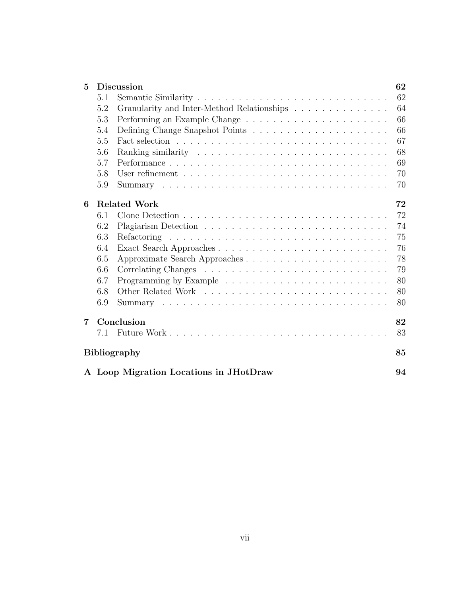| 5 | <b>Discussion</b><br>62   |                                                                                               |    |  |  |
|---|---------------------------|-----------------------------------------------------------------------------------------------|----|--|--|
|   | 5.1                       |                                                                                               | 62 |  |  |
|   | 5.2                       | Granularity and Inter-Method Relationships $\ldots \ldots \ldots \ldots \ldots$               | 64 |  |  |
|   | 5.3                       |                                                                                               | 66 |  |  |
|   | 5.4                       |                                                                                               | 66 |  |  |
|   | 5.5                       | Fact selection $\ldots \ldots \ldots \ldots \ldots \ldots \ldots \ldots \ldots \ldots \ldots$ | 67 |  |  |
|   | 5.6                       |                                                                                               | 68 |  |  |
|   | 5.7                       | Performance                                                                                   | 69 |  |  |
|   | 5.8                       |                                                                                               | 70 |  |  |
|   | 5.9                       |                                                                                               | 70 |  |  |
| 6 |                           | <b>Related Work</b>                                                                           | 72 |  |  |
|   | 6.1                       |                                                                                               | 72 |  |  |
|   | 6.2                       |                                                                                               | 74 |  |  |
|   | 6.3                       |                                                                                               | 75 |  |  |
|   | 6.4                       |                                                                                               | 76 |  |  |
|   | 6.5                       |                                                                                               | 78 |  |  |
|   | 6.6                       |                                                                                               | 79 |  |  |
|   | 6.7                       |                                                                                               | 80 |  |  |
|   | 6.8                       |                                                                                               | 80 |  |  |
|   | 6.9                       |                                                                                               | 80 |  |  |
| 7 |                           | Conclusion                                                                                    | 82 |  |  |
|   | 7.1                       |                                                                                               | 83 |  |  |
|   | <b>Bibliography</b><br>85 |                                                                                               |    |  |  |
|   |                           | A Loop Migration Locations in JHotDraw                                                        | 94 |  |  |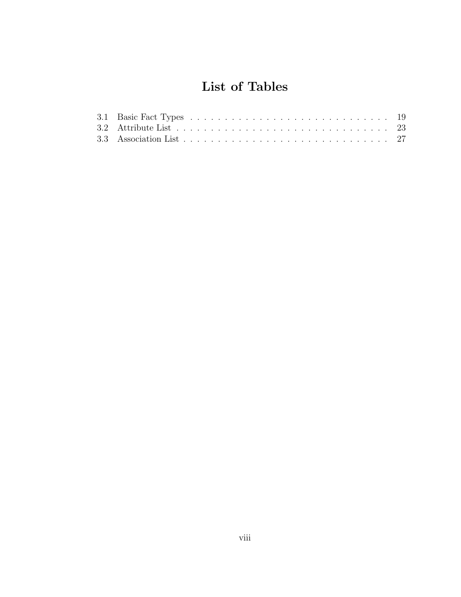## List of Tables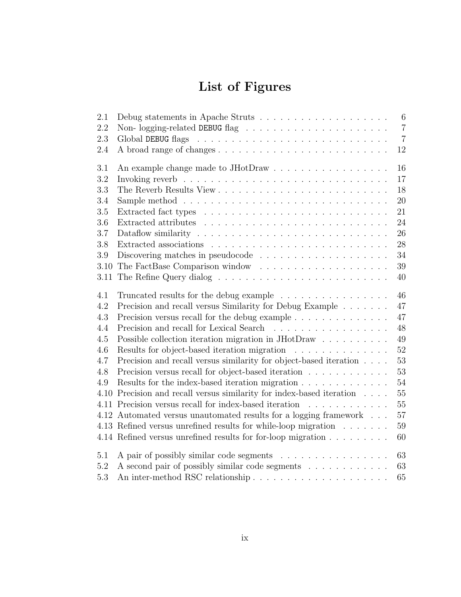## List of Figures

| 2.1     |                                                                                      | 6              |
|---------|--------------------------------------------------------------------------------------|----------------|
| 2.2     |                                                                                      | $\overline{7}$ |
| 2.3     |                                                                                      | $\overline{7}$ |
| 2.4     |                                                                                      | 12             |
| 3.1     | An example change made to JHotDraw                                                   | 16             |
| 3.2     |                                                                                      | 17             |
| 3.3     |                                                                                      | 18             |
| 3.4     |                                                                                      | 20             |
| 3.5     |                                                                                      | 21             |
| 3.6     |                                                                                      | 24             |
| 3.7     |                                                                                      | 26             |
| 3.8     |                                                                                      | 28             |
| $3.9\,$ | Discovering matches in pseudocode $\ldots \ldots \ldots \ldots \ldots \ldots \ldots$ | 34             |
| 3.10    |                                                                                      | 39             |
| 3.11    |                                                                                      | 40             |
| 4.1     | Truncated results for the debug example                                              | 46             |
| 4.2     | Precision and recall versus Similarity for Debug Example $\ldots \ldots$             | 47             |
| 4.3     | Precision versus recall for the debug example $\dots \dots \dots \dots$              | 47             |
| 4.4     | Precision and recall for Lexical Search                                              | 48             |
| 4.5     | Possible collection iteration migration in JHotDraw $\dots \dots \dots$              | 49             |
| 4.6     | Results for object-based iteration migration                                         | 52             |
| 4.7     | Precision and recall versus similarity for object-based iteration                    | 53             |
| 4.8     | Precision versus recall for object-based iteration                                   | 53             |
| 4.9     | Results for the index-based iteration migration                                      | 54             |
| 4.10    | Precision and recall versus similarity for index-based iteration $\ldots$ .          | 55             |
|         | 4.11 Precision versus recall for index-based iteration                               | 55             |
|         | 4.12 Automated versus unautomated results for a logging framework                    | 57             |
|         | 4.13 Refined versus unrefined results for while-loop migration                       | 59             |
|         | 4.14 Refined versus unrefined results for for-loop migration                         | 60             |
| 5.1     |                                                                                      | 63             |
| 5.2     | A second pair of possibly similar code segments                                      | 63             |
| 5.3     |                                                                                      | 65             |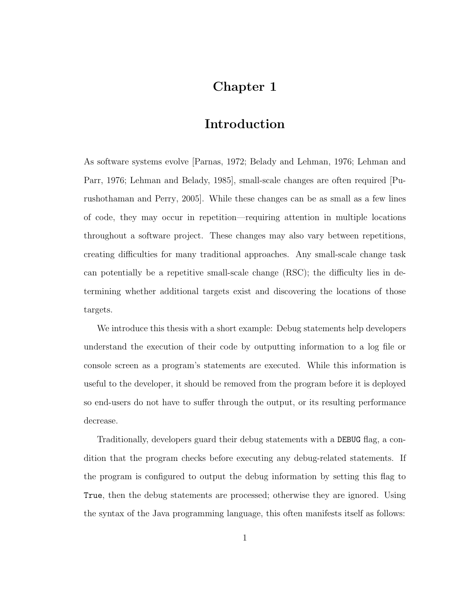## Chapter 1

## Introduction

As software systems evolve [Parnas, 1972; Belady and Lehman, 1976; Lehman and Parr, 1976; Lehman and Belady, 1985], small-scale changes are often required [Purushothaman and Perry, 2005]. While these changes can be as small as a few lines of code, they may occur in repetition—requiring attention in multiple locations throughout a software project. These changes may also vary between repetitions, creating difficulties for many traditional approaches. Any small-scale change task can potentially be a repetitive small-scale change (RSC); the difficulty lies in determining whether additional targets exist and discovering the locations of those targets.

We introduce this thesis with a short example: Debug statements help developers understand the execution of their code by outputting information to a log file or console screen as a program's statements are executed. While this information is useful to the developer, it should be removed from the program before it is deployed so end-users do not have to suffer through the output, or its resulting performance decrease.

Traditionally, developers guard their debug statements with a DEBUG flag, a condition that the program checks before executing any debug-related statements. If the program is configured to output the debug information by setting this flag to True, then the debug statements are processed; otherwise they are ignored. Using the syntax of the Java programming language, this often manifests itself as follows: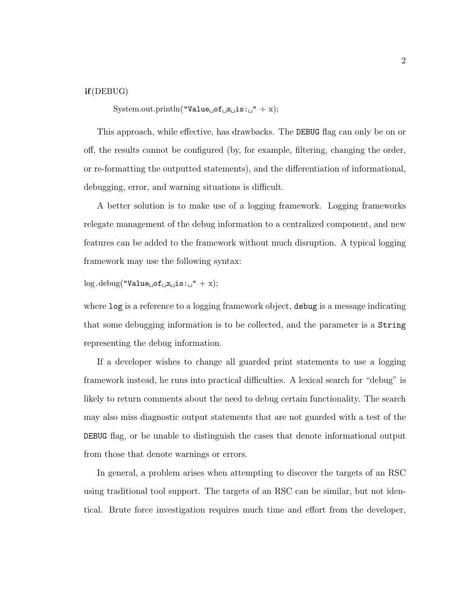#### if(DEBUG)

System.out.println("Value $\phi$ f $\phi$ x $\phi$ is: $\phi$ " + x);

This approach, while effective, has drawbacks. The DEBUG flag can only be on or off, the results cannot be configured (by, for example, filtering, changing the order, or re-formatting the outputted statements), and the differentiation of informational, debugging, error, and warning situations is difficult.

A better solution is to make use of a logging framework. Logging frameworks relegate management of the debug information to a centralized component, and new features can be added to the framework without much disruption. A typical logging framework may use the following syntax:

$$
\log.\text{debug("Value\_of\_x\_is:}\sqcup" + x);
$$

where log is a reference to a logging framework object, debug is a message indicating that some debugging information is to be collected, and the parameter is a String representing the debug information.

If a developer wishes to change all guarded print statements to use a logging framework instead, he runs into practical difficulties. A lexical search for "debug" is likely to return comments about the need to debug certain functionality. The search may also miss diagnostic output statements that are not guarded with a test of the DEBUG flag, or be unable to distinguish the cases that denote informational output from those that denote warnings or errors.

In general, a problem arises when attempting to discover the targets of an RSC using traditional tool support. The targets of an RSC can be similar, but not identical. Brute force investigation requires much time and effort from the developer,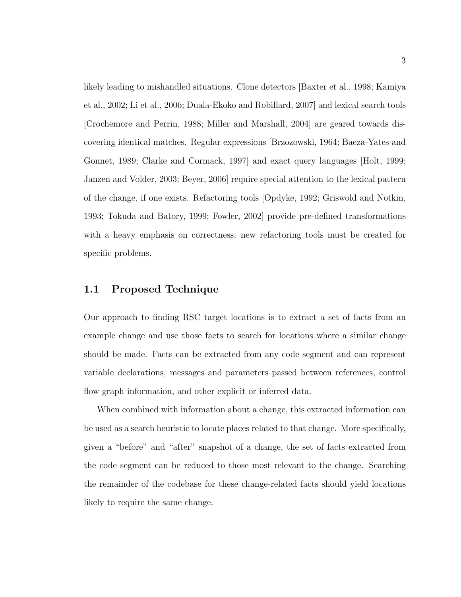likely leading to mishandled situations. Clone detectors [Baxter et al., 1998; Kamiya et al., 2002; Li et al., 2006; Duala-Ekoko and Robillard, 2007] and lexical search tools [Crochemore and Perrin, 1988; Miller and Marshall, 2004] are geared towards discovering identical matches. Regular expressions [Brzozowski, 1964; Baeza-Yates and Gonnet, 1989; Clarke and Cormack, 1997] and exact query languages [Holt, 1999; Janzen and Volder, 2003; Beyer, 2006] require special attention to the lexical pattern of the change, if one exists. Refactoring tools [Opdyke, 1992; Griswold and Notkin, 1993; Tokuda and Batory, 1999; Fowler, 2002] provide pre-defined transformations with a heavy emphasis on correctness; new refactoring tools must be created for specific problems.

#### 1.1 Proposed Technique

Our approach to finding RSC target locations is to extract a set of facts from an example change and use those facts to search for locations where a similar change should be made. Facts can be extracted from any code segment and can represent variable declarations, messages and parameters passed between references, control flow graph information, and other explicit or inferred data.

When combined with information about a change, this extracted information can be used as a search heuristic to locate places related to that change. More specifically, given a "before" and "after" snapshot of a change, the set of facts extracted from the code segment can be reduced to those most relevant to the change. Searching the remainder of the codebase for these change-related facts should yield locations likely to require the same change.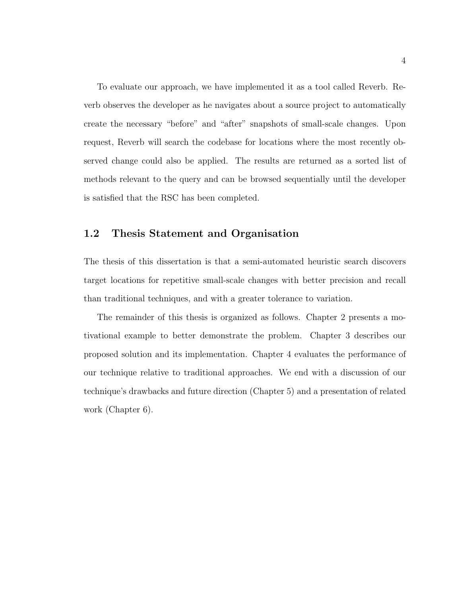To evaluate our approach, we have implemented it as a tool called Reverb. Reverb observes the developer as he navigates about a source project to automatically create the necessary "before" and "after" snapshots of small-scale changes. Upon request, Reverb will search the codebase for locations where the most recently observed change could also be applied. The results are returned as a sorted list of methods relevant to the query and can be browsed sequentially until the developer is satisfied that the RSC has been completed.

#### 1.2 Thesis Statement and Organisation

The thesis of this dissertation is that a semi-automated heuristic search discovers target locations for repetitive small-scale changes with better precision and recall than traditional techniques, and with a greater tolerance to variation.

The remainder of this thesis is organized as follows. Chapter 2 presents a motivational example to better demonstrate the problem. Chapter 3 describes our proposed solution and its implementation. Chapter 4 evaluates the performance of our technique relative to traditional approaches. We end with a discussion of our technique's drawbacks and future direction (Chapter 5) and a presentation of related work (Chapter 6).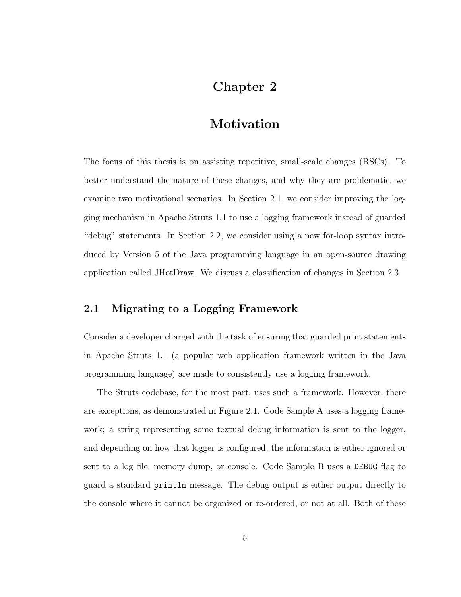## Chapter 2

## Motivation

The focus of this thesis is on assisting repetitive, small-scale changes (RSCs). To better understand the nature of these changes, and why they are problematic, we examine two motivational scenarios. In Section 2.1, we consider improving the logging mechanism in Apache Struts 1.1 to use a logging framework instead of guarded "debug" statements. In Section 2.2, we consider using a new for-loop syntax introduced by Version 5 of the Java programming language in an open-source drawing application called JHotDraw. We discuss a classification of changes in Section 2.3.

### 2.1 Migrating to a Logging Framework

Consider a developer charged with the task of ensuring that guarded print statements in Apache Struts 1.1 (a popular web application framework written in the Java programming language) are made to consistently use a logging framework.

The Struts codebase, for the most part, uses such a framework. However, there are exceptions, as demonstrated in Figure 2.1. Code Sample A uses a logging framework; a string representing some textual debug information is sent to the logger, and depending on how that logger is configured, the information is either ignored or sent to a log file, memory dump, or console. Code Sample B uses a DEBUG flag to guard a standard println message. The debug output is either output directly to the console where it cannot be organized or re-ordered, or not at all. Both of these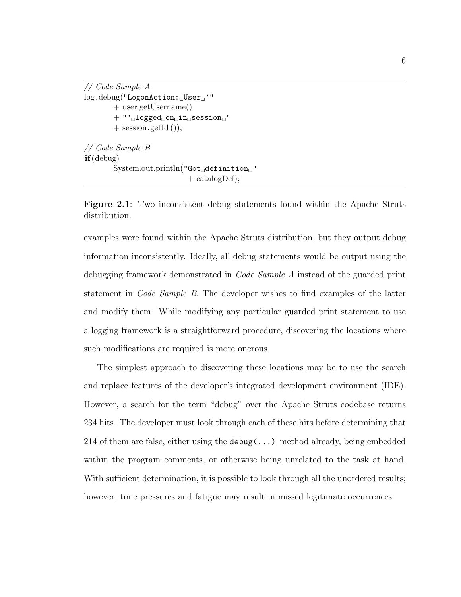```
// Code Sample A
log.debug("LogonAction: User"+ user.getUsername()
          + "'\lceil \cdot \rceillogged\lceil \cdot \cdot \rceilon \lceil \cdot \rceiln session \lceil \cdot \rceil+ session.getId ());
// Code Sample B
if(debug)
          System.out.println("Got_U definition_U"+ catalogDef);
```
Figure 2.1: Two inconsistent debug statements found within the Apache Struts distribution.

examples were found within the Apache Struts distribution, but they output debug information inconsistently. Ideally, all debug statements would be output using the debugging framework demonstrated in Code Sample A instead of the guarded print statement in Code Sample B. The developer wishes to find examples of the latter and modify them. While modifying any particular guarded print statement to use a logging framework is a straightforward procedure, discovering the locations where such modifications are required is more onerous.

The simplest approach to discovering these locations may be to use the search and replace features of the developer's integrated development environment (IDE). However, a search for the term "debug" over the Apache Struts codebase returns 234 hits. The developer must look through each of these hits before determining that 214 of them are false, either using the  $\text{delay}(...)$  method already, being embedded within the program comments, or otherwise being unrelated to the task at hand. With sufficient determination, it is possible to look through all the unordered results; however, time pressures and fatigue may result in missed legitimate occurrences.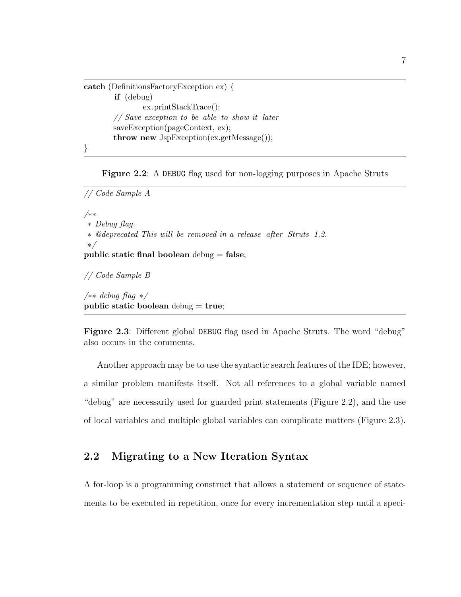```
catch (DefinitionsFactoryException ex) {
        if (debug)
               ex.printStackTrace();
        // Save exception to be able to show it later
        saveException(pageContext, ex);
        throw new JspException(ex.getMessage());
```
}

Figure 2.2: A DEBUG flag used for non-logging purposes in Apache Struts

```
// Code Sample A
/∗∗
 ∗ Debug flag.
 ∗ @deprecated This will be removed in a release after Struts 1.2.
 ∗/
public static final boolean debug = false;
// Code Sample B
```

```
/∗∗ debug flag ∗/
public static boolean debug = true;
```
Figure 2.3: Different global DEBUG flag used in Apache Struts. The word "debug" also occurs in the comments.

Another approach may be to use the syntactic search features of the IDE; however, a similar problem manifests itself. Not all references to a global variable named "debug" are necessarily used for guarded print statements (Figure 2.2), and the use of local variables and multiple global variables can complicate matters (Figure 2.3).

## 2.2 Migrating to a New Iteration Syntax

A for-loop is a programming construct that allows a statement or sequence of statements to be executed in repetition, once for every incrementation step until a speci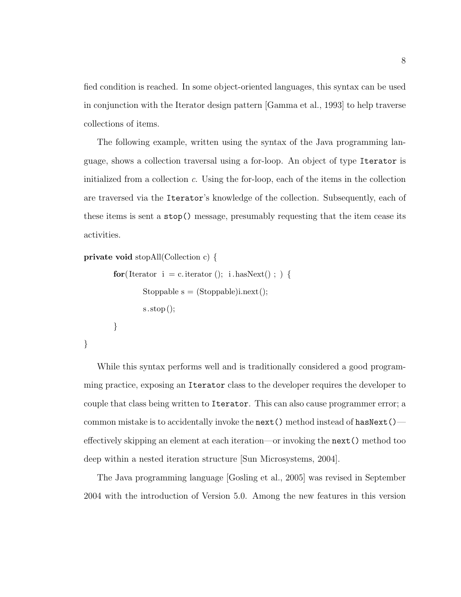fied condition is reached. In some object-oriented languages, this syntax can be used in conjunction with the Iterator design pattern [Gamma et al., 1993] to help traverse collections of items.

The following example, written using the syntax of the Java programming language, shows a collection traversal using a for-loop. An object of type Iterator is initialized from a collection c. Using the for-loop, each of the items in the collection are traversed via the Iterator's knowledge of the collection. Subsequently, each of these items is sent a stop() message, presumably requesting that the item cease its activities.

```
private void stopAll(Collection c) {
```
}

```
for(Iterator i = c. iterator (); i. hasNext(); ) {
        Stoppable s = (Stopable)i.next();s.stop();
}
```
While this syntax performs well and is traditionally considered a good programming practice, exposing an Iterator class to the developer requires the developer to couple that class being written to Iterator. This can also cause programmer error; a common mistake is to accidentally invoke the next () method instead of hasNext () effectively skipping an element at each iteration—or invoking the next() method too deep within a nested iteration structure [Sun Microsystems, 2004].

The Java programming language [Gosling et al., 2005] was revised in September 2004 with the introduction of Version 5.0. Among the new features in this version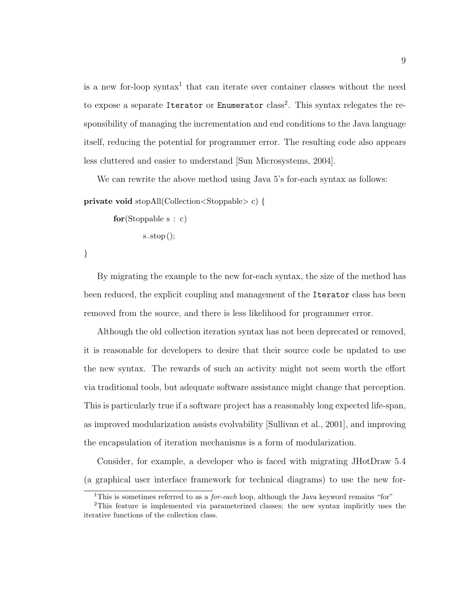is a new for-loop syntax<sup>1</sup> that can iterate over container classes without the need to expose a separate Iterator or Enumerator class<sup>2</sup>. This syntax relegates the responsibility of managing the incrementation and end conditions to the Java language itself, reducing the potential for programmer error. The resulting code also appears less cluttered and easier to understand [Sun Microsystems, 2004].

We can rewrite the above method using Java 5's for-each syntax as follows:

private void stopAll(Collection<Stoppable> c) {

for(Stoppable s : c)

 $s.$ stop $()$ ;

}

By migrating the example to the new for-each syntax, the size of the method has been reduced, the explicit coupling and management of the Iterator class has been removed from the source, and there is less likelihood for programmer error.

Although the old collection iteration syntax has not been deprecated or removed, it is reasonable for developers to desire that their source code be updated to use the new syntax. The rewards of such an activity might not seem worth the effort via traditional tools, but adequate software assistance might change that perception. This is particularly true if a software project has a reasonably long expected life-span, as improved modularization assists evolvability [Sullivan et al., 2001], and improving the encapsulation of iteration mechanisms is a form of modularization.

Consider, for example, a developer who is faced with migrating JHotDraw 5.4 (a graphical user interface framework for technical diagrams) to use the new for-

<sup>&</sup>lt;sup>1</sup>This is sometimes referred to as a *for-each* loop, although the Java keyword remains "for"

<sup>2</sup>This feature is implemented via parameterized classes; the new syntax implicitly uses the iterative functions of the collection class.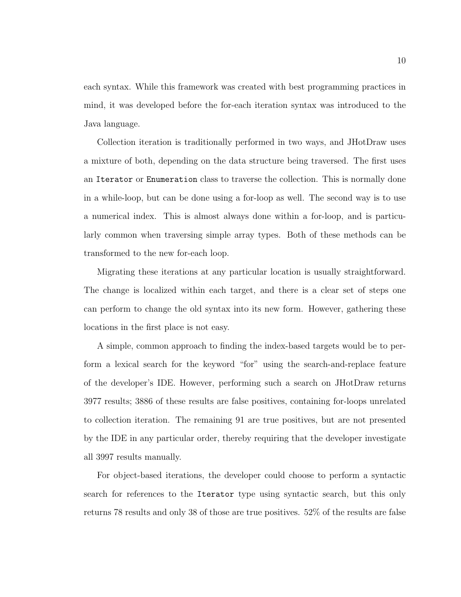each syntax. While this framework was created with best programming practices in mind, it was developed before the for-each iteration syntax was introduced to the Java language.

Collection iteration is traditionally performed in two ways, and JHotDraw uses a mixture of both, depending on the data structure being traversed. The first uses an Iterator or Enumeration class to traverse the collection. This is normally done in a while-loop, but can be done using a for-loop as well. The second way is to use a numerical index. This is almost always done within a for-loop, and is particularly common when traversing simple array types. Both of these methods can be transformed to the new for-each loop.

Migrating these iterations at any particular location is usually straightforward. The change is localized within each target, and there is a clear set of steps one can perform to change the old syntax into its new form. However, gathering these locations in the first place is not easy.

A simple, common approach to finding the index-based targets would be to perform a lexical search for the keyword "for" using the search-and-replace feature of the developer's IDE. However, performing such a search on JHotDraw returns 3977 results; 3886 of these results are false positives, containing for-loops unrelated to collection iteration. The remaining 91 are true positives, but are not presented by the IDE in any particular order, thereby requiring that the developer investigate all 3997 results manually.

For object-based iterations, the developer could choose to perform a syntactic search for references to the Iterator type using syntactic search, but this only returns 78 results and only 38 of those are true positives. 52% of the results are false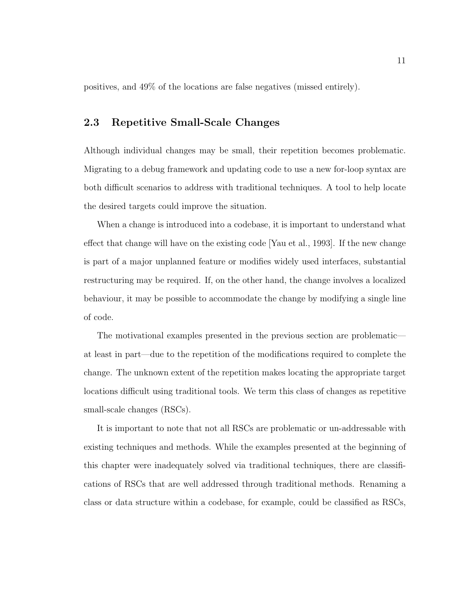positives, and 49% of the locations are false negatives (missed entirely).

### 2.3 Repetitive Small-Scale Changes

Although individual changes may be small, their repetition becomes problematic. Migrating to a debug framework and updating code to use a new for-loop syntax are both difficult scenarios to address with traditional techniques. A tool to help locate the desired targets could improve the situation.

When a change is introduced into a codebase, it is important to understand what effect that change will have on the existing code [Yau et al., 1993]. If the new change is part of a major unplanned feature or modifies widely used interfaces, substantial restructuring may be required. If, on the other hand, the change involves a localized behaviour, it may be possible to accommodate the change by modifying a single line of code.

The motivational examples presented in the previous section are problematic at least in part—due to the repetition of the modifications required to complete the change. The unknown extent of the repetition makes locating the appropriate target locations difficult using traditional tools. We term this class of changes as repetitive small-scale changes (RSCs).

It is important to note that not all RSCs are problematic or un-addressable with existing techniques and methods. While the examples presented at the beginning of this chapter were inadequately solved via traditional techniques, there are classifications of RSCs that are well addressed through traditional methods. Renaming a class or data structure within a codebase, for example, could be classified as RSCs,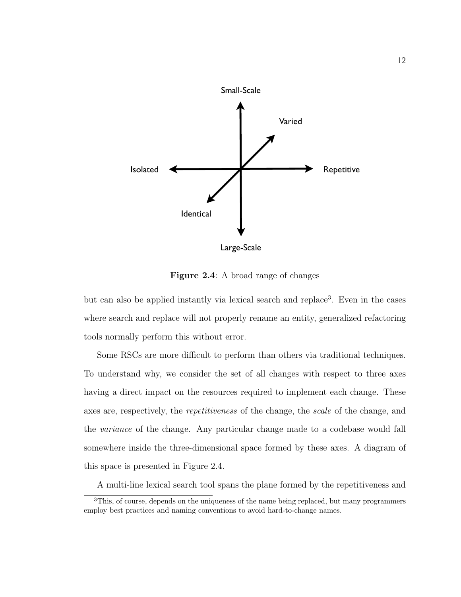

Figure 2.4: A broad range of changes

but can also be applied instantly via lexical search and replace<sup>3</sup>. Even in the cases where search and replace will not properly rename an entity, generalized refactoring tools normally perform this without error.

Some RSCs are more difficult to perform than others via traditional techniques. To understand why, we consider the set of all changes with respect to three axes having a direct impact on the resources required to implement each change. These axes are, respectively, the repetitiveness of the change, the scale of the change, and the variance of the change. Any particular change made to a codebase would fall somewhere inside the three-dimensional space formed by these axes. A diagram of this space is presented in Figure 2.4.

A multi-line lexical search tool spans the plane formed by the repetitiveness and

<sup>3</sup>This, of course, depends on the uniqueness of the name being replaced, but many programmers employ best practices and naming conventions to avoid hard-to-change names.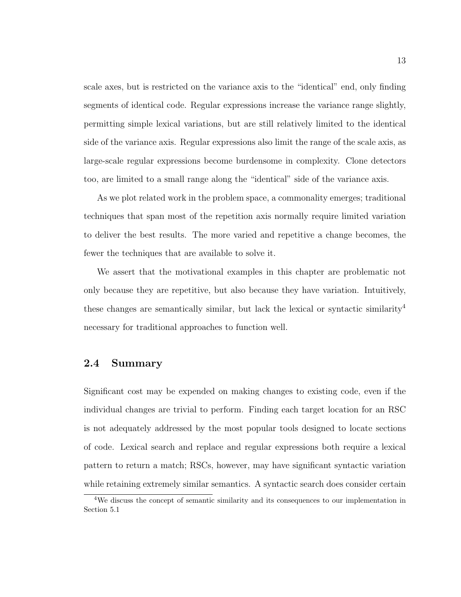scale axes, but is restricted on the variance axis to the "identical" end, only finding segments of identical code. Regular expressions increase the variance range slightly, permitting simple lexical variations, but are still relatively limited to the identical side of the variance axis. Regular expressions also limit the range of the scale axis, as large-scale regular expressions become burdensome in complexity. Clone detectors too, are limited to a small range along the "identical" side of the variance axis.

As we plot related work in the problem space, a commonality emerges; traditional techniques that span most of the repetition axis normally require limited variation to deliver the best results. The more varied and repetitive a change becomes, the fewer the techniques that are available to solve it.

We assert that the motivational examples in this chapter are problematic not only because they are repetitive, but also because they have variation. Intuitively, these changes are semantically similar, but lack the lexical or syntactic similarity<sup>4</sup> necessary for traditional approaches to function well.

#### 2.4 Summary

Significant cost may be expended on making changes to existing code, even if the individual changes are trivial to perform. Finding each target location for an RSC is not adequately addressed by the most popular tools designed to locate sections of code. Lexical search and replace and regular expressions both require a lexical pattern to return a match; RSCs, however, may have significant syntactic variation while retaining extremely similar semantics. A syntactic search does consider certain

<sup>4</sup>We discuss the concept of semantic similarity and its consequences to our implementation in Section 5.1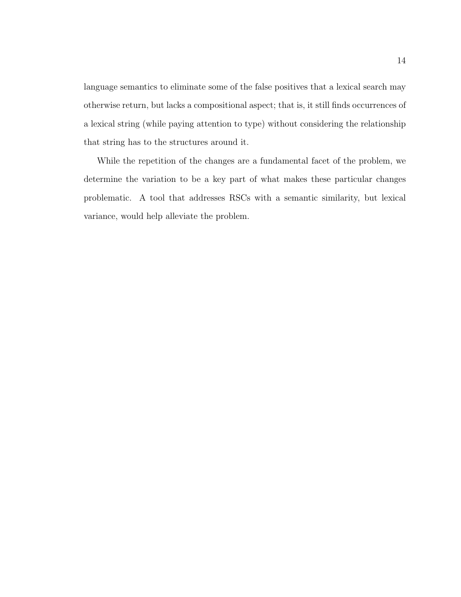language semantics to eliminate some of the false positives that a lexical search may otherwise return, but lacks a compositional aspect; that is, it still finds occurrences of a lexical string (while paying attention to type) without considering the relationship that string has to the structures around it.

While the repetition of the changes are a fundamental facet of the problem, we determine the variation to be a key part of what makes these particular changes problematic. A tool that addresses RSCs with a semantic similarity, but lexical variance, would help alleviate the problem.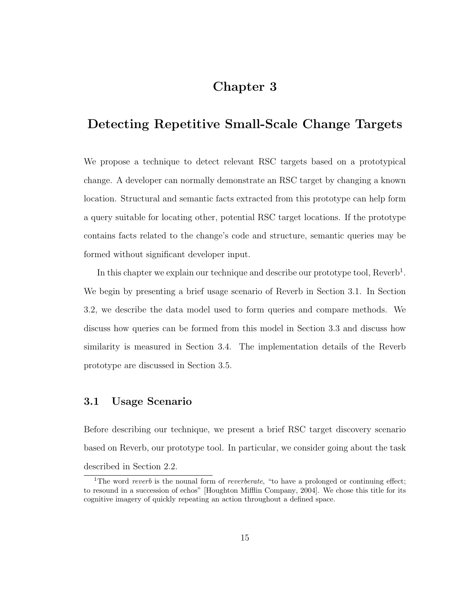## Chapter 3

## Detecting Repetitive Small-Scale Change Targets

We propose a technique to detect relevant RSC targets based on a prototypical change. A developer can normally demonstrate an RSC target by changing a known location. Structural and semantic facts extracted from this prototype can help form a query suitable for locating other, potential RSC target locations. If the prototype contains facts related to the change's code and structure, semantic queries may be formed without significant developer input.

In this chapter we explain our technique and describe our prototype tool,  $Reverb<sup>1</sup>$ . We begin by presenting a brief usage scenario of Reverb in Section 3.1. In Section 3.2, we describe the data model used to form queries and compare methods. We discuss how queries can be formed from this model in Section 3.3 and discuss how similarity is measured in Section 3.4. The implementation details of the Reverb prototype are discussed in Section 3.5.

#### 3.1 Usage Scenario

Before describing our technique, we present a brief RSC target discovery scenario based on Reverb, our prototype tool. In particular, we consider going about the task described in Section 2.2.

<sup>&</sup>lt;sup>1</sup>The word *reverb* is the nounal form of *reverberate*, "to have a prolonged or continuing effect; to resound in a succession of echos" [Houghton Mifflin Company, 2004]. We chose this title for its cognitive imagery of quickly repeating an action throughout a defined space.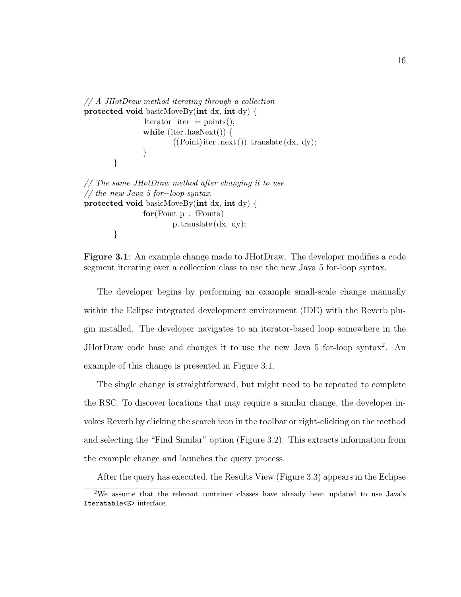```
// A JHotDraw method iterating through a collection
protected void basicMoveBy(int dx, int dy) {
                Iterator iter = points();
                while (iter.hasNext()) {
                        ((Point) iter .next ()). translate (dx, dy);
                }
        }
// The same JHotDraw method after changing it to use
// the new Java 5 for−loop syntax.
protected void basicMoveBy(int dx, int dy) {
                for(Point p : fPoints)
                        p. translate (dx, dy);
```
}

Figure 3.1: An example change made to JHotDraw. The developer modifies a code segment iterating over a collection class to use the new Java 5 for-loop syntax.

The developer begins by performing an example small-scale change manually within the Eclipse integrated development environment (IDE) with the Reverb plugin installed. The developer navigates to an iterator-based loop somewhere in the JHotDraw code base and changes it to use the new Java 5 for-loop syntax<sup>2</sup> . An example of this change is presented in Figure 3.1.

The single change is straightforward, but might need to be repeated to complete the RSC. To discover locations that may require a similar change, the developer invokes Reverb by clicking the search icon in the toolbar or right-clicking on the method and selecting the "Find Similar" option (Figure 3.2). This extracts information from the example change and launches the query process.

After the query has executed, the Results View (Figure 3.3) appears in the Eclipse

<sup>2</sup>We assume that the relevant container classes have already been updated to use Java's Iteratable<E> interface.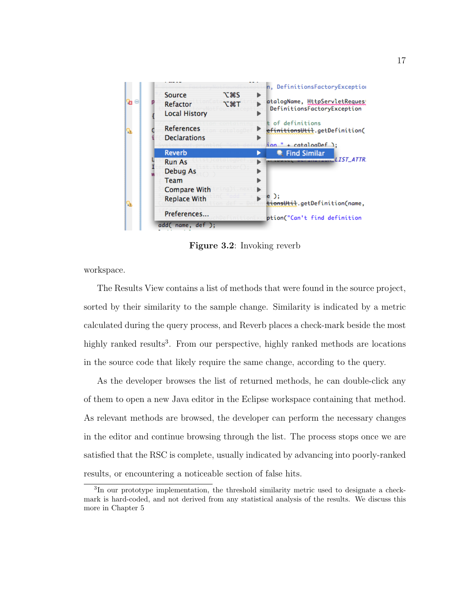

Figure 3.2: Invoking reverb

workspace.

The Results View contains a list of methods that were found in the source project, sorted by their similarity to the sample change. Similarity is indicated by a metric calculated during the query process, and Reverb places a check-mark beside the most highly ranked results<sup>3</sup>. From our perspective, highly ranked methods are locations in the source code that likely require the same change, according to the query.

As the developer browses the list of returned methods, he can double-click any of them to open a new Java editor in the Eclipse workspace containing that method. As relevant methods are browsed, the developer can perform the necessary changes in the editor and continue browsing through the list. The process stops once we are satisfied that the RSC is complete, usually indicated by advancing into poorly-ranked results, or encountering a noticeable section of false hits.

<sup>&</sup>lt;sup>3</sup>In our prototype implementation, the threshold similarity metric used to designate a checkmark is hard-coded, and not derived from any statistical analysis of the results. We discuss this more in Chapter 5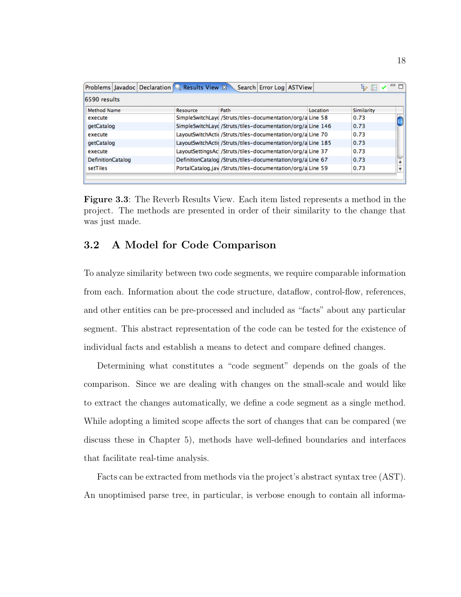| <b>Problems Javadoc Declaration Results View &amp;</b> |          | Search Error Log ASTView                                     |          | $E_{\ell}$ | - |
|--------------------------------------------------------|----------|--------------------------------------------------------------|----------|------------|---|
| 6590 results                                           |          |                                                              |          |            |   |
| <b>Method Name</b>                                     | Resource | Path                                                         | Location | Similarity |   |
| execute                                                |          | SimpleSwitchLayd /Struts/tiles-documentation/org/a Line 58   |          | 0.73       |   |
| getCatalog                                             |          | SimpleSwitchLayd /Struts/tiles-documentation/org/a Line 146  |          | 0.73       |   |
| execute                                                |          | LayoutSwitchActic /Struts/tiles-documentation/org/a Line 70  |          | 0.73       |   |
| getCatalog                                             |          | LayoutSwitchActic /Struts/tiles-documentation/org/a Line 185 |          | 0.73       |   |
| execute                                                |          | LayoutSettingsAc /Struts/tiles-documentation/org/a Line 37   |          | 0.73       |   |
| DefinitionCatalog                                      |          | DefinitionCatalog /Struts/tiles-documentation/org/a Line 67  |          | 0.73       |   |
| setTiles                                               |          | PortalCatalog.jav /Struts/tiles-documentation/org/a Line 59  |          | 0.73       |   |
|                                                        |          |                                                              |          |            |   |

Figure 3.3: The Reverb Results View. Each item listed represents a method in the project. The methods are presented in order of their similarity to the change that was just made.

### 3.2 A Model for Code Comparison

To analyze similarity between two code segments, we require comparable information from each. Information about the code structure, dataflow, control-flow, references, and other entities can be pre-processed and included as "facts" about any particular segment. This abstract representation of the code can be tested for the existence of individual facts and establish a means to detect and compare defined changes.

Determining what constitutes a "code segment" depends on the goals of the comparison. Since we are dealing with changes on the small-scale and would like to extract the changes automatically, we define a code segment as a single method. While adopting a limited scope affects the sort of changes that can be compared (we discuss these in Chapter 5), methods have well-defined boundaries and interfaces that facilitate real-time analysis.

Facts can be extracted from methods via the project's abstract syntax tree (AST). An unoptimised parse tree, in particular, is verbose enough to contain all informa-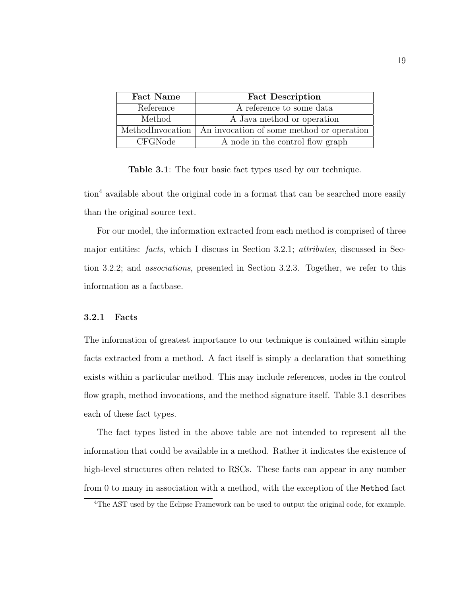| <b>Fact Name</b> | <b>Fact Description</b>                                      |
|------------------|--------------------------------------------------------------|
| Reference        | A reference to some data                                     |
| Method           | A Java method or operation                                   |
|                  | MethodInvocation   An invocation of some method or operation |
| CFGNode          | A node in the control flow graph                             |

Table 3.1: The four basic fact types used by our technique.

 $\tau$  tion<sup>4</sup> available about the original code in a format that can be searched more easily than the original source text.

For our model, the information extracted from each method is comprised of three major entities: facts, which I discuss in Section 3.2.1; attributes, discussed in Section 3.2.2; and associations, presented in Section 3.2.3. Together, we refer to this information as a factbase.

#### 3.2.1 Facts

The information of greatest importance to our technique is contained within simple facts extracted from a method. A fact itself is simply a declaration that something exists within a particular method. This may include references, nodes in the control flow graph, method invocations, and the method signature itself. Table 3.1 describes each of these fact types.

The fact types listed in the above table are not intended to represent all the information that could be available in a method. Rather it indicates the existence of high-level structures often related to RSCs. These facts can appear in any number from 0 to many in association with a method, with the exception of the Method fact

<sup>&</sup>lt;sup>4</sup>The AST used by the Eclipse Framework can be used to output the original code, for example.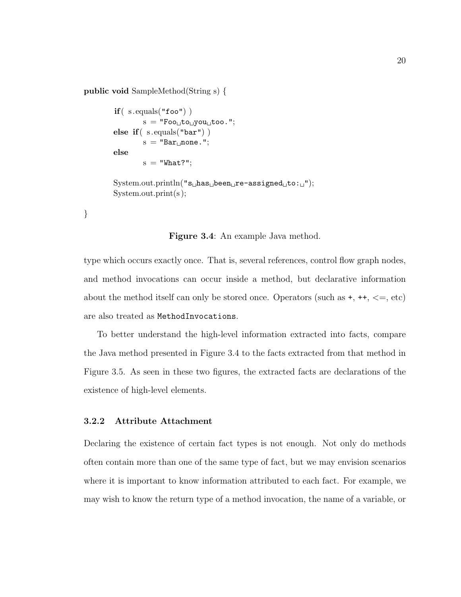public void SampleMethod(String s) {

}

```
if( s.equals("foo"))
          s = "Foo_{\sqcup} to_{\sqcup} you_{\sqcup} too."else if( s.equals("bar") )
          s = "Bar<sub>u</sub>none.";
else
           s = "What?";
System.out.println("s<sub>u</sub>has<sub>u</sub>been<sub>u</sub>re-assigned<sub>u</sub>to: u");System.out.print(s );
```
Figure 3.4: An example Java method.

type which occurs exactly once. That is, several references, control flow graph nodes, and method invocations can occur inside a method, but declarative information about the method itself can only be stored once. Operators (such as  $+, +, \leq, etc$ ) are also treated as MethodInvocations.

To better understand the high-level information extracted into facts, compare the Java method presented in Figure 3.4 to the facts extracted from that method in Figure 3.5. As seen in these two figures, the extracted facts are declarations of the existence of high-level elements.

#### 3.2.2 Attribute Attachment

Declaring the existence of certain fact types is not enough. Not only do methods often contain more than one of the same type of fact, but we may envision scenarios where it is important to know information attributed to each fact. For example, we may wish to know the return type of a method invocation, the name of a variable, or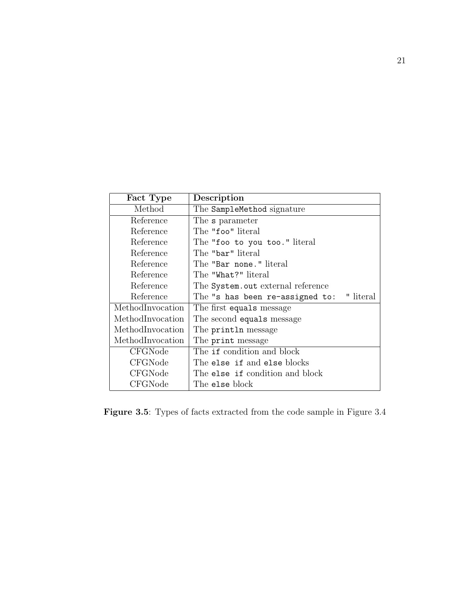| Fact Type        | Description                                  |  |  |
|------------------|----------------------------------------------|--|--|
| Method           | The SampleMethod signature                   |  |  |
| Reference        | The <b>s</b> parameter                       |  |  |
| Reference        | The "foo" literal                            |  |  |
| Reference        | The "foo to you too." literal                |  |  |
| Reference        | The "bar" literal                            |  |  |
| Reference        | The "Bar none." literal                      |  |  |
| Reference        | The "What?" literal                          |  |  |
| Reference        | The System.out external reference            |  |  |
| Reference        | " literal<br>The "s has been re-assigned to: |  |  |
| MethodInvocation | The first equals message                     |  |  |
| MethodInvocation | The second equals message                    |  |  |
| MethodInvocation | The println message                          |  |  |
| MethodInvocation | The print message                            |  |  |
| CFGNode          | The if condition and block                   |  |  |
| CFGNode          | The else if and else blocks                  |  |  |
| CFGNode          | The else if condition and block              |  |  |
| CFGNode          | The <b>else</b> block                        |  |  |

Figure 3.5: Types of facts extracted from the code sample in Figure 3.4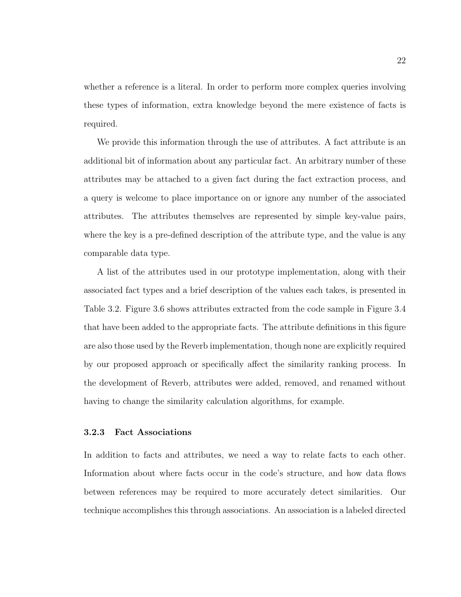whether a reference is a literal. In order to perform more complex queries involving these types of information, extra knowledge beyond the mere existence of facts is required.

We provide this information through the use of attributes. A fact attribute is an additional bit of information about any particular fact. An arbitrary number of these attributes may be attached to a given fact during the fact extraction process, and a query is welcome to place importance on or ignore any number of the associated attributes. The attributes themselves are represented by simple key-value pairs, where the key is a pre-defined description of the attribute type, and the value is any comparable data type.

A list of the attributes used in our prototype implementation, along with their associated fact types and a brief description of the values each takes, is presented in Table 3.2. Figure 3.6 shows attributes extracted from the code sample in Figure 3.4 that have been added to the appropriate facts. The attribute definitions in this figure are also those used by the Reverb implementation, though none are explicitly required by our proposed approach or specifically affect the similarity ranking process. In the development of Reverb, attributes were added, removed, and renamed without having to change the similarity calculation algorithms, for example.

#### 3.2.3 Fact Associations

In addition to facts and attributes, we need a way to relate facts to each other. Information about where facts occur in the code's structure, and how data flows between references may be required to more accurately detect similarities. Our technique accomplishes this through associations. An association is a labeled directed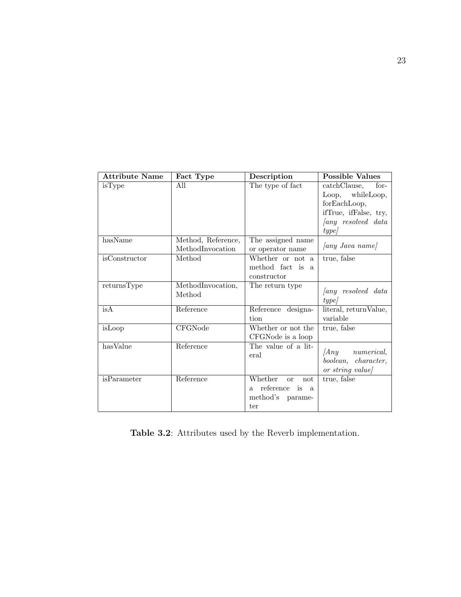| <b>Attribute Name</b> | Fact Type                | Description                              | <b>Possible Values</b>              |
|-----------------------|--------------------------|------------------------------------------|-------------------------------------|
| isType                | All                      | The type of fact                         | catchClause,<br>for-                |
|                       |                          |                                          | Loop, whileLoop,                    |
|                       |                          |                                          | forEachLoop,                        |
|                       |                          |                                          | ifTrue, ifFalse, try,               |
|                       |                          |                                          | any resolved data                   |
|                       |                          |                                          | type                                |
| hasName               | Method, Reference,       | The assigned name                        |                                     |
|                       | MethodInvocation         | or operator name                         | [any Java name]                     |
| isConstructor         | Method                   | Whether or not a                         | true, false                         |
|                       |                          | method fact is a                         |                                     |
|                       |                          | constructor                              |                                     |
| returnsType           | MethodInvocation,        | The return type                          | any resolved data                   |
|                       | Method                   |                                          |                                     |
| isA                   | $\bar{\text{Reference}}$ | Reference designa-                       | type/<br>literal, returnValue,      |
|                       |                          | tion                                     | variable                            |
|                       | CFGNode                  | Whether or not the                       | true, false                         |
| isLoop                |                          |                                          |                                     |
| hasValue              | Reference                | CFGNode is a loop<br>The value of a lit- |                                     |
|                       |                          |                                          | $\langle Any \rangle$<br>numerical, |
|                       |                          | eral                                     | boolean, character,                 |
|                       |                          |                                          | or string value                     |
| isParameter           | Reference                | Whether<br>not<br><b>or</b>              | true, false                         |
|                       |                          | reference<br>is<br><sub>a</sub><br>a.    |                                     |
|                       |                          | method's parame-                         |                                     |
|                       |                          | ter                                      |                                     |

Table 3.2: Attributes used by the Reverb implementation.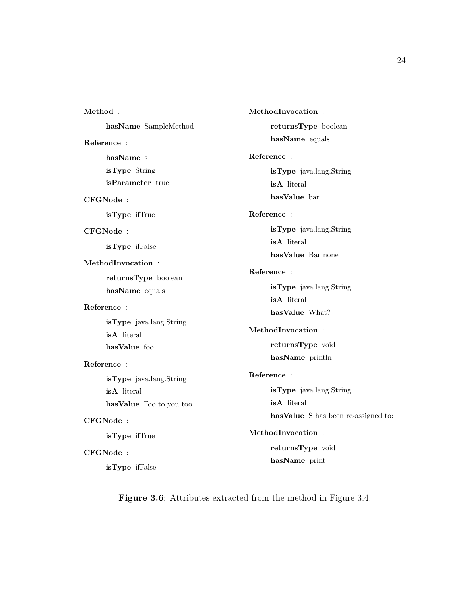| Method:                   | MethodIn      |
|---------------------------|---------------|
| hasName SampleMethod      | $_{\rm retu}$ |
| Reference:                | $_{\rm hasN}$ |
| hasName s                 | Reference     |
| isType String             | isTy          |
| <b>isParameter</b> true   | isA           |
| CFGNode:                  | hasV          |
| isType ifTrue             | Reference     |
| CFGNode:                  | isTy          |
| isType ifFalse            | isA           |
|                           | has           |
| MethodInvocation:         | Reference     |
| returnsType boolean       |               |
| hasName equals            | isTy          |
| Reference :               | isA<br>has    |
| isType java.lang.String   |               |
| isA literal               | MethodIn      |
| hasValue foo              | retu          |
| Reference:                | has N         |
| isType java.lang.String   | Reference     |
| isA literal               | isTy          |
| has Value Foo to you too. | isA           |
|                           | hasV          |
| CFGNode:                  | MethodIn      |
| isType ifTrue             |               |
| CFGNode:                  | $_{\rm retu}$ |
| isType ifFalse            | has           |

vocation : rnsType boolean Vame equals Reference : pe java.lang.String  $\operatorname{literal}$ Value bar Reference : pe java.lang.String literal Value Bar none Reference : pe java.lang.String  $\operatorname{literal}$ Value What? vocation : rnsType void Vame println Reference : pe java.lang.String  $lateral$ Value S has been re-assigned to: vocation : rnsType void Vame print

Figure 3.6: Attributes extracted from the method in Figure 3.4.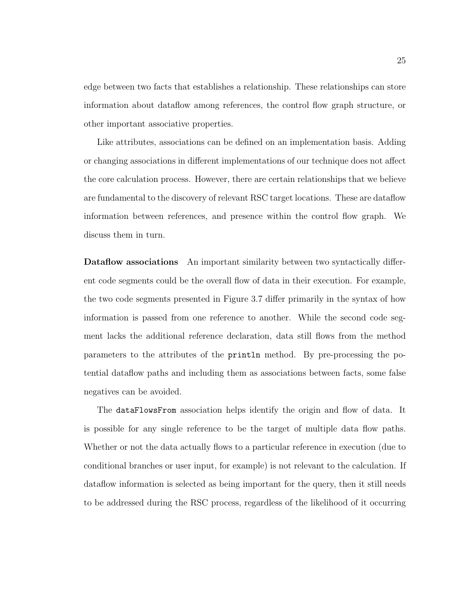edge between two facts that establishes a relationship. These relationships can store information about dataflow among references, the control flow graph structure, or other important associative properties.

Like attributes, associations can be defined on an implementation basis. Adding or changing associations in different implementations of our technique does not affect the core calculation process. However, there are certain relationships that we believe are fundamental to the discovery of relevant RSC target locations. These are dataflow information between references, and presence within the control flow graph. We discuss them in turn.

Dataflow associations An important similarity between two syntactically different code segments could be the overall flow of data in their execution. For example, the two code segments presented in Figure 3.7 differ primarily in the syntax of how information is passed from one reference to another. While the second code segment lacks the additional reference declaration, data still flows from the method parameters to the attributes of the println method. By pre-processing the potential dataflow paths and including them as associations between facts, some false negatives can be avoided.

The dataFlowsFrom association helps identify the origin and flow of data. It is possible for any single reference to be the target of multiple data flow paths. Whether or not the data actually flows to a particular reference in execution (due to conditional branches or user input, for example) is not relevant to the calculation. If dataflow information is selected as being important for the query, then it still needs to be addressed during the RSC process, regardless of the likelihood of it occurring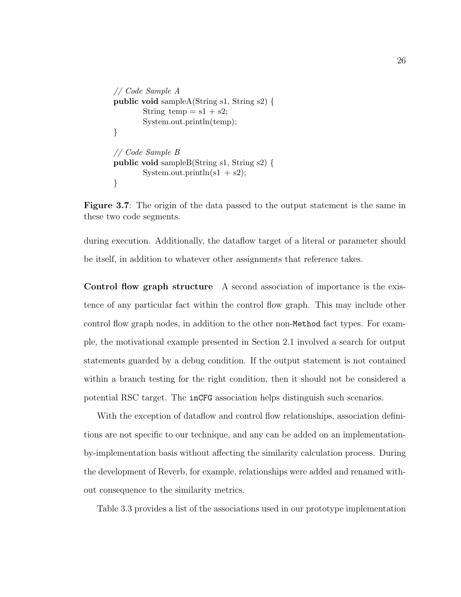```
// Code Sample A
public void sampleA(String s1, String s2) {
        String temp = s1 + s2;
        System.out.println(temp);
}
// Code Sample B
public void sampleB(String s1, String s2) {
       System.out.println(s1 + s2);
}
```
Figure 3.7: The origin of the data passed to the output statement is the same in these two code segments.

during execution. Additionally, the dataflow target of a literal or parameter should be itself, in addition to whatever other assignments that reference takes.

Control flow graph structure A second association of importance is the existence of any particular fact within the control flow graph. This may include other control flow graph nodes, in addition to the other non-Method fact types. For example, the motivational example presented in Section 2.1 involved a search for output statements guarded by a debug condition. If the output statement is not contained within a branch testing for the right condition, then it should not be considered a potential RSC target. The inCFG association helps distinguish such scenarios.

With the exception of dataflow and control flow relationships, association definitions are not specific to our technique, and any can be added on an implementationby-implementation basis without affecting the similarity calculation process. During the development of Reverb, for example, relationships were added and renamed without consequence to the similarity metrics.

Table 3.3 provides a list of the associations used in our prototype implementation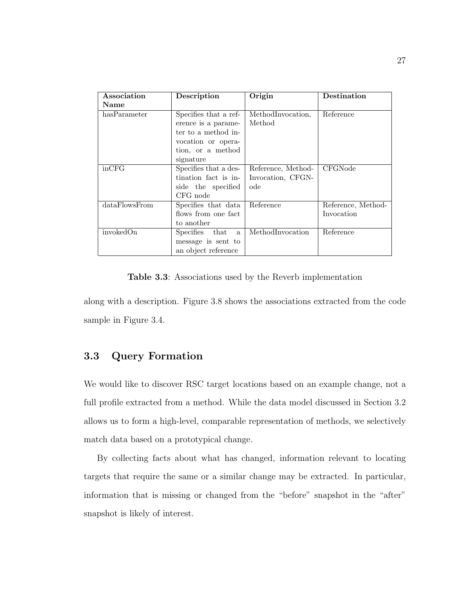| Association   | Description                    | Origin             | Destination        |  |
|---------------|--------------------------------|--------------------|--------------------|--|
| Name          |                                |                    |                    |  |
| hasParameter  | Specifies that a ref-          | MethodInvocation.  | Reference          |  |
|               | erence is a parame-            | Method             |                    |  |
|               | ter to a method in-            |                    |                    |  |
|               | vocation or opera-             |                    |                    |  |
|               | tion, or a method              |                    |                    |  |
|               | signature                      |                    |                    |  |
| incFG         | Specifies that a des-          | Reference, Method- | CFGNode            |  |
|               | tination fact is in-           | Invocation, CFGN-  |                    |  |
|               | side the specified             | ode                |                    |  |
|               | CFG node                       |                    |                    |  |
| dataFlowsFrom | Specifies that data            | Reference          | Reference, Method- |  |
|               | flows from one fact            |                    | Invocation         |  |
|               | to another                     |                    |                    |  |
| invokedOn     | Specifies that<br>$\mathbf{a}$ | MethodInvocation   | Reference          |  |
|               | message is sent to             |                    |                    |  |
|               | an object reference            |                    |                    |  |

Table 3.3: Associations used by the Reverb implementation

along with a description. Figure 3.8 shows the associations extracted from the code sample in Figure 3.4.

## 3.3 Query Formation

We would like to discover RSC target locations based on an example change, not a full profile extracted from a method. While the data model discussed in Section 3.2 allows us to form a high-level, comparable representation of methods, we selectively match data based on a prototypical change.

By collecting facts about what has changed, information relevant to locating targets that require the same or a similar change may be extracted. In particular, information that is missing or changed from the "before" snapshot in the "after" snapshot is likely of interest.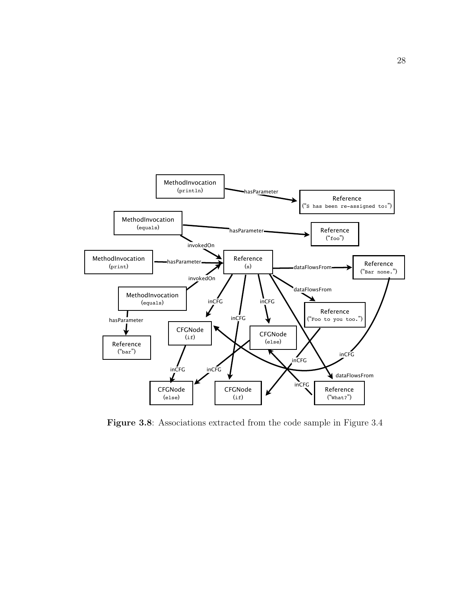

Figure 3.8: Associations extracted from the code sample in Figure 3.4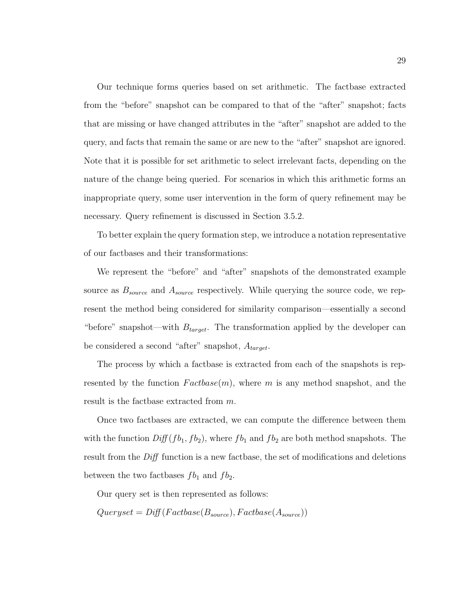Our technique forms queries based on set arithmetic. The factbase extracted from the "before" snapshot can be compared to that of the "after" snapshot; facts that are missing or have changed attributes in the "after" snapshot are added to the query, and facts that remain the same or are new to the "after" snapshot are ignored. Note that it is possible for set arithmetic to select irrelevant facts, depending on the nature of the change being queried. For scenarios in which this arithmetic forms an inappropriate query, some user intervention in the form of query refinement may be necessary. Query refinement is discussed in Section 3.5.2.

To better explain the query formation step, we introduce a notation representative of our factbases and their transformations:

We represent the "before" and "after" snapshots of the demonstrated example source as  $B_{source}$  and  $A_{source}$  respectively. While querying the source code, we represent the method being considered for similarity comparison—essentially a second "before" snapshot—with  $B_{target}$ . The transformation applied by the developer can be considered a second "after" snapshot,  $A_{target}$ .

The process by which a factbase is extracted from each of the snapshots is represented by the function  $Factbase(m)$ , where m is any method snapshot, and the result is the factbase extracted from m.

Once two factbases are extracted, we can compute the difference between them with the function  $Diff(fb_1, fb_2)$ , where  $fb_1$  and  $fb_2$  are both method snapshots. The result from the Diff function is a new factbase, the set of modifications and deletions between the two factbases  $fb_1$  and  $fb_2$ .

Our query set is then represented as follows:

 $Queryset = Diff(Factbase(B_{source}), Factbase(A_{source}))$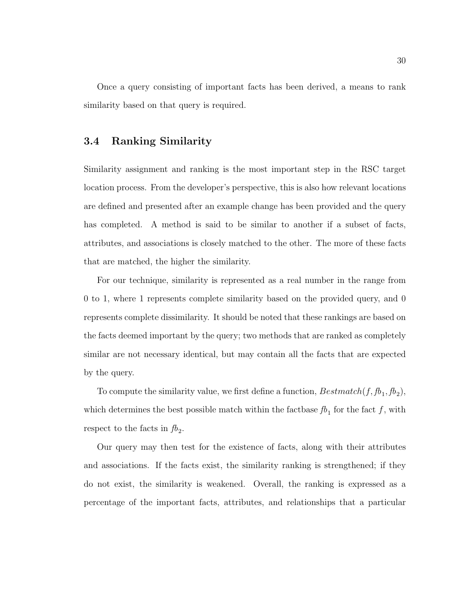Once a query consisting of important facts has been derived, a means to rank similarity based on that query is required.

# 3.4 Ranking Similarity

Similarity assignment and ranking is the most important step in the RSC target location process. From the developer's perspective, this is also how relevant locations are defined and presented after an example change has been provided and the query has completed. A method is said to be similar to another if a subset of facts, attributes, and associations is closely matched to the other. The more of these facts that are matched, the higher the similarity.

For our technique, similarity is represented as a real number in the range from 0 to 1, where 1 represents complete similarity based on the provided query, and 0 represents complete dissimilarity. It should be noted that these rankings are based on the facts deemed important by the query; two methods that are ranked as completely similar are not necessary identical, but may contain all the facts that are expected by the query.

To compute the similarity value, we first define a function,  $Bestmatch(f, fb<sub>1</sub>, fb<sub>2</sub>)$ , which determines the best possible match within the factbase  $fb_1$  for the fact  $f$ , with respect to the facts in  $fb_2$ .

Our query may then test for the existence of facts, along with their attributes and associations. If the facts exist, the similarity ranking is strengthened; if they do not exist, the similarity is weakened. Overall, the ranking is expressed as a percentage of the important facts, attributes, and relationships that a particular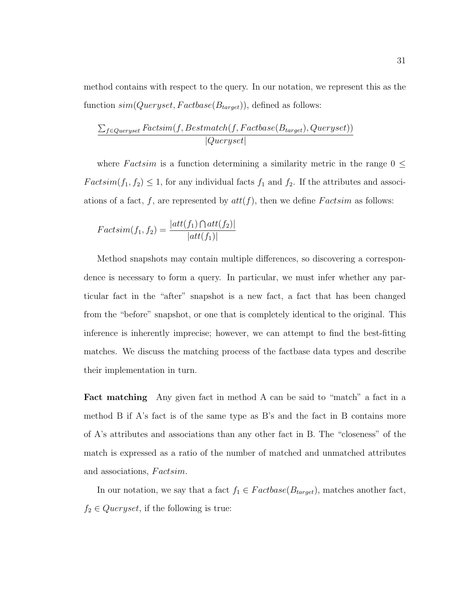method contains with respect to the query. In our notation, we represent this as the function  $sim(Queryset, Factbase(B_{target}))$ , defined as follows:

$$
\frac{\sum_{f \in Queryset}Factor(f,Bestmatch(f, Factbase(B_{target}), Queryset))}{|Queryset|}
$$

where Factsim is a function determining a similarity metric in the range  $0 \leq$  $Factor(f_1, f_2) \leq 1$ , for any individual facts  $f_1$  and  $f_2$ . If the attributes and associations of a fact,  $f$ , are represented by  $att(f)$ , then we define  $Factsim$  as follows:

$$
Factsim(f_1, f_2) = \frac{|att(f_1) \bigcap att(f_2)|}{|att(f_1)|}
$$

Method snapshots may contain multiple differences, so discovering a correspondence is necessary to form a query. In particular, we must infer whether any particular fact in the "after" snapshot is a new fact, a fact that has been changed from the "before" snapshot, or one that is completely identical to the original. This inference is inherently imprecise; however, we can attempt to find the best-fitting matches. We discuss the matching process of the factbase data types and describe their implementation in turn.

Fact matching Any given fact in method A can be said to "match" a fact in a method B if A's fact is of the same type as B's and the fact in B contains more of A's attributes and associations than any other fact in B. The "closeness" of the match is expressed as a ratio of the number of matched and unmatched attributes and associations, Factsim.

In our notation, we say that a fact  $f_1 \in Factbase(B_{target})$ , matches another fact,  $f_2 \in Queryset$ , if the following is true: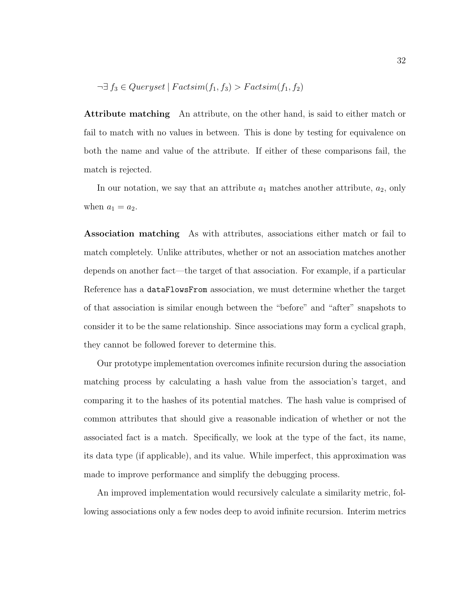$$
\neg \exists f_3 \in Queryset \mid Factsim(f_1, f_3) > Factsim(f_1, f_2)
$$

Attribute matching An attribute, on the other hand, is said to either match or fail to match with no values in between. This is done by testing for equivalence on both the name and value of the attribute. If either of these comparisons fail, the match is rejected.

In our notation, we say that an attribute  $a_1$  matches another attribute,  $a_2$ , only when  $a_1 = a_2$ .

Association matching As with attributes, associations either match or fail to match completely. Unlike attributes, whether or not an association matches another depends on another fact—the target of that association. For example, if a particular Reference has a dataFlowsFrom association, we must determine whether the target of that association is similar enough between the "before" and "after" snapshots to consider it to be the same relationship. Since associations may form a cyclical graph, they cannot be followed forever to determine this.

Our prototype implementation overcomes infinite recursion during the association matching process by calculating a hash value from the association's target, and comparing it to the hashes of its potential matches. The hash value is comprised of common attributes that should give a reasonable indication of whether or not the associated fact is a match. Specifically, we look at the type of the fact, its name, its data type (if applicable), and its value. While imperfect, this approximation was made to improve performance and simplify the debugging process.

An improved implementation would recursively calculate a similarity metric, following associations only a few nodes deep to avoid infinite recursion. Interim metrics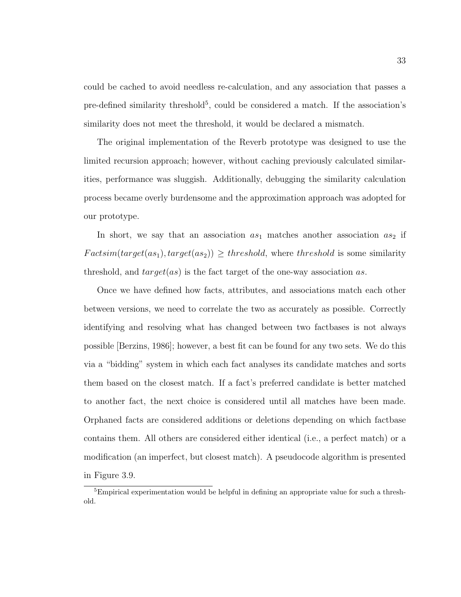could be cached to avoid needless re-calculation, and any association that passes a pre-defined similarity threshold<sup>5</sup>, could be considered a match. If the association's similarity does not meet the threshold, it would be declared a mismatch.

The original implementation of the Reverb prototype was designed to use the limited recursion approach; however, without caching previously calculated similarities, performance was sluggish. Additionally, debugging the similarity calculation process became overly burdensome and the approximation approach was adopted for our prototype.

In short, we say that an association  $as_1$  matches another association  $as_2$  if  $Fastim(target(as_1), target(as_2)) \geq threshold,$  where threshold is some similarity threshold, and  $target(as)$  is the fact target of the one-way association as.

Once we have defined how facts, attributes, and associations match each other between versions, we need to correlate the two as accurately as possible. Correctly identifying and resolving what has changed between two factbases is not always possible [Berzins, 1986]; however, a best fit can be found for any two sets. We do this via a "bidding" system in which each fact analyses its candidate matches and sorts them based on the closest match. If a fact's preferred candidate is better matched to another fact, the next choice is considered until all matches have been made. Orphaned facts are considered additions or deletions depending on which factbase contains them. All others are considered either identical (i.e., a perfect match) or a modification (an imperfect, but closest match). A pseudocode algorithm is presented in Figure 3.9.

<sup>&</sup>lt;sup>5</sup>Empirical experimentation would be helpful in defining an appropriate value for such a threshold.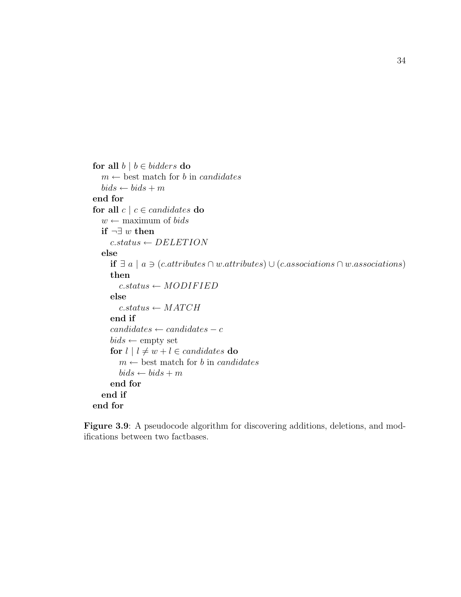```
for all b \mid b \in bidders do
  m \leftarrow best match for b in candidates
  bids \leftarrow bids + mend for
for all c \mid c \in candidates do
   w \leftarrow maximum of bids
  if \neg \exists w then
     c. status \leftarrow DELETIONelse
     if ∃ a | a∂ (c.attribute s ∩ w. attribute s) ∪ (c. associative ∩ w. associates)then
        c. status \leftarrow MODIFIEDelse
        c.\mathit{status} \leftarrow \mathit{MATCH}end if
     candidates \leftarrow candidates - cbids \leftarrow \text{empty set}for l \mid l \neq w + l \in candidates do
        m \leftarrow best match for b in candidates
        bids \leftarrow bids + mend for
   end if
end for
```
Figure 3.9: A pseudocode algorithm for discovering additions, deletions, and modifications between two factbases.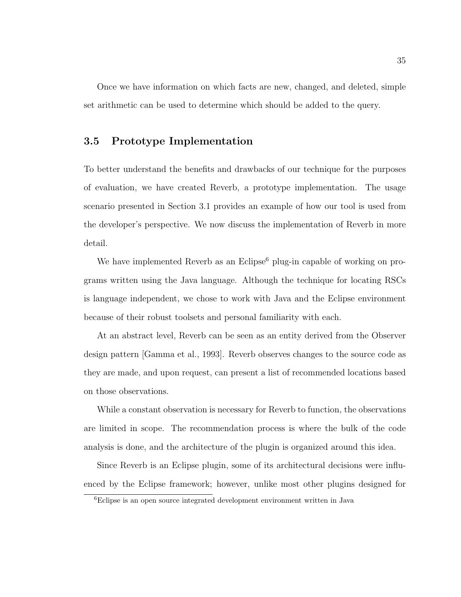Once we have information on which facts are new, changed, and deleted, simple set arithmetic can be used to determine which should be added to the query.

# 3.5 Prototype Implementation

To better understand the benefits and drawbacks of our technique for the purposes of evaluation, we have created Reverb, a prototype implementation. The usage scenario presented in Section 3.1 provides an example of how our tool is used from the developer's perspective. We now discuss the implementation of Reverb in more detail.

We have implemented Reverb as an Eclipse<sup>6</sup> plug-in capable of working on programs written using the Java language. Although the technique for locating RSCs is language independent, we chose to work with Java and the Eclipse environment because of their robust toolsets and personal familiarity with each.

At an abstract level, Reverb can be seen as an entity derived from the Observer design pattern [Gamma et al., 1993]. Reverb observes changes to the source code as they are made, and upon request, can present a list of recommended locations based on those observations.

While a constant observation is necessary for Reverb to function, the observations are limited in scope. The recommendation process is where the bulk of the code analysis is done, and the architecture of the plugin is organized around this idea.

Since Reverb is an Eclipse plugin, some of its architectural decisions were influenced by the Eclipse framework; however, unlike most other plugins designed for

<sup>6</sup>Eclipse is an open source integrated development environment written in Java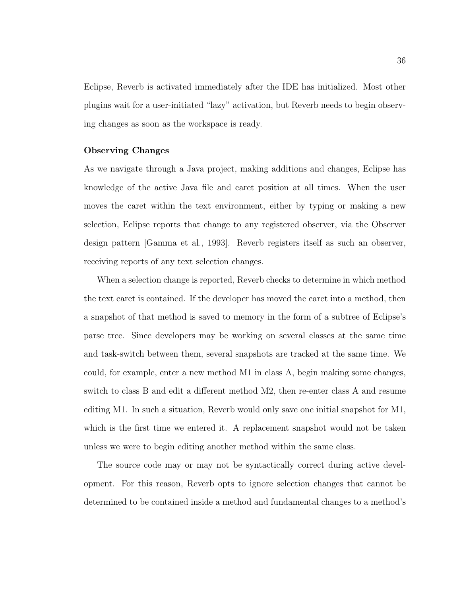Eclipse, Reverb is activated immediately after the IDE has initialized. Most other plugins wait for a user-initiated "lazy" activation, but Reverb needs to begin observing changes as soon as the workspace is ready.

### Observing Changes

As we navigate through a Java project, making additions and changes, Eclipse has knowledge of the active Java file and caret position at all times. When the user moves the caret within the text environment, either by typing or making a new selection, Eclipse reports that change to any registered observer, via the Observer design pattern [Gamma et al., 1993]. Reverb registers itself as such an observer, receiving reports of any text selection changes.

When a selection change is reported, Reverb checks to determine in which method the text caret is contained. If the developer has moved the caret into a method, then a snapshot of that method is saved to memory in the form of a subtree of Eclipse's parse tree. Since developers may be working on several classes at the same time and task-switch between them, several snapshots are tracked at the same time. We could, for example, enter a new method M1 in class A, begin making some changes, switch to class B and edit a different method M2, then re-enter class A and resume editing M1. In such a situation, Reverb would only save one initial snapshot for M1, which is the first time we entered it. A replacement snapshot would not be taken unless we were to begin editing another method within the same class.

The source code may or may not be syntactically correct during active development. For this reason, Reverb opts to ignore selection changes that cannot be determined to be contained inside a method and fundamental changes to a method's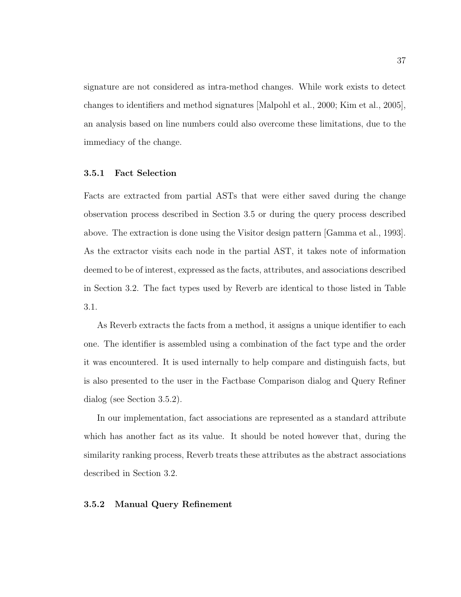signature are not considered as intra-method changes. While work exists to detect changes to identifiers and method signatures [Malpohl et al., 2000; Kim et al., 2005], an analysis based on line numbers could also overcome these limitations, due to the immediacy of the change.

### 3.5.1 Fact Selection

Facts are extracted from partial ASTs that were either saved during the change observation process described in Section 3.5 or during the query process described above. The extraction is done using the Visitor design pattern [Gamma et al., 1993]. As the extractor visits each node in the partial AST, it takes note of information deemed to be of interest, expressed as the facts, attributes, and associations described in Section 3.2. The fact types used by Reverb are identical to those listed in Table 3.1.

As Reverb extracts the facts from a method, it assigns a unique identifier to each one. The identifier is assembled using a combination of the fact type and the order it was encountered. It is used internally to help compare and distinguish facts, but is also presented to the user in the Factbase Comparison dialog and Query Refiner dialog (see Section 3.5.2).

In our implementation, fact associations are represented as a standard attribute which has another fact as its value. It should be noted however that, during the similarity ranking process, Reverb treats these attributes as the abstract associations described in Section 3.2.

### 3.5.2 Manual Query Refinement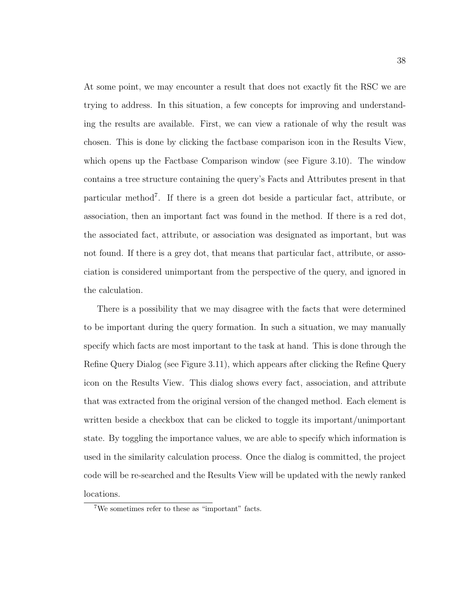At some point, we may encounter a result that does not exactly fit the RSC we are trying to address. In this situation, a few concepts for improving and understanding the results are available. First, we can view a rationale of why the result was chosen. This is done by clicking the factbase comparison icon in the Results View, which opens up the Factbase Comparison window (see Figure 3.10). The window contains a tree structure containing the query's Facts and Attributes present in that particular method<sup>7</sup> . If there is a green dot beside a particular fact, attribute, or association, then an important fact was found in the method. If there is a red dot, the associated fact, attribute, or association was designated as important, but was not found. If there is a grey dot, that means that particular fact, attribute, or association is considered unimportant from the perspective of the query, and ignored in the calculation.

There is a possibility that we may disagree with the facts that were determined to be important during the query formation. In such a situation, we may manually specify which facts are most important to the task at hand. This is done through the Refine Query Dialog (see Figure 3.11), which appears after clicking the Refine Query icon on the Results View. This dialog shows every fact, association, and attribute that was extracted from the original version of the changed method. Each element is written beside a checkbox that can be clicked to toggle its important/unimportant state. By toggling the importance values, we are able to specify which information is used in the similarity calculation process. Once the dialog is committed, the project code will be re-searched and the Results View will be updated with the newly ranked locations.

<sup>7</sup>We sometimes refer to these as "important" facts.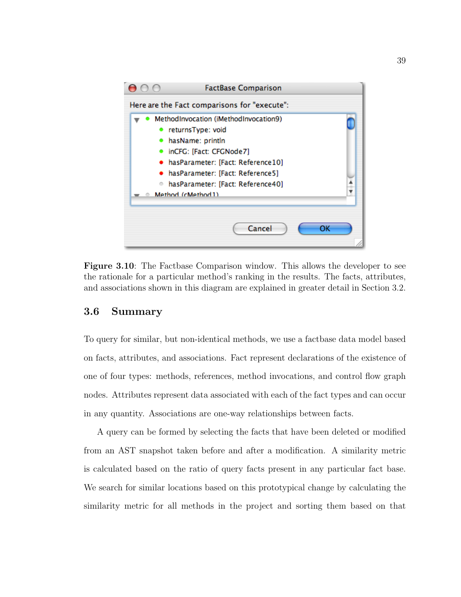

Figure 3.10: The Factbase Comparison window. This allows the developer to see the rationale for a particular method's ranking in the results. The facts, attributes, and associations shown in this diagram are explained in greater detail in Section 3.2.

# 3.6 Summary

To query for similar, but non-identical methods, we use a factbase data model based on facts, attributes, and associations. Fact represent declarations of the existence of one of four types: methods, references, method invocations, and control flow graph nodes. Attributes represent data associated with each of the fact types and can occur in any quantity. Associations are one-way relationships between facts.

A query can be formed by selecting the facts that have been deleted or modified from an AST snapshot taken before and after a modification. A similarity metric is calculated based on the ratio of query facts present in any particular fact base. We search for similar locations based on this prototypical change by calculating the similarity metric for all methods in the project and sorting them based on that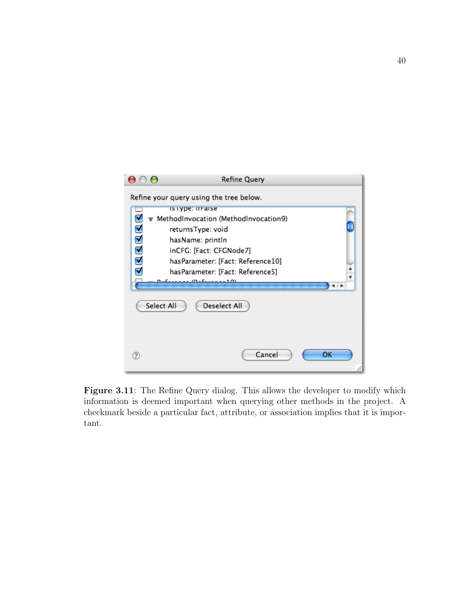

Figure 3.11: The Refine Query dialog. This allows the developer to modify which information is deemed important when querying other methods in the project. A checkmark beside a particular fact, attribute, or association implies that it is important.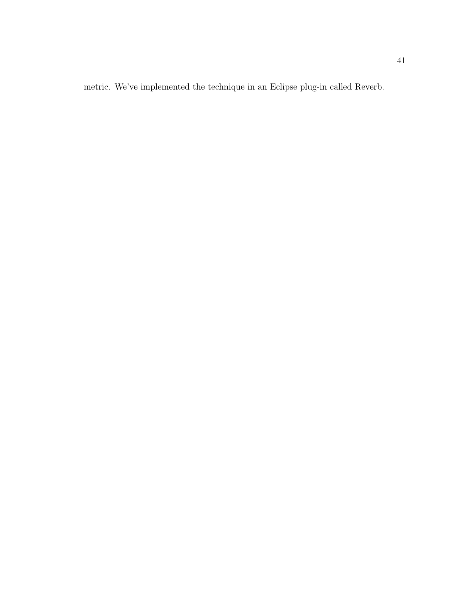metric. We've implemented the technique in an Eclipse plug-in called Reverb.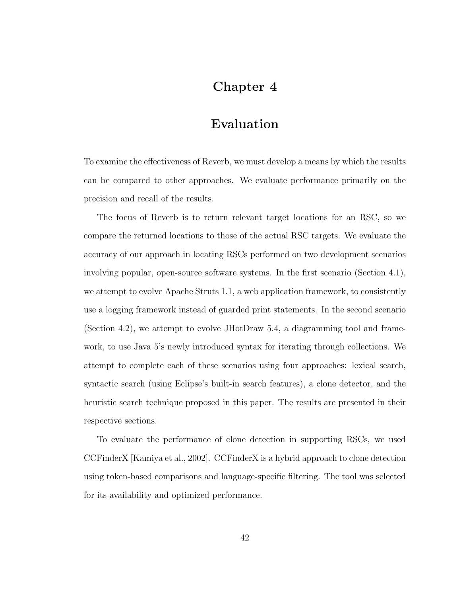# Chapter 4

# Evaluation

To examine the effectiveness of Reverb, we must develop a means by which the results can be compared to other approaches. We evaluate performance primarily on the precision and recall of the results.

The focus of Reverb is to return relevant target locations for an RSC, so we compare the returned locations to those of the actual RSC targets. We evaluate the accuracy of our approach in locating RSCs performed on two development scenarios involving popular, open-source software systems. In the first scenario (Section 4.1), we attempt to evolve Apache Struts 1.1, a web application framework, to consistently use a logging framework instead of guarded print statements. In the second scenario (Section 4.2), we attempt to evolve JHotDraw 5.4, a diagramming tool and framework, to use Java 5's newly introduced syntax for iterating through collections. We attempt to complete each of these scenarios using four approaches: lexical search, syntactic search (using Eclipse's built-in search features), a clone detector, and the heuristic search technique proposed in this paper. The results are presented in their respective sections.

To evaluate the performance of clone detection in supporting RSCs, we used CCFinderX [Kamiya et al., 2002]. CCFinderX is a hybrid approach to clone detection using token-based comparisons and language-specific filtering. The tool was selected for its availability and optimized performance.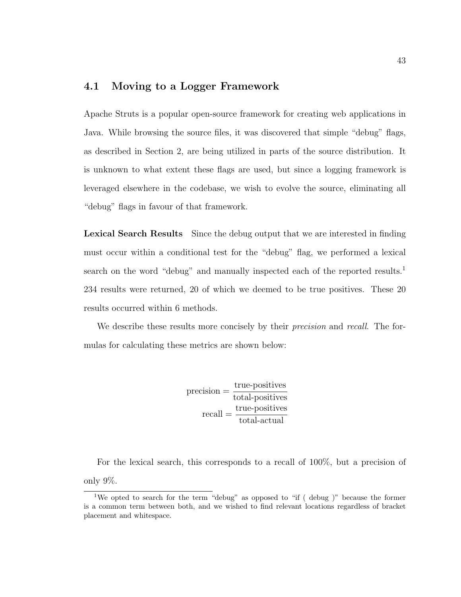## 4.1 Moving to a Logger Framework

Apache Struts is a popular open-source framework for creating web applications in Java. While browsing the source files, it was discovered that simple "debug" flags, as described in Section 2, are being utilized in parts of the source distribution. It is unknown to what extent these flags are used, but since a logging framework is leveraged elsewhere in the codebase, we wish to evolve the source, eliminating all "debug" flags in favour of that framework.

Lexical Search Results Since the debug output that we are interested in finding must occur within a conditional test for the "debug" flag, we performed a lexical search on the word "debug" and manually inspected each of the reported results.<sup>1</sup> 234 results were returned, 20 of which we deemed to be true positives. These 20 results occurred within 6 methods.

We describe these results more concisely by their *precision* and *recall*. The formulas for calculating these metrics are shown below:

> precision = true-positives total-positives  $recall = \frac{true\text{-}positives}{1}$ total-actual

For the lexical search, this corresponds to a recall of 100%, but a precision of only 9%.

<sup>&</sup>lt;sup>1</sup>We opted to search for the term "debug" as opposed to "if ( debug )" because the former is a common term between both, and we wished to find relevant locations regardless of bracket placement and whitespace.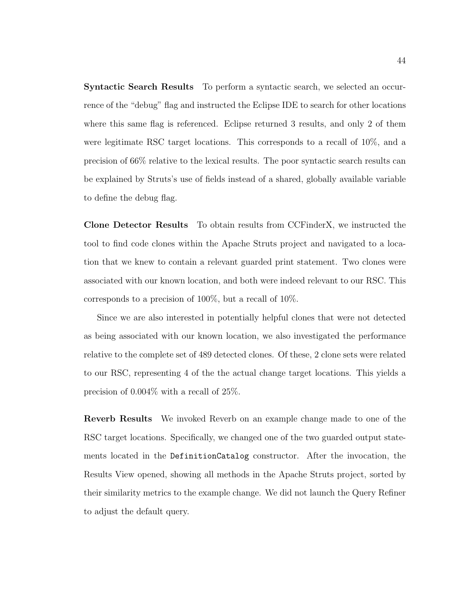Syntactic Search Results To perform a syntactic search, we selected an occurrence of the "debug" flag and instructed the Eclipse IDE to search for other locations where this same flag is referenced. Eclipse returned 3 results, and only 2 of them were legitimate RSC target locations. This corresponds to a recall of 10%, and a precision of 66% relative to the lexical results. The poor syntactic search results can be explained by Struts's use of fields instead of a shared, globally available variable to define the debug flag.

Clone Detector Results To obtain results from CCFinderX, we instructed the tool to find code clones within the Apache Struts project and navigated to a location that we knew to contain a relevant guarded print statement. Two clones were associated with our known location, and both were indeed relevant to our RSC. This corresponds to a precision of 100%, but a recall of 10%.

Since we are also interested in potentially helpful clones that were not detected as being associated with our known location, we also investigated the performance relative to the complete set of 489 detected clones. Of these, 2 clone sets were related to our RSC, representing 4 of the the actual change target locations. This yields a precision of 0.004% with a recall of 25%.

Reverb Results We invoked Reverb on an example change made to one of the RSC target locations. Specifically, we changed one of the two guarded output statements located in the DefinitionCatalog constructor. After the invocation, the Results View opened, showing all methods in the Apache Struts project, sorted by their similarity metrics to the example change. We did not launch the Query Refiner to adjust the default query.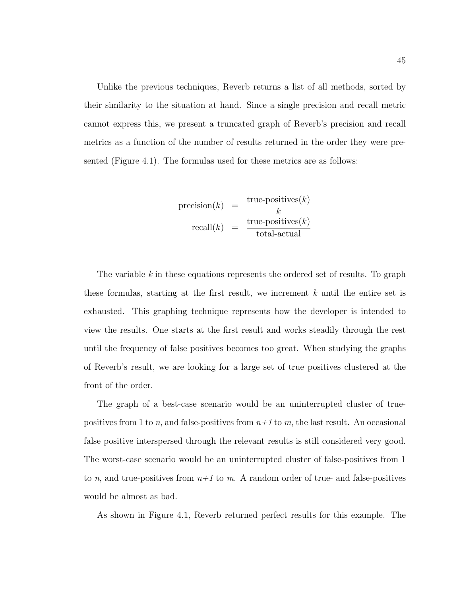Unlike the previous techniques, Reverb returns a list of all methods, sorted by their similarity to the situation at hand. Since a single precision and recall metric cannot express this, we present a truncated graph of Reverb's precision and recall metrics as a function of the number of results returned in the order they were presented (Figure 4.1). The formulas used for these metrics are as follows:

$$
precision(k) = \frac{true\text{-positives}(k)}{k}
$$

$$
recall(k) = \frac{true\text{-positives}(k)}{\text{total-actual}}
$$

The variable  $k$  in these equations represents the ordered set of results. To graph these formulas, starting at the first result, we increment  $k$  until the entire set is exhausted. This graphing technique represents how the developer is intended to view the results. One starts at the first result and works steadily through the rest until the frequency of false positives becomes too great. When studying the graphs of Reverb's result, we are looking for a large set of true positives clustered at the front of the order.

The graph of a best-case scenario would be an uninterrupted cluster of truepositives from 1 to n, and false-positives from  $n+1$  to m, the last result. An occasional false positive interspersed through the relevant results is still considered very good. The worst-case scenario would be an uninterrupted cluster of false-positives from 1 to n, and true-positives from  $n+1$  to m. A random order of true- and false-positives would be almost as bad.

As shown in Figure 4.1, Reverb returned perfect results for this example. The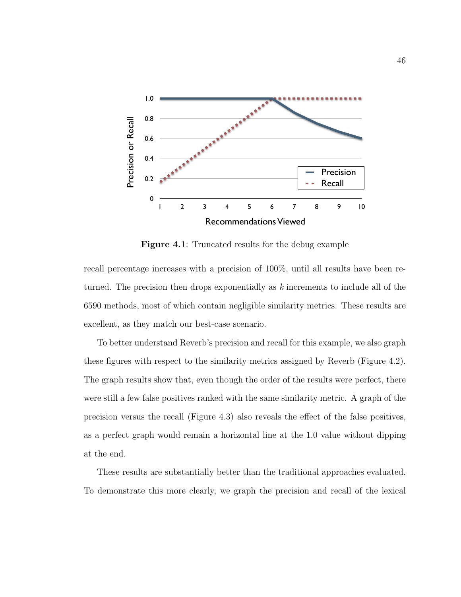

Figure 4.1: Truncated results for the debug example

recall percentage increases with a precision of 100%, until all results have been returned. The precision then drops exponentially as k increments to include all of the 6590 methods, most of which contain negligible similarity metrics. These results are excellent, as they match our best-case scenario.

To better understand Reverb's precision and recall for this example, we also graph these figures with respect to the similarity metrics assigned by Reverb (Figure 4.2). The graph results show that, even though the order of the results were perfect, there were still a few false positives ranked with the same similarity metric. A graph of the precision versus the recall (Figure 4.3) also reveals the effect of the false positives, as a perfect graph would remain a horizontal line at the 1.0 value without dipping at the end.

These results are substantially better than the traditional approaches evaluated. To demonstrate this more clearly, we graph the precision and recall of the lexical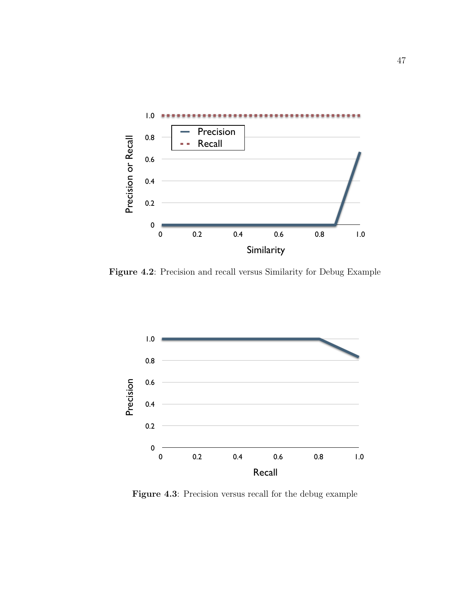

Figure 4.2: Precision and recall versus Similarity for Debug Example



Figure 4.3: Precision versus recall for the debug example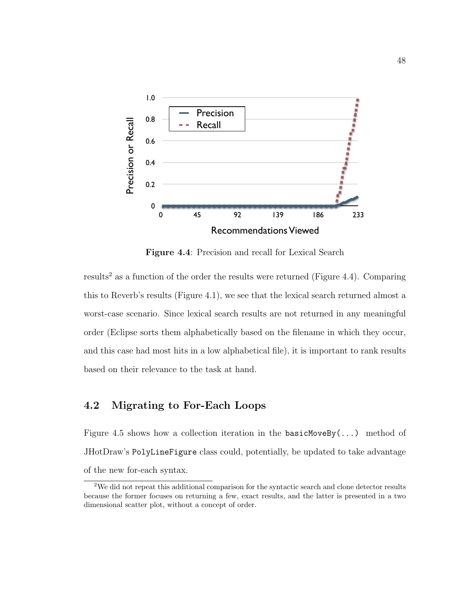

Figure 4.4: Precision and recall for Lexical Search

results<sup>2</sup> as a function of the order the results were returned (Figure 4.4). Comparing this to Reverb's results (Figure 4.1), we see that the lexical search returned almost a worst-case scenario. Since lexical search results are not returned in any meaningful order (Eclipse sorts them alphabetically based on the filename in which they occur, and this case had most hits in a low alphabetical file), it is important to rank results based on their relevance to the task at hand.

# 4.2 Migrating to For-Each Loops

Figure 4.5 shows how a collection iteration in the basicMoveBy(...) method of JHotDraw's PolyLineFigure class could, potentially, be updated to take advantage of the new for-each syntax.

<sup>2</sup>We did not repeat this additional comparison for the syntactic search and clone detector results because the former focuses on returning a few, exact results, and the latter is presented in a two dimensional scatter plot, without a concept of order.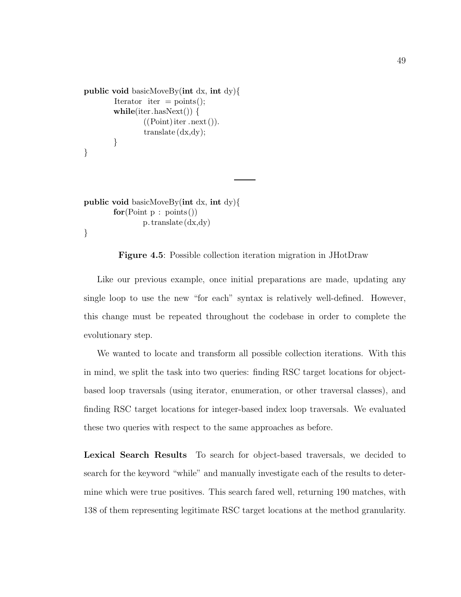```
public void basicMoveBy(int dx, int dy){
        Iterator iter = points();
        while(iter.hasNext()) {
                 ((Point) iter . next ()).
                 translate (dx,dy);
        }
}
```

```
public void basicMoveBy(int dx, int dy)\{for(Point p : points())p. translate (dx,dy)
}
```
### Figure 4.5: Possible collection iteration migration in JHotDraw

Like our previous example, once initial preparations are made, updating any single loop to use the new "for each" syntax is relatively well-defined. However, this change must be repeated throughout the codebase in order to complete the evolutionary step.

We wanted to locate and transform all possible collection iterations. With this in mind, we split the task into two queries: finding RSC target locations for objectbased loop traversals (using iterator, enumeration, or other traversal classes), and finding RSC target locations for integer-based index loop traversals. We evaluated these two queries with respect to the same approaches as before.

Lexical Search Results To search for object-based traversals, we decided to search for the keyword "while" and manually investigate each of the results to determine which were true positives. This search fared well, returning 190 matches, with 138 of them representing legitimate RSC target locations at the method granularity.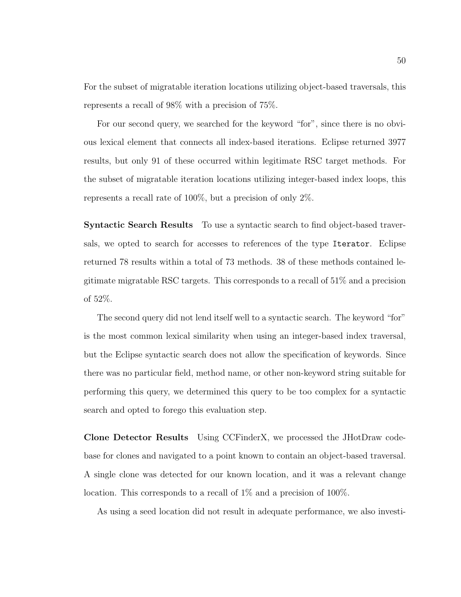For the subset of migratable iteration locations utilizing object-based traversals, this represents a recall of 98% with a precision of 75%.

For our second query, we searched for the keyword "for", since there is no obvious lexical element that connects all index-based iterations. Eclipse returned 3977 results, but only 91 of these occurred within legitimate RSC target methods. For the subset of migratable iteration locations utilizing integer-based index loops, this represents a recall rate of 100%, but a precision of only 2%.

Syntactic Search Results To use a syntactic search to find object-based traversals, we opted to search for accesses to references of the type Iterator. Eclipse returned 78 results within a total of 73 methods. 38 of these methods contained legitimate migratable RSC targets. This corresponds to a recall of 51% and a precision of 52%.

The second query did not lend itself well to a syntactic search. The keyword "for" is the most common lexical similarity when using an integer-based index traversal, but the Eclipse syntactic search does not allow the specification of keywords. Since there was no particular field, method name, or other non-keyword string suitable for performing this query, we determined this query to be too complex for a syntactic search and opted to forego this evaluation step.

Clone Detector Results Using CCFinderX, we processed the JHotDraw codebase for clones and navigated to a point known to contain an object-based traversal. A single clone was detected for our known location, and it was a relevant change location. This corresponds to a recall of  $1\%$  and a precision of  $100\%$ .

As using a seed location did not result in adequate performance, we also investi-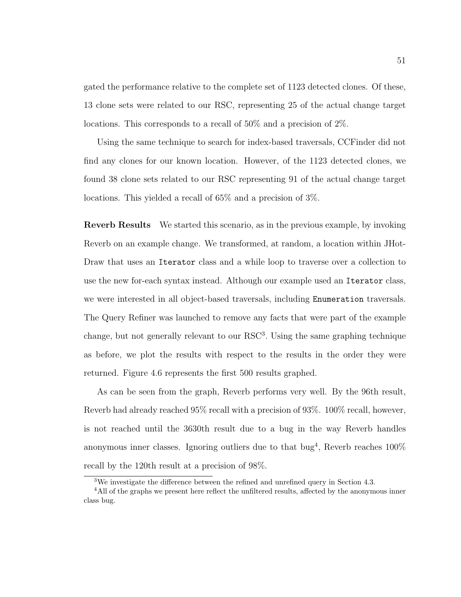gated the performance relative to the complete set of 1123 detected clones. Of these, 13 clone sets were related to our RSC, representing 25 of the actual change target locations. This corresponds to a recall of 50% and a precision of 2%.

Using the same technique to search for index-based traversals, CCFinder did not find any clones for our known location. However, of the 1123 detected clones, we found 38 clone sets related to our RSC representing 91 of the actual change target locations. This yielded a recall of  $65\%$  and a precision of  $3\%$ .

Reverb Results We started this scenario, as in the previous example, by invoking Reverb on an example change. We transformed, at random, a location within JHot-Draw that uses an Iterator class and a while loop to traverse over a collection to use the new for-each syntax instead. Although our example used an Iterator class, we were interested in all object-based traversals, including Enumeration traversals. The Query Refiner was launched to remove any facts that were part of the example change, but not generally relevant to our RSC<sup>3</sup> . Using the same graphing technique as before, we plot the results with respect to the results in the order they were returned. Figure 4.6 represents the first 500 results graphed.

As can be seen from the graph, Reverb performs very well. By the 96th result, Reverb had already reached 95% recall with a precision of 93%. 100% recall, however, is not reached until the 3630th result due to a bug in the way Reverb handles anonymous inner classes. Ignoring outliers due to that bug<sup>4</sup>, Reverb reaches  $100\%$ recall by the 120th result at a precision of 98%.

<sup>&</sup>lt;sup>3</sup>We investigate the difference between the refined and unrefined query in Section 4.3.

<sup>&</sup>lt;sup>4</sup>All of the graphs we present here reflect the unfiltered results, affected by the anonymous inner class bug.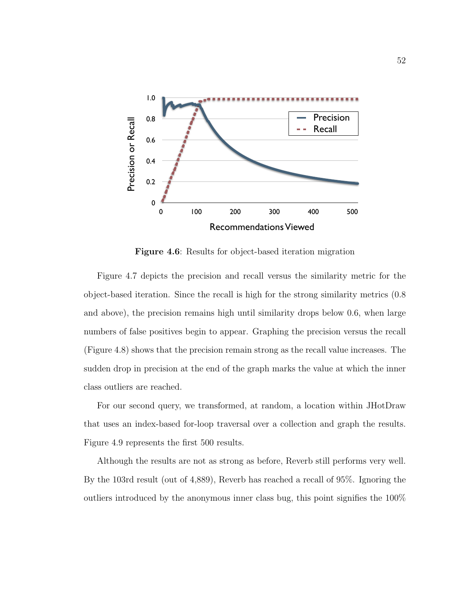

Figure 4.6: Results for object-based iteration migration

Figure 4.7 depicts the precision and recall versus the similarity metric for the object-based iteration. Since the recall is high for the strong similarity metrics (0.8 and above), the precision remains high until similarity drops below 0.6, when large numbers of false positives begin to appear. Graphing the precision versus the recall (Figure 4.8) shows that the precision remain strong as the recall value increases. The sudden drop in precision at the end of the graph marks the value at which the inner class outliers are reached.

For our second query, we transformed, at random, a location within JHotDraw that uses an index-based for-loop traversal over a collection and graph the results. Figure 4.9 represents the first 500 results.

Although the results are not as strong as before, Reverb still performs very well. By the 103rd result (out of 4,889), Reverb has reached a recall of 95%. Ignoring the outliers introduced by the anonymous inner class bug, this point signifies the 100%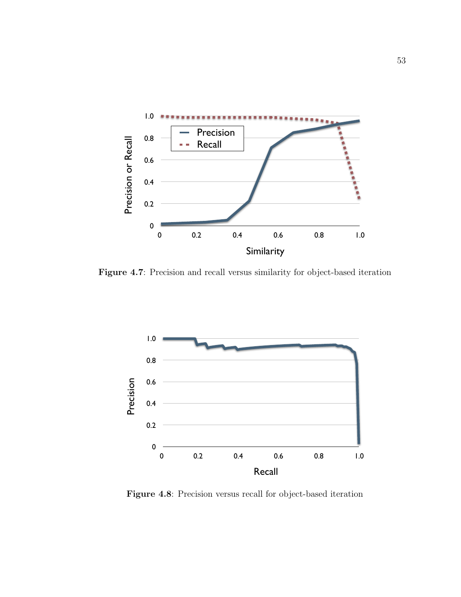

Figure 4.7: Precision and recall versus similarity for object-based iteration



Figure 4.8: Precision versus recall for object-based iteration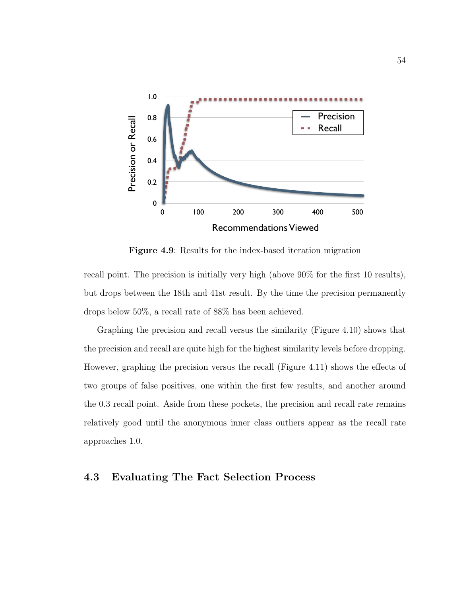

Figure 4.9: Results for the index-based iteration migration

recall point. The precision is initially very high (above 90% for the first 10 results), but drops between the 18th and 41st result. By the time the precision permanently drops below 50%, a recall rate of 88% has been achieved.

Graphing the precision and recall versus the similarity (Figure 4.10) shows that the precision and recall are quite high for the highest similarity levels before dropping. However, graphing the precision versus the recall (Figure 4.11) shows the effects of two groups of false positives, one within the first few results, and another around the 0.3 recall point. Aside from these pockets, the precision and recall rate remains relatively good until the anonymous inner class outliers appear as the recall rate approaches 1.0.

## 4.3 Evaluating The Fact Selection Process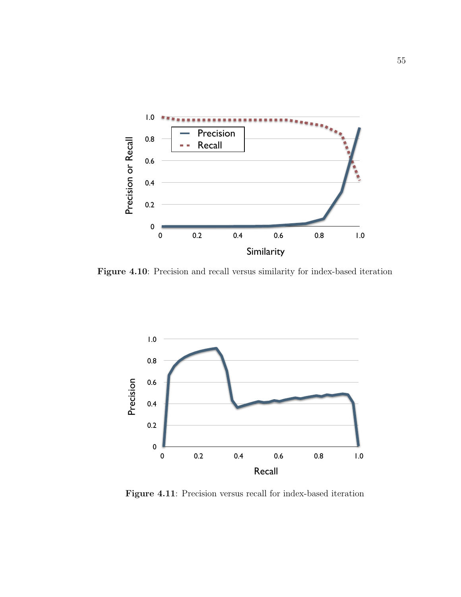

Figure 4.10: Precision and recall versus similarity for index-based iteration



Figure 4.11: Precision versus recall for index-based iteration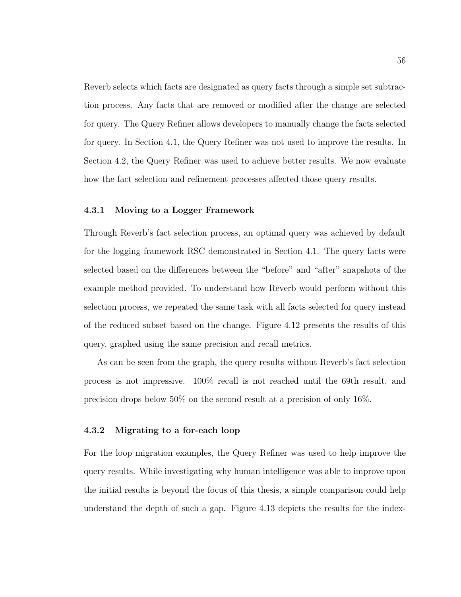Reverb selects which facts are designated as query facts through a simple set subtraction process. Any facts that are removed or modified after the change are selected for query. The Query Refiner allows developers to manually change the facts selected for query. In Section 4.1, the Query Refiner was not used to improve the results. In Section 4.2, the Query Refiner was used to achieve better results. We now evaluate how the fact selection and refinement processes affected those query results.

#### 4.3.1 Moving to a Logger Framework

Through Reverb's fact selection process, an optimal query was achieved by default for the logging framework RSC demonstrated in Section 4.1. The query facts were selected based on the differences between the "before" and "after" snapshots of the example method provided. To understand how Reverb would perform without this selection process, we repeated the same task with all facts selected for query instead of the reduced subset based on the change. Figure 4.12 presents the results of this query, graphed using the same precision and recall metrics.

As can be seen from the graph, the query results without Reverb's fact selection process is not impressive. 100% recall is not reached until the 69th result, and precision drops below 50% on the second result at a precision of only 16%.

### 4.3.2 Migrating to a for-each loop

For the loop migration examples, the Query Refiner was used to help improve the query results. While investigating why human intelligence was able to improve upon the initial results is beyond the focus of this thesis, a simple comparison could help understand the depth of such a gap. Figure 4.13 depicts the results for the index-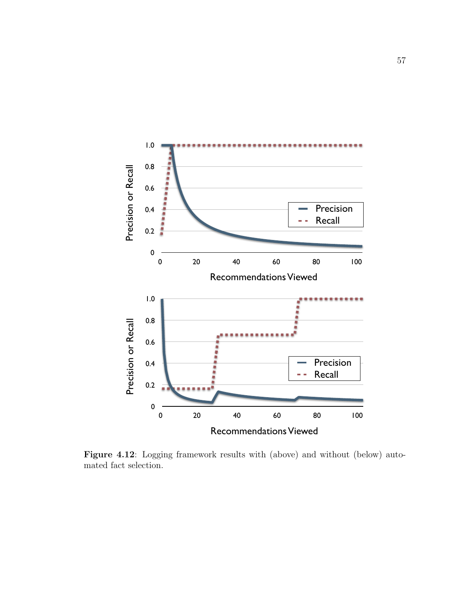

Figure 4.12: Logging framework results with (above) and without (below) automated fact selection.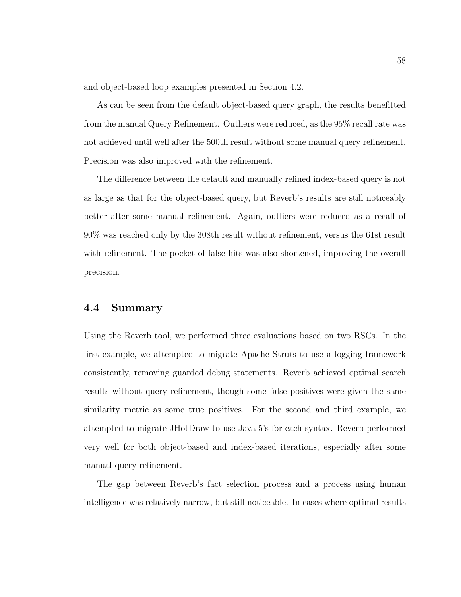and object-based loop examples presented in Section 4.2.

As can be seen from the default object-based query graph, the results benefitted from the manual Query Refinement. Outliers were reduced, as the 95% recall rate was not achieved until well after the 500th result without some manual query refinement. Precision was also improved with the refinement.

The difference between the default and manually refined index-based query is not as large as that for the object-based query, but Reverb's results are still noticeably better after some manual refinement. Again, outliers were reduced as a recall of 90% was reached only by the 308th result without refinement, versus the 61st result with refinement. The pocket of false hits was also shortened, improving the overall precision.

## 4.4 Summary

Using the Reverb tool, we performed three evaluations based on two RSCs. In the first example, we attempted to migrate Apache Struts to use a logging framework consistently, removing guarded debug statements. Reverb achieved optimal search results without query refinement, though some false positives were given the same similarity metric as some true positives. For the second and third example, we attempted to migrate JHotDraw to use Java 5's for-each syntax. Reverb performed very well for both object-based and index-based iterations, especially after some manual query refinement.

The gap between Reverb's fact selection process and a process using human intelligence was relatively narrow, but still noticeable. In cases where optimal results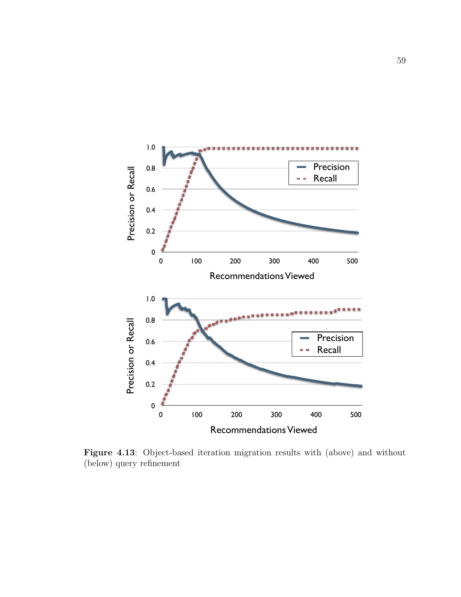

Figure 4.13: Object-based iteration migration results with (above) and without (below) query refinement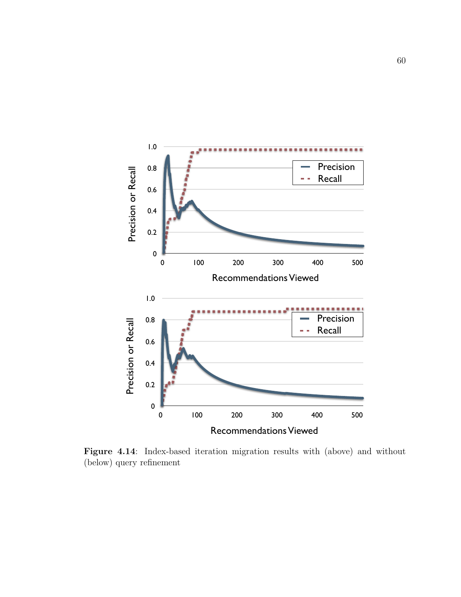

Figure 4.14: Index-based iteration migration results with (above) and without (below) query refinement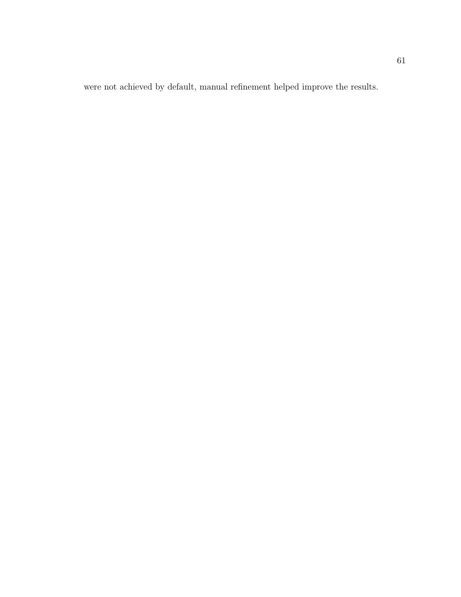were not achieved by default, manual refinement helped improve the results.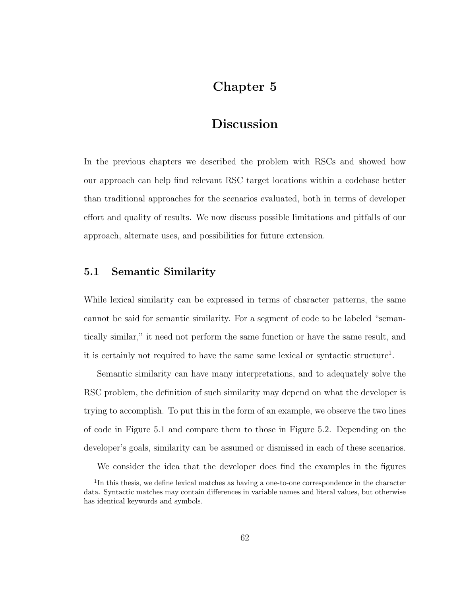# Chapter 5

# Discussion

In the previous chapters we described the problem with RSCs and showed how our approach can help find relevant RSC target locations within a codebase better than traditional approaches for the scenarios evaluated, both in terms of developer effort and quality of results. We now discuss possible limitations and pitfalls of our approach, alternate uses, and possibilities for future extension.

# 5.1 Semantic Similarity

While lexical similarity can be expressed in terms of character patterns, the same cannot be said for semantic similarity. For a segment of code to be labeled "semantically similar," it need not perform the same function or have the same result, and it is certainly not required to have the same same lexical or syntactic structure<sup>1</sup>.

Semantic similarity can have many interpretations, and to adequately solve the RSC problem, the definition of such similarity may depend on what the developer is trying to accomplish. To put this in the form of an example, we observe the two lines of code in Figure 5.1 and compare them to those in Figure 5.2. Depending on the developer's goals, similarity can be assumed or dismissed in each of these scenarios.

We consider the idea that the developer does find the examples in the figures

<sup>&</sup>lt;sup>1</sup>In this thesis, we define lexical matches as having a one-to-one correspondence in the character data. Syntactic matches may contain differences in variable names and literal values, but otherwise has identical keywords and symbols.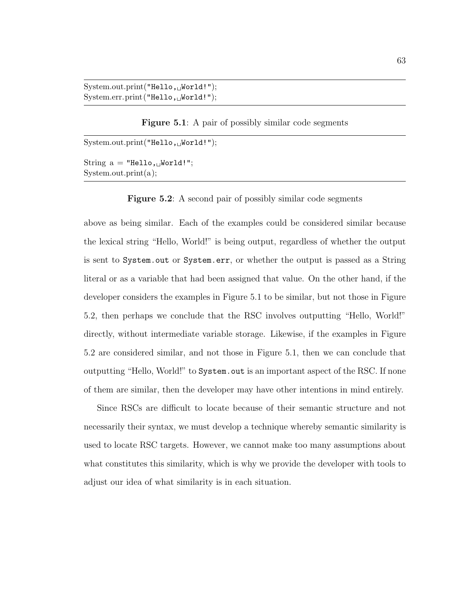```
System.out.print("Hello, World!");
System.err.print("Hello, World!");
```
Figure 5.1: A pair of possibly similar code segments

```
System.out.print("Hello, World!");
String a = "Hello, _]World!";System.out.print(a);
```
Figure 5.2: A second pair of possibly similar code segments

above as being similar. Each of the examples could be considered similar because the lexical string "Hello, World!" is being output, regardless of whether the output is sent to System.out or System.err, or whether the output is passed as a String literal or as a variable that had been assigned that value. On the other hand, if the developer considers the examples in Figure 5.1 to be similar, but not those in Figure 5.2, then perhaps we conclude that the RSC involves outputting "Hello, World!" directly, without intermediate variable storage. Likewise, if the examples in Figure 5.2 are considered similar, and not those in Figure 5.1, then we can conclude that outputting "Hello, World!" to System.out is an important aspect of the RSC. If none of them are similar, then the developer may have other intentions in mind entirely.

Since RSCs are difficult to locate because of their semantic structure and not necessarily their syntax, we must develop a technique whereby semantic similarity is used to locate RSC targets. However, we cannot make too many assumptions about what constitutes this similarity, which is why we provide the developer with tools to adjust our idea of what similarity is in each situation.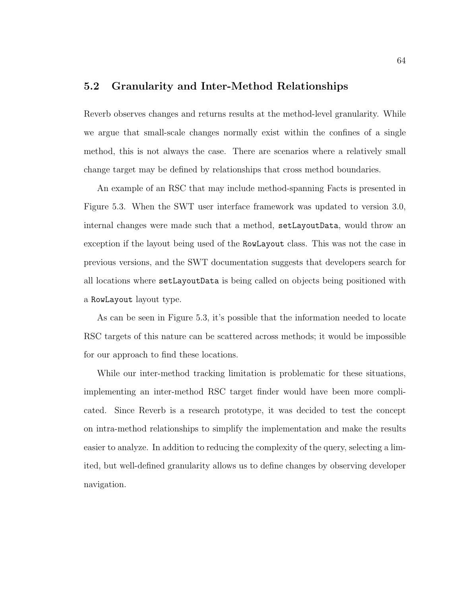#### 5.2 Granularity and Inter-Method Relationships

Reverb observes changes and returns results at the method-level granularity. While we argue that small-scale changes normally exist within the confines of a single method, this is not always the case. There are scenarios where a relatively small change target may be defined by relationships that cross method boundaries.

An example of an RSC that may include method-spanning Facts is presented in Figure 5.3. When the SWT user interface framework was updated to version 3.0, internal changes were made such that a method, setLayoutData, would throw an exception if the layout being used of the RowLayout class. This was not the case in previous versions, and the SWT documentation suggests that developers search for all locations where setLayoutData is being called on objects being positioned with a RowLayout layout type.

As can be seen in Figure 5.3, it's possible that the information needed to locate RSC targets of this nature can be scattered across methods; it would be impossible for our approach to find these locations.

While our inter-method tracking limitation is problematic for these situations, implementing an inter-method RSC target finder would have been more complicated. Since Reverb is a research prototype, it was decided to test the concept on intra-method relationships to simplify the implementation and make the results easier to analyze. In addition to reducing the complexity of the query, selecting a limited, but well-defined granularity allows us to define changes by observing developer navigation.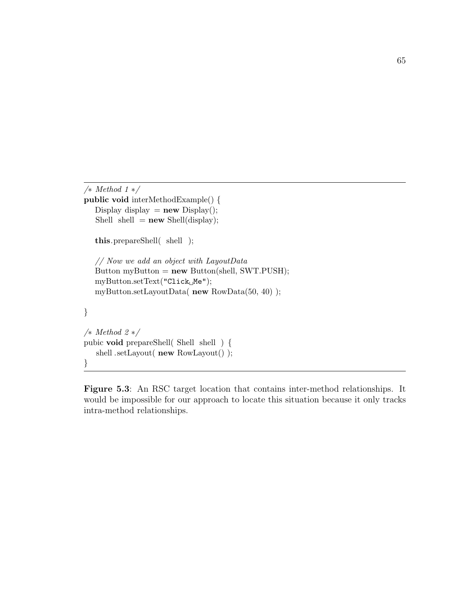```
/∗ Method 1 ∗/
public void interMethodExample() {
  Display display = new Display();
   Shell shell = new Shell(display);
   this.prepareShell( shell );
  // Now we add an object with LayoutData
   Button myButton = new Button(shell, SWT.PUSH);
   myButton.setText("Click<sub>U</sub>Me");myButton.setLayoutData( new RowData(50, 40) );
}
/∗ Method 2 ∗/
pubic void prepareShell( Shell shell ) {
   shell .setLayout( new RowLayout() );
}
```
Figure 5.3: An RSC target location that contains inter-method relationships. It would be impossible for our approach to locate this situation because it only tracks intra-method relationships.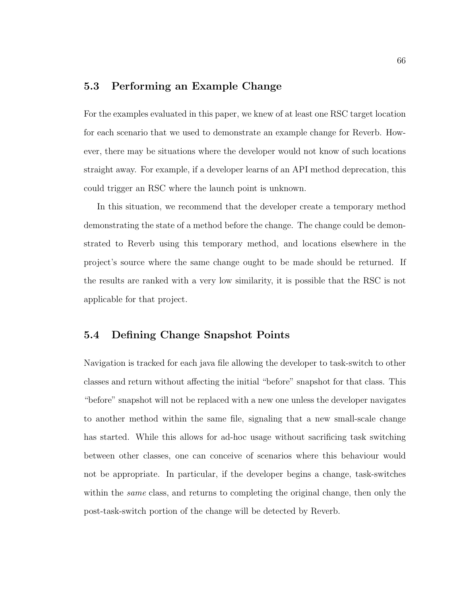### 5.3 Performing an Example Change

For the examples evaluated in this paper, we knew of at least one RSC target location for each scenario that we used to demonstrate an example change for Reverb. However, there may be situations where the developer would not know of such locations straight away. For example, if a developer learns of an API method deprecation, this could trigger an RSC where the launch point is unknown.

In this situation, we recommend that the developer create a temporary method demonstrating the state of a method before the change. The change could be demonstrated to Reverb using this temporary method, and locations elsewhere in the project's source where the same change ought to be made should be returned. If the results are ranked with a very low similarity, it is possible that the RSC is not applicable for that project.

### 5.4 Defining Change Snapshot Points

Navigation is tracked for each java file allowing the developer to task-switch to other classes and return without affecting the initial "before" snapshot for that class. This "before" snapshot will not be replaced with a new one unless the developer navigates to another method within the same file, signaling that a new small-scale change has started. While this allows for ad-hoc usage without sacrificing task switching between other classes, one can conceive of scenarios where this behaviour would not be appropriate. In particular, if the developer begins a change, task-switches within the *same* class, and returns to completing the original change, then only the post-task-switch portion of the change will be detected by Reverb.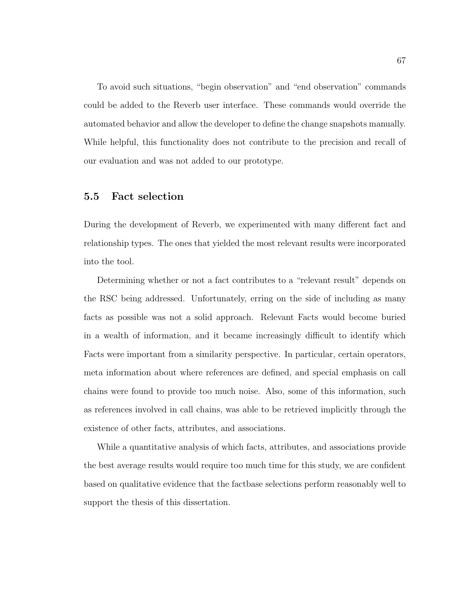To avoid such situations, "begin observation" and "end observation" commands could be added to the Reverb user interface. These commands would override the automated behavior and allow the developer to define the change snapshots manually. While helpful, this functionality does not contribute to the precision and recall of our evaluation and was not added to our prototype.

#### 5.5 Fact selection

During the development of Reverb, we experimented with many different fact and relationship types. The ones that yielded the most relevant results were incorporated into the tool.

Determining whether or not a fact contributes to a "relevant result" depends on the RSC being addressed. Unfortunately, erring on the side of including as many facts as possible was not a solid approach. Relevant Facts would become buried in a wealth of information, and it became increasingly difficult to identify which Facts were important from a similarity perspective. In particular, certain operators, meta information about where references are defined, and special emphasis on call chains were found to provide too much noise. Also, some of this information, such as references involved in call chains, was able to be retrieved implicitly through the existence of other facts, attributes, and associations.

While a quantitative analysis of which facts, attributes, and associations provide the best average results would require too much time for this study, we are confident based on qualitative evidence that the factbase selections perform reasonably well to support the thesis of this dissertation.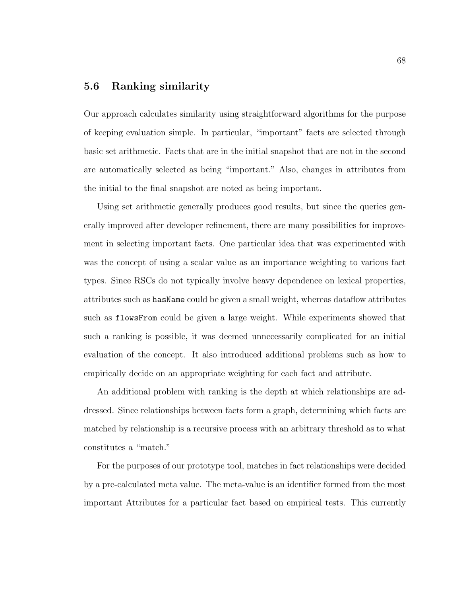#### 5.6 Ranking similarity

Our approach calculates similarity using straightforward algorithms for the purpose of keeping evaluation simple. In particular, "important" facts are selected through basic set arithmetic. Facts that are in the initial snapshot that are not in the second are automatically selected as being "important." Also, changes in attributes from the initial to the final snapshot are noted as being important.

Using set arithmetic generally produces good results, but since the queries generally improved after developer refinement, there are many possibilities for improvement in selecting important facts. One particular idea that was experimented with was the concept of using a scalar value as an importance weighting to various fact types. Since RSCs do not typically involve heavy dependence on lexical properties, attributes such as hasName could be given a small weight, whereas dataflow attributes such as flowsFrom could be given a large weight. While experiments showed that such a ranking is possible, it was deemed unnecessarily complicated for an initial evaluation of the concept. It also introduced additional problems such as how to empirically decide on an appropriate weighting for each fact and attribute.

An additional problem with ranking is the depth at which relationships are addressed. Since relationships between facts form a graph, determining which facts are matched by relationship is a recursive process with an arbitrary threshold as to what constitutes a "match."

For the purposes of our prototype tool, matches in fact relationships were decided by a pre-calculated meta value. The meta-value is an identifier formed from the most important Attributes for a particular fact based on empirical tests. This currently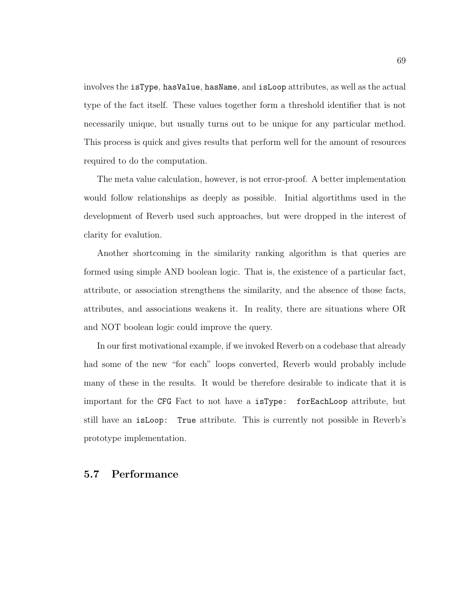involves the isType, hasValue, hasName, and isLoop attributes, as well as the actual type of the fact itself. These values together form a threshold identifier that is not necessarily unique, but usually turns out to be unique for any particular method. This process is quick and gives results that perform well for the amount of resources required to do the computation.

The meta value calculation, however, is not error-proof. A better implementation would follow relationships as deeply as possible. Initial algortithms used in the development of Reverb used such approaches, but were dropped in the interest of clarity for evalution.

Another shortcoming in the similarity ranking algorithm is that queries are formed using simple AND boolean logic. That is, the existence of a particular fact, attribute, or association strengthens the similarity, and the absence of those facts, attributes, and associations weakens it. In reality, there are situations where OR and NOT boolean logic could improve the query.

In our first motivational example, if we invoked Reverb on a codebase that already had some of the new "for each" loops converted, Reverb would probably include many of these in the results. It would be therefore desirable to indicate that it is important for the CFG Fact to not have a isType: forEachLoop attribute, but still have an isLoop: True attribute. This is currently not possible in Reverb's prototype implementation.

## 5.7 Performance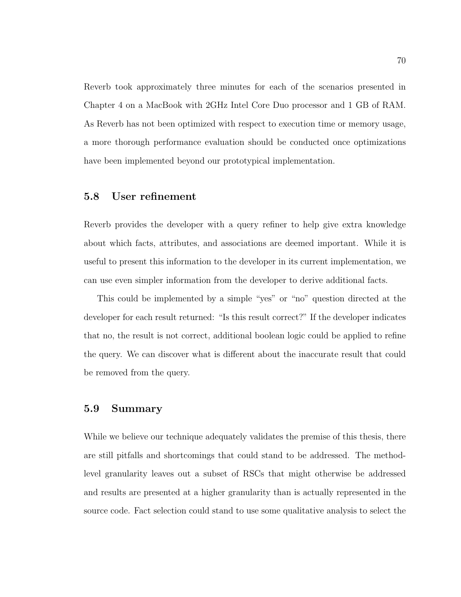Reverb took approximately three minutes for each of the scenarios presented in Chapter 4 on a MacBook with 2GHz Intel Core Duo processor and 1 GB of RAM. As Reverb has not been optimized with respect to execution time or memory usage, a more thorough performance evaluation should be conducted once optimizations have been implemented beyond our prototypical implementation.

#### 5.8 User refinement

Reverb provides the developer with a query refiner to help give extra knowledge about which facts, attributes, and associations are deemed important. While it is useful to present this information to the developer in its current implementation, we can use even simpler information from the developer to derive additional facts.

This could be implemented by a simple "yes" or "no" question directed at the developer for each result returned: "Is this result correct?" If the developer indicates that no, the result is not correct, additional boolean logic could be applied to refine the query. We can discover what is different about the inaccurate result that could be removed from the query.

#### 5.9 Summary

While we believe our technique adequately validates the premise of this thesis, there are still pitfalls and shortcomings that could stand to be addressed. The methodlevel granularity leaves out a subset of RSCs that might otherwise be addressed and results are presented at a higher granularity than is actually represented in the source code. Fact selection could stand to use some qualitative analysis to select the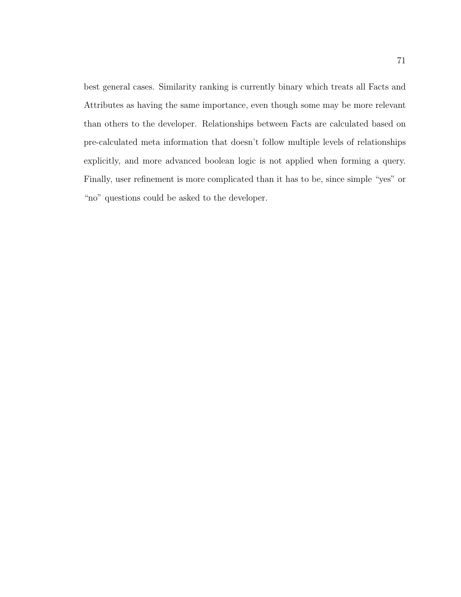best general cases. Similarity ranking is currently binary which treats all Facts and Attributes as having the same importance, even though some may be more relevant than others to the developer. Relationships between Facts are calculated based on pre-calculated meta information that doesn't follow multiple levels of relationships explicitly, and more advanced boolean logic is not applied when forming a query. Finally, user refinement is more complicated than it has to be, since simple "yes" or "no" questions could be asked to the developer.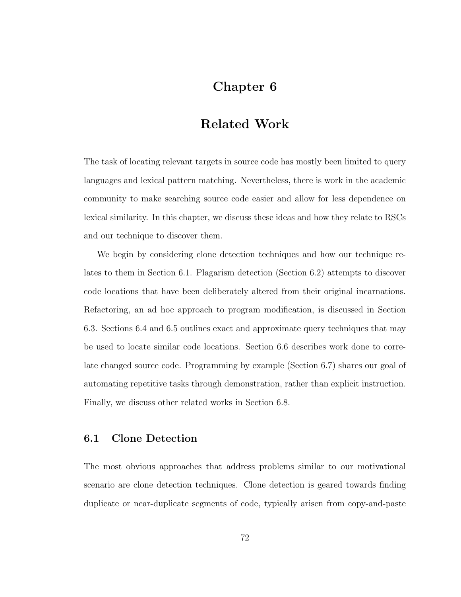# Chapter 6

# Related Work

The task of locating relevant targets in source code has mostly been limited to query languages and lexical pattern matching. Nevertheless, there is work in the academic community to make searching source code easier and allow for less dependence on lexical similarity. In this chapter, we discuss these ideas and how they relate to RSCs and our technique to discover them.

We begin by considering clone detection techniques and how our technique relates to them in Section 6.1. Plagarism detection (Section 6.2) attempts to discover code locations that have been deliberately altered from their original incarnations. Refactoring, an ad hoc approach to program modification, is discussed in Section 6.3. Sections 6.4 and 6.5 outlines exact and approximate query techniques that may be used to locate similar code locations. Section 6.6 describes work done to correlate changed source code. Programming by example (Section 6.7) shares our goal of automating repetitive tasks through demonstration, rather than explicit instruction. Finally, we discuss other related works in Section 6.8.

## 6.1 Clone Detection

The most obvious approaches that address problems similar to our motivational scenario are clone detection techniques. Clone detection is geared towards finding duplicate or near-duplicate segments of code, typically arisen from copy-and-paste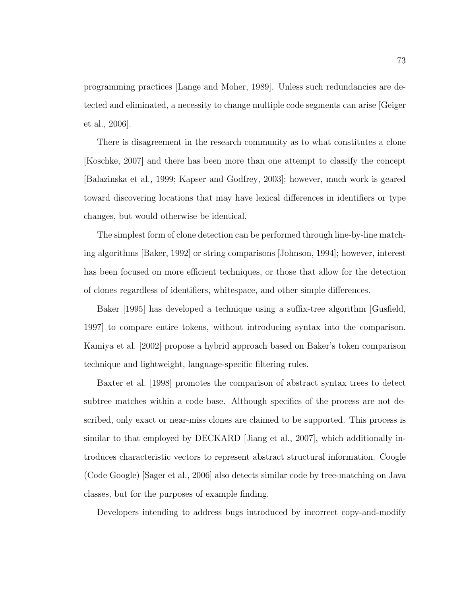programming practices [Lange and Moher, 1989]. Unless such redundancies are detected and eliminated, a necessity to change multiple code segments can arise [Geiger et al., 2006].

There is disagreement in the research community as to what constitutes a clone [Koschke, 2007] and there has been more than one attempt to classify the concept [Balazinska et al., 1999; Kapser and Godfrey, 2003]; however, much work is geared toward discovering locations that may have lexical differences in identifiers or type changes, but would otherwise be identical.

The simplest form of clone detection can be performed through line-by-line matching algorithms [Baker, 1992] or string comparisons [Johnson, 1994]; however, interest has been focused on more efficient techniques, or those that allow for the detection of clones regardless of identifiers, whitespace, and other simple differences.

Baker [1995] has developed a technique using a suffix-tree algorithm [Gusfield, 1997] to compare entire tokens, without introducing syntax into the comparison. Kamiya et al. [2002] propose a hybrid approach based on Baker's token comparison technique and lightweight, language-specific filtering rules.

Baxter et al. [1998] promotes the comparison of abstract syntax trees to detect subtree matches within a code base. Although specifics of the process are not described, only exact or near-miss clones are claimed to be supported. This process is similar to that employed by DECKARD [Jiang et al., 2007], which additionally introduces characteristic vectors to represent abstract structural information. Coogle (Code Google) [Sager et al., 2006] also detects similar code by tree-matching on Java classes, but for the purposes of example finding.

Developers intending to address bugs introduced by incorrect copy-and-modify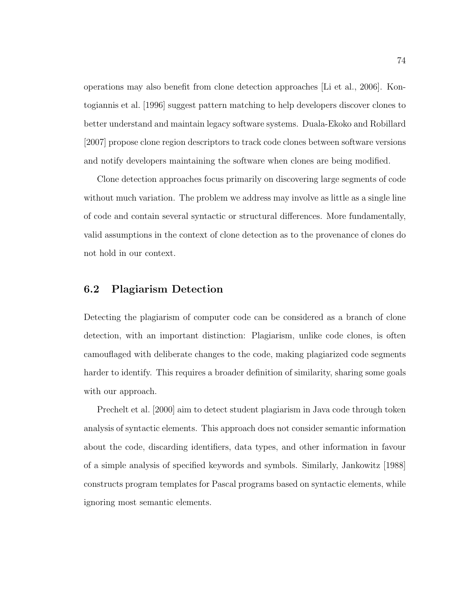operations may also benefit from clone detection approaches [Li et al., 2006]. Kontogiannis et al. [1996] suggest pattern matching to help developers discover clones to better understand and maintain legacy software systems. Duala-Ekoko and Robillard [2007] propose clone region descriptors to track code clones between software versions and notify developers maintaining the software when clones are being modified.

Clone detection approaches focus primarily on discovering large segments of code without much variation. The problem we address may involve as little as a single line of code and contain several syntactic or structural differences. More fundamentally, valid assumptions in the context of clone detection as to the provenance of clones do not hold in our context.

#### 6.2 Plagiarism Detection

Detecting the plagiarism of computer code can be considered as a branch of clone detection, with an important distinction: Plagiarism, unlike code clones, is often camouflaged with deliberate changes to the code, making plagiarized code segments harder to identify. This requires a broader definition of similarity, sharing some goals with our approach.

Prechelt et al. [2000] aim to detect student plagiarism in Java code through token analysis of syntactic elements. This approach does not consider semantic information about the code, discarding identifiers, data types, and other information in favour of a simple analysis of specified keywords and symbols. Similarly, Jankowitz [1988] constructs program templates for Pascal programs based on syntactic elements, while ignoring most semantic elements.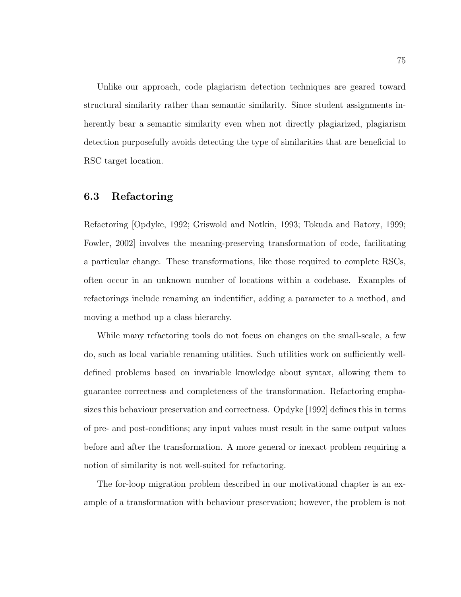Unlike our approach, code plagiarism detection techniques are geared toward structural similarity rather than semantic similarity. Since student assignments inherently bear a semantic similarity even when not directly plagiarized, plagiarism detection purposefully avoids detecting the type of similarities that are beneficial to RSC target location.

#### 6.3 Refactoring

Refactoring [Opdyke, 1992; Griswold and Notkin, 1993; Tokuda and Batory, 1999; Fowler, 2002] involves the meaning-preserving transformation of code, facilitating a particular change. These transformations, like those required to complete RSCs, often occur in an unknown number of locations within a codebase. Examples of refactorings include renaming an indentifier, adding a parameter to a method, and moving a method up a class hierarchy.

While many refactoring tools do not focus on changes on the small-scale, a few do, such as local variable renaming utilities. Such utilities work on sufficiently welldefined problems based on invariable knowledge about syntax, allowing them to guarantee correctness and completeness of the transformation. Refactoring emphasizes this behaviour preservation and correctness. Opdyke [1992] defines this in terms of pre- and post-conditions; any input values must result in the same output values before and after the transformation. A more general or inexact problem requiring a notion of similarity is not well-suited for refactoring.

The for-loop migration problem described in our motivational chapter is an example of a transformation with behaviour preservation; however, the problem is not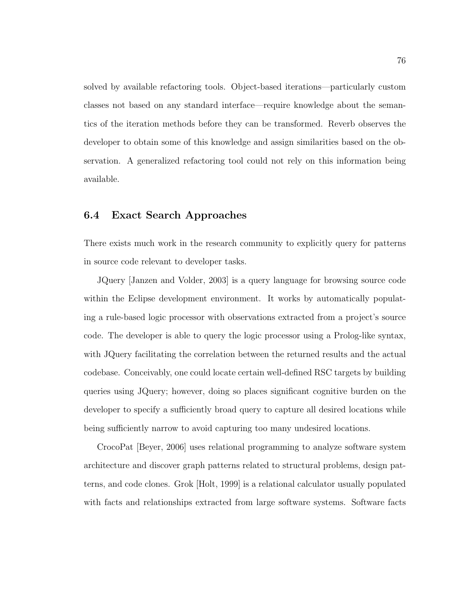solved by available refactoring tools. Object-based iterations—particularly custom classes not based on any standard interface—require knowledge about the semantics of the iteration methods before they can be transformed. Reverb observes the developer to obtain some of this knowledge and assign similarities based on the observation. A generalized refactoring tool could not rely on this information being available.

#### 6.4 Exact Search Approaches

There exists much work in the research community to explicitly query for patterns in source code relevant to developer tasks.

JQuery [Janzen and Volder, 2003] is a query language for browsing source code within the Eclipse development environment. It works by automatically populating a rule-based logic processor with observations extracted from a project's source code. The developer is able to query the logic processor using a Prolog-like syntax, with JQuery facilitating the correlation between the returned results and the actual codebase. Conceivably, one could locate certain well-defined RSC targets by building queries using JQuery; however, doing so places significant cognitive burden on the developer to specify a sufficiently broad query to capture all desired locations while being sufficiently narrow to avoid capturing too many undesired locations.

CrocoPat [Beyer, 2006] uses relational programming to analyze software system architecture and discover graph patterns related to structural problems, design patterns, and code clones. Grok [Holt, 1999] is a relational calculator usually populated with facts and relationships extracted from large software systems. Software facts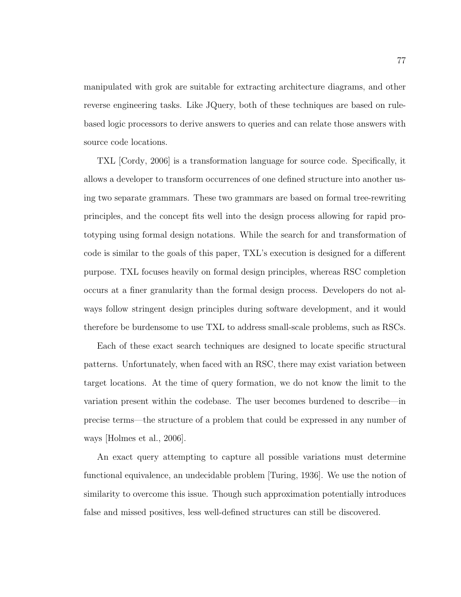manipulated with grok are suitable for extracting architecture diagrams, and other reverse engineering tasks. Like JQuery, both of these techniques are based on rulebased logic processors to derive answers to queries and can relate those answers with source code locations.

TXL [Cordy, 2006] is a transformation language for source code. Specifically, it allows a developer to transform occurrences of one defined structure into another using two separate grammars. These two grammars are based on formal tree-rewriting principles, and the concept fits well into the design process allowing for rapid prototyping using formal design notations. While the search for and transformation of code is similar to the goals of this paper, TXL's execution is designed for a different purpose. TXL focuses heavily on formal design principles, whereas RSC completion occurs at a finer granularity than the formal design process. Developers do not always follow stringent design principles during software development, and it would therefore be burdensome to use TXL to address small-scale problems, such as RSCs.

Each of these exact search techniques are designed to locate specific structural patterns. Unfortunately, when faced with an RSC, there may exist variation between target locations. At the time of query formation, we do not know the limit to the variation present within the codebase. The user becomes burdened to describe—in precise terms—the structure of a problem that could be expressed in any number of ways [Holmes et al., 2006].

An exact query attempting to capture all possible variations must determine functional equivalence, an undecidable problem [Turing, 1936]. We use the notion of similarity to overcome this issue. Though such approximation potentially introduces false and missed positives, less well-defined structures can still be discovered.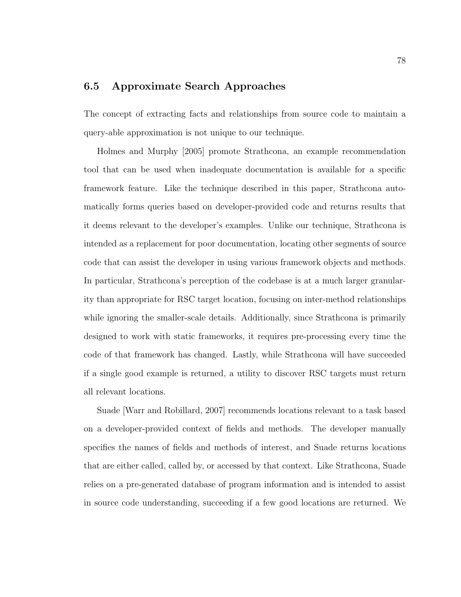## 6.5 Approximate Search Approaches

The concept of extracting facts and relationships from source code to maintain a query-able approximation is not unique to our technique.

Holmes and Murphy [2005] promote Strathcona, an example recommendation tool that can be used when inadequate documentation is available for a specific framework feature. Like the technique described in this paper, Strathcona automatically forms queries based on developer-provided code and returns results that it deems relevant to the developer's examples. Unlike our technique, Strathcona is intended as a replacement for poor documentation, locating other segments of source code that can assist the developer in using various framework objects and methods. In particular, Strathcona's perception of the codebase is at a much larger granularity than appropriate for RSC target location, focusing on inter-method relationships while ignoring the smaller-scale details. Additionally, since Strathcona is primarily designed to work with static frameworks, it requires pre-processing every time the code of that framework has changed. Lastly, while Strathcona will have succeeded if a single good example is returned, a utility to discover RSC targets must return all relevant locations.

Suade [Warr and Robillard, 2007] recommends locations relevant to a task based on a developer-provided context of fields and methods. The developer manually specifies the names of fields and methods of interest, and Suade returns locations that are either called, called by, or accessed by that context. Like Strathcona, Suade relies on a pre-generated database of program information and is intended to assist in source code understanding, succeeding if a few good locations are returned. We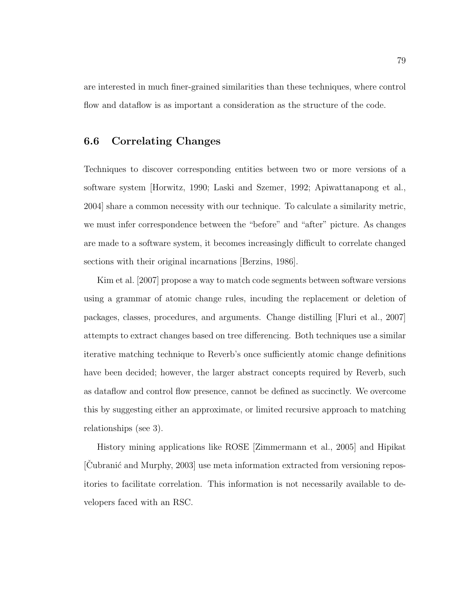are interested in much finer-grained similarities than these techniques, where control flow and dataflow is as important a consideration as the structure of the code.

#### 6.6 Correlating Changes

Techniques to discover corresponding entities between two or more versions of a software system [Horwitz, 1990; Laski and Szemer, 1992; Apiwattanapong et al., 2004] share a common necessity with our technique. To calculate a similarity metric, we must infer correspondence between the "before" and "after" picture. As changes are made to a software system, it becomes increasingly difficult to correlate changed sections with their original incarnations [Berzins, 1986].

Kim et al. [2007] propose a way to match code segments between software versions using a grammar of atomic change rules, incuding the replacement or deletion of packages, classes, procedures, and arguments. Change distilling [Fluri et al., 2007] attempts to extract changes based on tree differencing. Both techniques use a similar iterative matching technique to Reverb's once sufficiently atomic change definitions have been decided; however, the larger abstract concepts required by Reverb, such as dataflow and control flow presence, cannot be defined as succinctly. We overcome this by suggesting either an approximate, or limited recursive approach to matching relationships (see 3).

History mining applications like ROSE [Zimmermann et al., 2005] and Hipikat [Cubranić and Murphy, 2003] use meta information extracted from versioning repositories to facilitate correlation. This information is not necessarily available to developers faced with an RSC.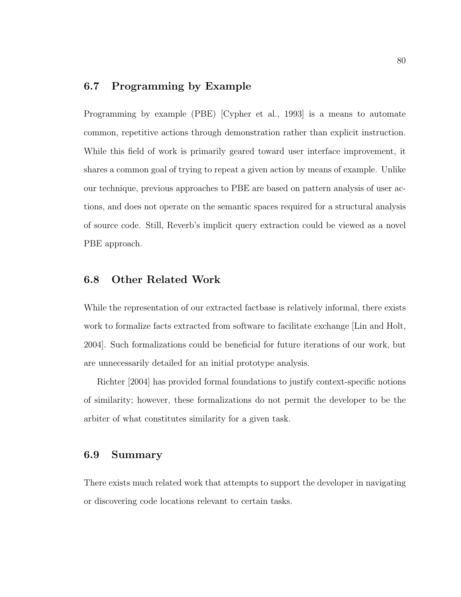### 6.7 Programming by Example

Programming by example (PBE) [Cypher et al., 1993] is a means to automate common, repetitive actions through demonstration rather than explicit instruction. While this field of work is primarily geared toward user interface improvement, it shares a common goal of trying to repeat a given action by means of example. Unlike our technique, previous approaches to PBE are based on pattern analysis of user actions, and does not operate on the semantic spaces required for a structural analysis of source code. Still, Reverb's implicit query extraction could be viewed as a novel PBE approach.

#### 6.8 Other Related Work

While the representation of our extracted factbase is relatively informal, there exists work to formalize facts extracted from software to facilitate exchange [Lin and Holt, 2004]. Such formalizations could be beneficial for future iterations of our work, but are unnecessarily detailed for an initial prototype analysis.

Richter [2004] has provided formal foundations to justify context-specific notions of similarity; however, these formalizations do not permit the developer to be the arbiter of what constitutes similarity for a given task.

#### 6.9 Summary

There exists much related work that attempts to support the developer in navigating or discovering code locations relevant to certain tasks.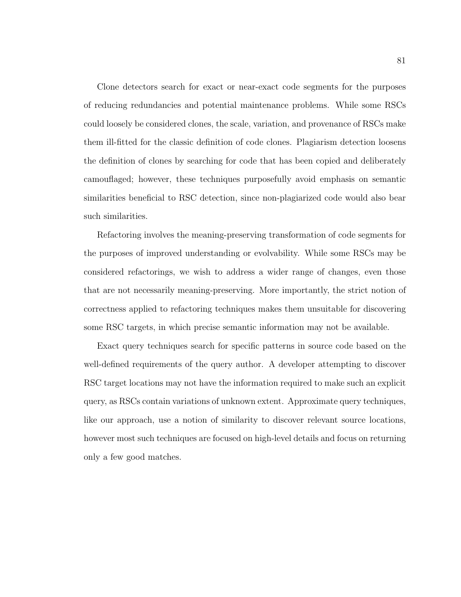Clone detectors search for exact or near-exact code segments for the purposes of reducing redundancies and potential maintenance problems. While some RSCs could loosely be considered clones, the scale, variation, and provenance of RSCs make them ill-fitted for the classic definition of code clones. Plagiarism detection loosens the definition of clones by searching for code that has been copied and deliberately camouflaged; however, these techniques purposefully avoid emphasis on semantic similarities beneficial to RSC detection, since non-plagiarized code would also bear such similarities.

Refactoring involves the meaning-preserving transformation of code segments for the purposes of improved understanding or evolvability. While some RSCs may be considered refactorings, we wish to address a wider range of changes, even those that are not necessarily meaning-preserving. More importantly, the strict notion of correctness applied to refactoring techniques makes them unsuitable for discovering some RSC targets, in which precise semantic information may not be available.

Exact query techniques search for specific patterns in source code based on the well-defined requirements of the query author. A developer attempting to discover RSC target locations may not have the information required to make such an explicit query, as RSCs contain variations of unknown extent. Approximate query techniques, like our approach, use a notion of similarity to discover relevant source locations, however most such techniques are focused on high-level details and focus on returning only a few good matches.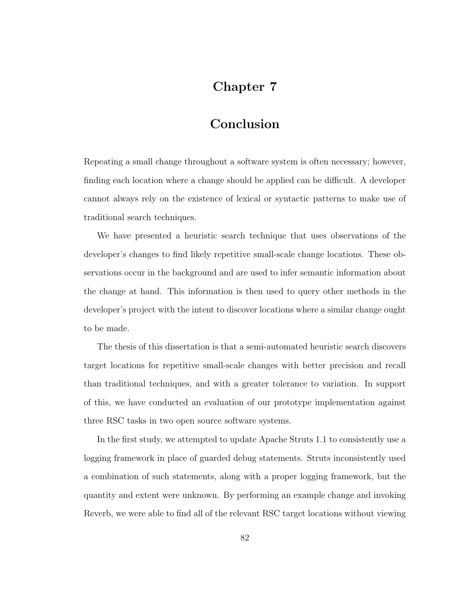# Chapter 7

# Conclusion

Repeating a small change throughout a software system is often necessary; however, finding each location where a change should be applied can be difficult. A developer cannot always rely on the existence of lexical or syntactic patterns to make use of traditional search techniques.

We have presented a heuristic search technique that uses observations of the developer's changes to find likely repetitive small-scale change locations. These observations occur in the background and are used to infer semantic information about the change at hand. This information is then used to query other methods in the developer's project with the intent to discover locations where a similar change ought to be made.

The thesis of this dissertation is that a semi-automated heuristic search discovers target locations for repetitive small-scale changes with better precision and recall than traditional techniques, and with a greater tolerance to variation. In support of this, we have conducted an evaluation of our prototype implementation against three RSC tasks in two open source software systems.

In the first study, we attempted to update Apache Struts 1.1 to consistently use a logging framework in place of guarded debug statements. Struts inconsistently used a combination of such statements, along with a proper logging framework, but the quantity and extent were unknown. By performing an example change and invoking Reverb, we were able to find all of the relevant RSC target locations without viewing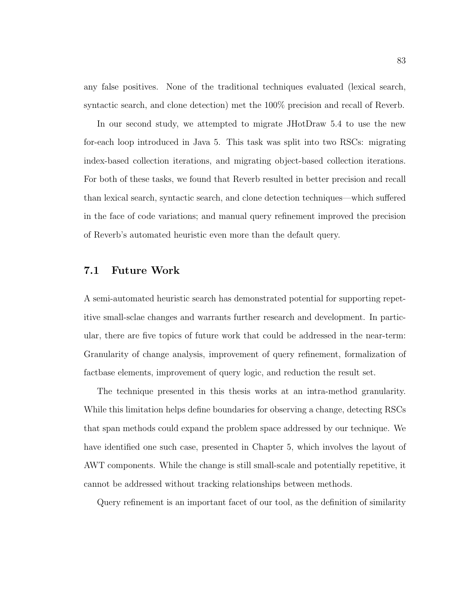any false positives. None of the traditional techniques evaluated (lexical search, syntactic search, and clone detection) met the 100% precision and recall of Reverb.

In our second study, we attempted to migrate JHotDraw 5.4 to use the new for-each loop introduced in Java 5. This task was split into two RSCs: migrating index-based collection iterations, and migrating object-based collection iterations. For both of these tasks, we found that Reverb resulted in better precision and recall than lexical search, syntactic search, and clone detection techniques—which suffered in the face of code variations; and manual query refinement improved the precision of Reverb's automated heuristic even more than the default query.

### 7.1 Future Work

A semi-automated heuristic search has demonstrated potential for supporting repetitive small-sclae changes and warrants further research and development. In particular, there are five topics of future work that could be addressed in the near-term: Granularity of change analysis, improvement of query refinement, formalization of factbase elements, improvement of query logic, and reduction the result set.

The technique presented in this thesis works at an intra-method granularity. While this limitation helps define boundaries for observing a change, detecting RSCs that span methods could expand the problem space addressed by our technique. We have identified one such case, presented in Chapter 5, which involves the layout of AWT components. While the change is still small-scale and potentially repetitive, it cannot be addressed without tracking relationships between methods.

Query refinement is an important facet of our tool, as the definition of similarity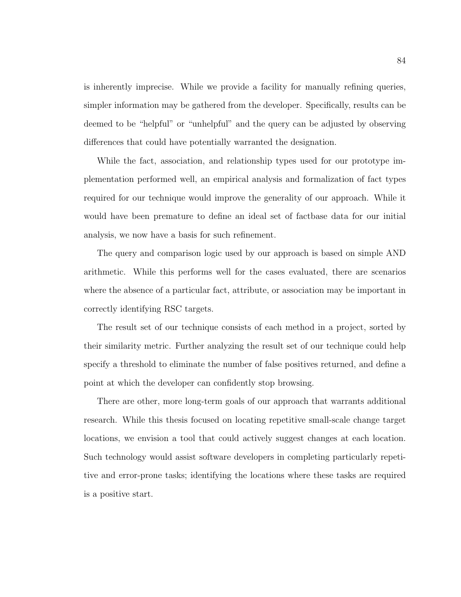is inherently imprecise. While we provide a facility for manually refining queries, simpler information may be gathered from the developer. Specifically, results can be deemed to be "helpful" or "unhelpful" and the query can be adjusted by observing differences that could have potentially warranted the designation.

While the fact, association, and relationship types used for our prototype implementation performed well, an empirical analysis and formalization of fact types required for our technique would improve the generality of our approach. While it would have been premature to define an ideal set of factbase data for our initial analysis, we now have a basis for such refinement.

The query and comparison logic used by our approach is based on simple AND arithmetic. While this performs well for the cases evaluated, there are scenarios where the absence of a particular fact, attribute, or association may be important in correctly identifying RSC targets.

The result set of our technique consists of each method in a project, sorted by their similarity metric. Further analyzing the result set of our technique could help specify a threshold to eliminate the number of false positives returned, and define a point at which the developer can confidently stop browsing.

There are other, more long-term goals of our approach that warrants additional research. While this thesis focused on locating repetitive small-scale change target locations, we envision a tool that could actively suggest changes at each location. Such technology would assist software developers in completing particularly repetitive and error-prone tasks; identifying the locations where these tasks are required is a positive start.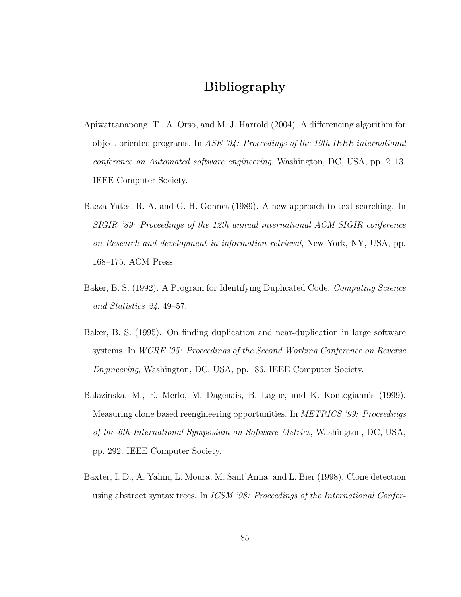# Bibliography

- Apiwattanapong, T., A. Orso, and M. J. Harrold (2004). A differencing algorithm for object-oriented programs. In ASE '04: Proceedings of the 19th IEEE international conference on Automated software engineering, Washington, DC, USA, pp. 2–13. IEEE Computer Society.
- Baeza-Yates, R. A. and G. H. Gonnet (1989). A new approach to text searching. In SIGIR '89: Proceedings of the 12th annual international ACM SIGIR conference on Research and development in information retrieval, New York, NY, USA, pp. 168–175. ACM Press.
- Baker, B. S. (1992). A Program for Identifying Duplicated Code. Computing Science and Statistics 24, 49–57.
- Baker, B. S. (1995). On finding duplication and near-duplication in large software systems. In WCRE '95: Proceedings of the Second Working Conference on Reverse Engineering, Washington, DC, USA, pp. 86. IEEE Computer Society.
- Balazinska, M., E. Merlo, M. Dagenais, B. Lague, and K. Kontogiannis (1999). Measuring clone based reengineering opportunities. In METRICS '99: Proceedings of the 6th International Symposium on Software Metrics, Washington, DC, USA, pp. 292. IEEE Computer Society.
- Baxter, I. D., A. Yahin, L. Moura, M. Sant'Anna, and L. Bier (1998). Clone detection using abstract syntax trees. In ICSM '98: Proceedings of the International Confer-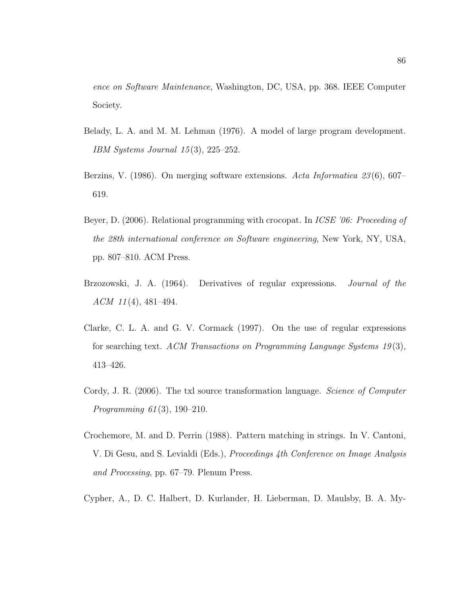ence on Software Maintenance, Washington, DC, USA, pp. 368. IEEE Computer Society.

- Belady, L. A. and M. M. Lehman (1976). A model of large program development. IBM Systems Journal 15 (3), 225–252.
- Berzins, V. (1986). On merging software extensions. Acta Informatica 23(6), 607– 619.
- Beyer, D. (2006). Relational programming with crocopat. In *ICSE '06: Proceeding of* the 28th international conference on Software engineering, New York, NY, USA, pp. 807–810. ACM Press.
- Brzozowski, J. A. (1964). Derivatives of regular expressions. Journal of the  $ACM$  11(4), 481–494.
- Clarke, C. L. A. and G. V. Cormack (1997). On the use of regular expressions for searching text. ACM Transactions on Programming Language Systems 19 (3), 413–426.
- Cordy, J. R. (2006). The txl source transformation language. Science of Computer Programming 61 (3), 190–210.
- Crochemore, M. and D. Perrin (1988). Pattern matching in strings. In V. Cantoni, V. Di Gesu, and S. Levialdi (Eds.), Proceedings 4th Conference on Image Analysis and Processing, pp. 67–79. Plenum Press.
- Cypher, A., D. C. Halbert, D. Kurlander, H. Lieberman, D. Maulsby, B. A. My-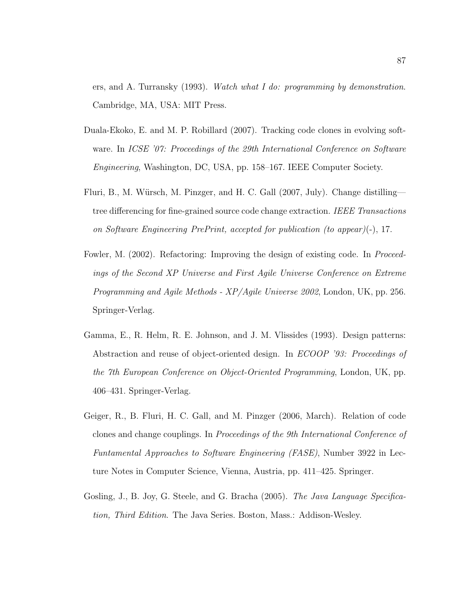ers, and A. Turransky (1993). Watch what I do: programming by demonstration. Cambridge, MA, USA: MIT Press.

- Duala-Ekoko, E. and M. P. Robillard (2007). Tracking code clones in evolving software. In ICSE '07: Proceedings of the 29th International Conference on Software Engineering, Washington, DC, USA, pp. 158–167. IEEE Computer Society.
- Fluri, B., M. Würsch, M. Pinzger, and H. C. Gall (2007, July). Change distilling tree differencing for fine-grained source code change extraction. IEEE Transactions on Software Engineering PrePrint, accepted for publication (to appear)(-), 17.
- Fowler, M. (2002). Refactoring: Improving the design of existing code. In Proceedings of the Second XP Universe and First Agile Universe Conference on Extreme Programming and Agile Methods - XP/Agile Universe 2002, London, UK, pp. 256. Springer-Verlag.
- Gamma, E., R. Helm, R. E. Johnson, and J. M. Vlissides (1993). Design patterns: Abstraction and reuse of object-oriented design. In ECOOP '93: Proceedings of the 7th European Conference on Object-Oriented Programming, London, UK, pp. 406–431. Springer-Verlag.
- Geiger, R., B. Fluri, H. C. Gall, and M. Pinzger (2006, March). Relation of code clones and change couplings. In Proceedings of the 9th International Conference of Funtamental Approaches to Software Engineering (FASE), Number 3922 in Lecture Notes in Computer Science, Vienna, Austria, pp. 411–425. Springer.
- Gosling, J., B. Joy, G. Steele, and G. Bracha (2005). The Java Language Specification, Third Edition. The Java Series. Boston, Mass.: Addison-Wesley.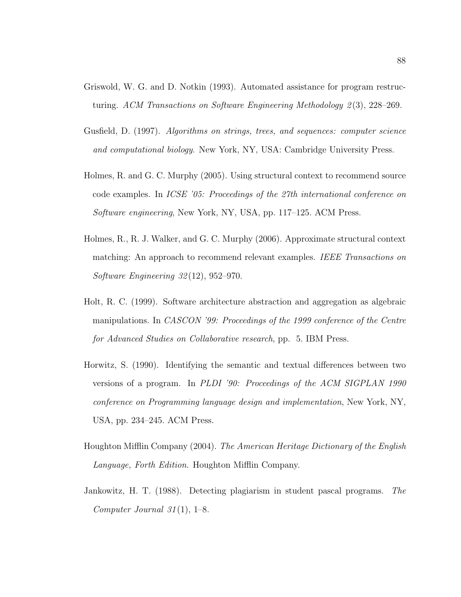- Griswold, W. G. and D. Notkin (1993). Automated assistance for program restructuring. ACM Transactions on Software Engineering Methodology  $2(3)$ , 228–269.
- Gusfield, D. (1997). Algorithms on strings, trees, and sequences: computer science and computational biology. New York, NY, USA: Cambridge University Press.
- Holmes, R. and G. C. Murphy (2005). Using structural context to recommend source code examples. In ICSE '05: Proceedings of the 27th international conference on Software engineering, New York, NY, USA, pp. 117–125. ACM Press.
- Holmes, R., R. J. Walker, and G. C. Murphy (2006). Approximate structural context matching: An approach to recommend relevant examples. IEEE Transactions on Software Engineering  $32(12)$ ,  $952-970$ .
- Holt, R. C. (1999). Software architecture abstraction and aggregation as algebraic manipulations. In CASCON '99: Proceedings of the 1999 conference of the Centre for Advanced Studies on Collaborative research, pp. 5. IBM Press.
- Horwitz, S. (1990). Identifying the semantic and textual differences between two versions of a program. In PLDI '90: Proceedings of the ACM SIGPLAN 1990 conference on Programming language design and implementation, New York, NY, USA, pp. 234–245. ACM Press.
- Houghton Mifflin Company (2004). The American Heritage Dictionary of the English Language, Forth Edition. Houghton Mifflin Company.
- Jankowitz, H. T. (1988). Detecting plagiarism in student pascal programs. The Computer Journal  $31(1)$ , 1–8.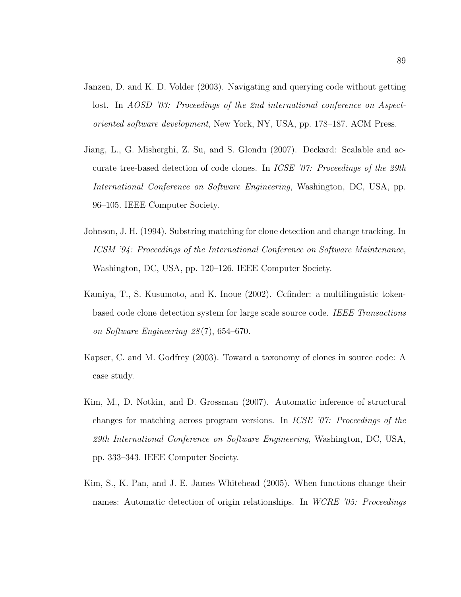- Janzen, D. and K. D. Volder (2003). Navigating and querying code without getting lost. In AOSD '03: Proceedings of the 2nd international conference on Aspectoriented software development, New York, NY, USA, pp. 178–187. ACM Press.
- Jiang, L., G. Misherghi, Z. Su, and S. Glondu (2007). Deckard: Scalable and accurate tree-based detection of code clones. In ICSE '07: Proceedings of the 29th International Conference on Software Engineering, Washington, DC, USA, pp. 96–105. IEEE Computer Society.
- Johnson, J. H. (1994). Substring matching for clone detection and change tracking. In ICSM '94: Proceedings of the International Conference on Software Maintenance, Washington, DC, USA, pp. 120–126. IEEE Computer Society.
- Kamiya, T., S. Kusumoto, and K. Inoue (2002). Ccfinder: a multilinguistic tokenbased code clone detection system for large scale source code. IEEE Transactions on Software Engineering 28 (7), 654–670.
- Kapser, C. and M. Godfrey (2003). Toward a taxonomy of clones in source code: A case study.
- Kim, M., D. Notkin, and D. Grossman (2007). Automatic inference of structural changes for matching across program versions. In ICSE '07: Proceedings of the 29th International Conference on Software Engineering, Washington, DC, USA, pp. 333–343. IEEE Computer Society.
- Kim, S., K. Pan, and J. E. James Whitehead (2005). When functions change their names: Automatic detection of origin relationships. In *WCRE '05: Proceedings*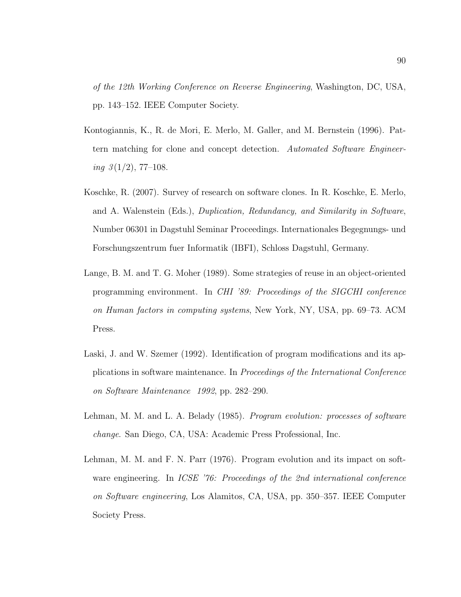of the 12th Working Conference on Reverse Engineering, Washington, DC, USA, pp. 143–152. IEEE Computer Society.

- Kontogiannis, K., R. de Mori, E. Merlo, M. Galler, and M. Bernstein (1996). Pattern matching for clone and concept detection. Automated Software Engineering  $3(1/2)$ , 77–108.
- Koschke, R. (2007). Survey of research on software clones. In R. Koschke, E. Merlo, and A. Walenstein (Eds.), Duplication, Redundancy, and Similarity in Software, Number 06301 in Dagstuhl Seminar Proceedings. Internationales Begegnungs- und Forschungszentrum fuer Informatik (IBFI), Schloss Dagstuhl, Germany.
- Lange, B. M. and T. G. Moher (1989). Some strategies of reuse in an object-oriented programming environment. In CHI '89: Proceedings of the SIGCHI conference on Human factors in computing systems, New York, NY, USA, pp. 69–73. ACM Press.
- Laski, J. and W. Szemer (1992). Identification of program modifications and its applications in software maintenance. In Proceedings of the International Conference on Software Maintenance 1992, pp. 282–290.
- Lehman, M. M. and L. A. Belady (1985). Program evolution: processes of software change. San Diego, CA, USA: Academic Press Professional, Inc.
- Lehman, M. M. and F. N. Parr (1976). Program evolution and its impact on software engineering. In *ICSE '76: Proceedings of the 2nd international conference* on Software engineering, Los Alamitos, CA, USA, pp. 350–357. IEEE Computer Society Press.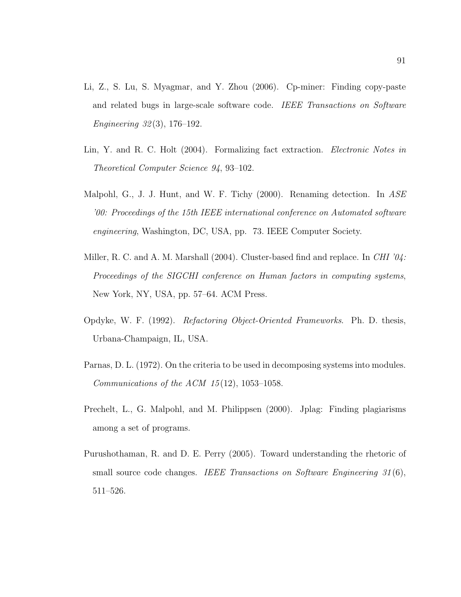- Li, Z., S. Lu, S. Myagmar, and Y. Zhou (2006). Cp-miner: Finding copy-paste and related bugs in large-scale software code. IEEE Transactions on Software Engineering 32 (3), 176–192.
- Lin, Y. and R. C. Holt (2004). Formalizing fact extraction. *Electronic Notes in* Theoretical Computer Science 94, 93–102.
- Malpohl, G., J. J. Hunt, and W. F. Tichy (2000). Renaming detection. In ASE '00: Proceedings of the 15th IEEE international conference on Automated software engineering, Washington, DC, USA, pp. 73. IEEE Computer Society.
- Miller, R. C. and A. M. Marshall  $(2004)$ . Cluster-based find and replace. In *CHI*  $'04$ : Proceedings of the SIGCHI conference on Human factors in computing systems, New York, NY, USA, pp. 57–64. ACM Press.
- Opdyke, W. F. (1992). Refactoring Object-Oriented Frameworks. Ph. D. thesis, Urbana-Champaign, IL, USA.
- Parnas, D. L. (1972). On the criteria to be used in decomposing systems into modules. Communications of the ACM  $15(12)$ , 1053-1058.
- Prechelt, L., G. Malpohl, and M. Philippsen (2000). Jplag: Finding plagiarisms among a set of programs.
- Purushothaman, R. and D. E. Perry (2005). Toward understanding the rhetoric of small source code changes. IEEE Transactions on Software Engineering 31(6), 511–526.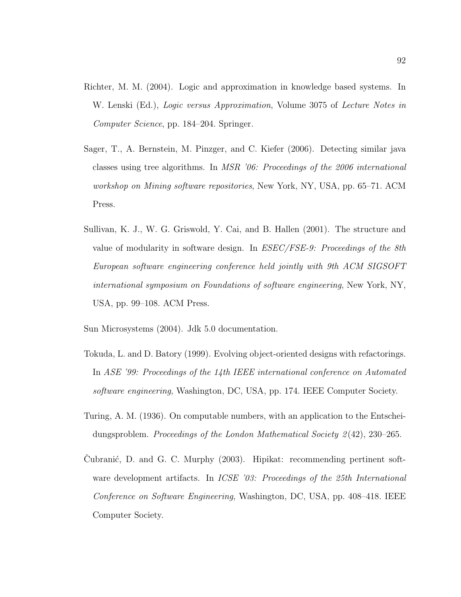- Richter, M. M. (2004). Logic and approximation in knowledge based systems. In W. Lenski (Ed.), Logic versus Approximation, Volume 3075 of Lecture Notes in Computer Science, pp. 184–204. Springer.
- Sager, T., A. Bernstein, M. Pinzger, and C. Kiefer (2006). Detecting similar java classes using tree algorithms. In MSR '06: Proceedings of the 2006 international workshop on Mining software repositories, New York, NY, USA, pp. 65–71. ACM Press.
- Sullivan, K. J., W. G. Griswold, Y. Cai, and B. Hallen (2001). The structure and value of modularity in software design. In  $ESEC/FSE-9$ : Proceedings of the 8th European software engineering conference held jointly with 9th ACM SIGSOFT international symposium on Foundations of software engineering, New York, NY, USA, pp. 99–108. ACM Press.
- Sun Microsystems (2004). Jdk 5.0 documentation.
- Tokuda, L. and D. Batory (1999). Evolving object-oriented designs with refactorings. In ASE '99: Proceedings of the 14th IEEE international conference on Automated software engineering, Washington, DC, USA, pp. 174. IEEE Computer Society.
- Turing, A. M. (1936). On computable numbers, with an application to the Entscheidungsproblem. Proceedings of the London Mathematical Society 2(42), 230–265.
- Cubranić, D. and G. C. Murphy (2003). Hipikat: recommending pertinent software development artifacts. In *ICSE '03: Proceedings of the 25th International* Conference on Software Engineering, Washington, DC, USA, pp. 408–418. IEEE Computer Society.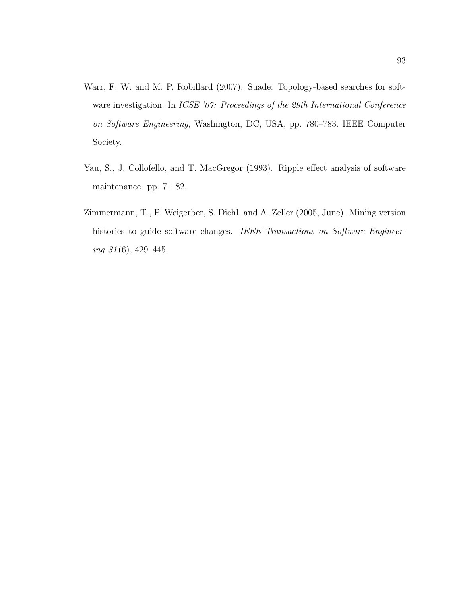- Warr, F. W. and M. P. Robillard (2007). Suade: Topology-based searches for software investigation. In ICSE '07: Proceedings of the 29th International Conference on Software Engineering, Washington, DC, USA, pp. 780–783. IEEE Computer Society.
- Yau, S., J. Collofello, and T. MacGregor (1993). Ripple effect analysis of software maintenance. pp. 71–82.
- Zimmermann, T., P. Weigerber, S. Diehl, and A. Zeller (2005, June). Mining version histories to guide software changes. IEEE Transactions on Software Engineering  $31(6)$ , 429-445.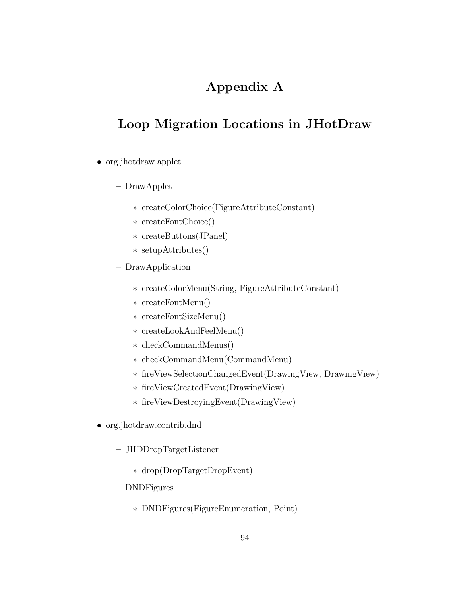# Appendix A

# Loop Migration Locations in JHotDraw

- org.jhotdraw.applet
	- DrawApplet
		- ∗ createColorChoice(FigureAttributeConstant)
		- ∗ createFontChoice()
		- ∗ createButtons(JPanel)
		- ∗ setupAttributes()
	- DrawApplication
		- ∗ createColorMenu(String, FigureAttributeConstant)
		- ∗ createFontMenu()
		- ∗ createFontSizeMenu()
		- ∗ createLookAndFeelMenu()
		- ∗ checkCommandMenus()
		- ∗ checkCommandMenu(CommandMenu)
		- ∗ fireViewSelectionChangedEvent(DrawingView, DrawingView)
		- ∗ fireViewCreatedEvent(DrawingView)
		- ∗ fireViewDestroyingEvent(DrawingView)
- org.jhotdraw.contrib.dnd
	- JHDDropTargetListener
		- ∗ drop(DropTargetDropEvent)
	- DNDFigures
		- ∗ DNDFigures(FigureEnumeration, Point)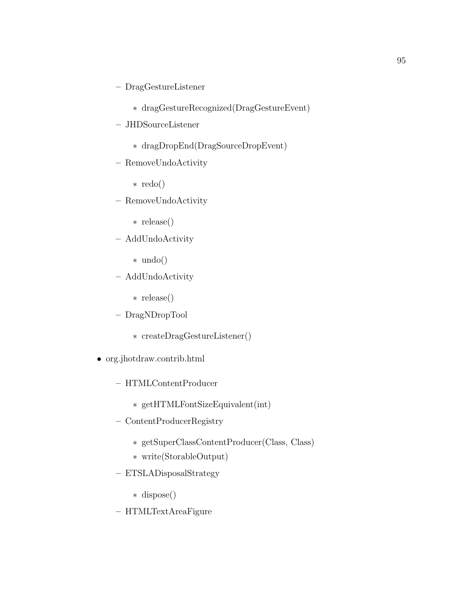- DragGestureListener
	- ∗ dragGestureRecognized(DragGestureEvent)
- JHDSourceListener
	- ∗ dragDropEnd(DragSourceDropEvent)
- RemoveUndoActivity
	- ∗ redo()
- RemoveUndoActivity
	- ∗ release()
- AddUndoActivity
	- ∗ undo()
- AddUndoActivity
	- ∗ release()
- DragNDropTool
	- ∗ createDragGestureListener()
- org.jhotdraw.contrib.html
	- HTMLContentProducer
		- ∗ getHTMLFontSizeEquivalent(int)
	- ContentProducerRegistry
		- ∗ getSuperClassContentProducer(Class, Class)
		- ∗ write(StorableOutput)
	- ETSLADisposalStrategy
		- ∗ dispose()
	- HTMLTextAreaFigure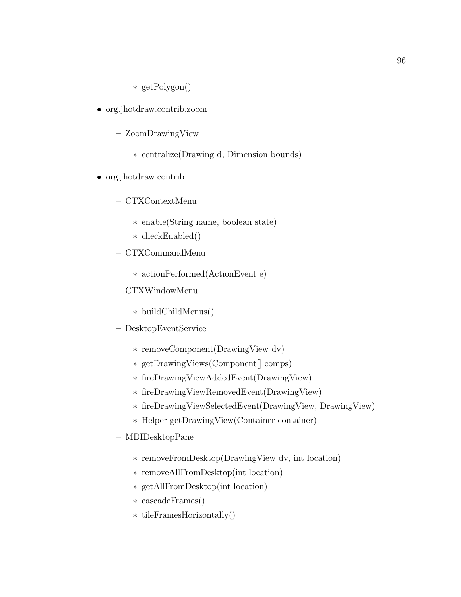- ∗ getPolygon()
- org.jhotdraw.contrib.zoom
	- ZoomDrawingView
		- ∗ centralize(Drawing d, Dimension bounds)
- org.jhotdraw.contrib
	- CTXContextMenu
		- ∗ enable(String name, boolean state)
		- ∗ checkEnabled()
	- CTXCommandMenu
		- ∗ actionPerformed(ActionEvent e)
	- CTXWindowMenu
		- ∗ buildChildMenus()
	- DesktopEventService
		- ∗ removeComponent(DrawingView dv)
		- ∗ getDrawingViews(Component[] comps)
		- ∗ fireDrawingViewAddedEvent(DrawingView)
		- ∗ fireDrawingViewRemovedEvent(DrawingView)
		- ∗ fireDrawingViewSelectedEvent(DrawingView, DrawingView)
		- ∗ Helper getDrawingView(Container container)
	- MDIDesktopPane
		- ∗ removeFromDesktop(DrawingView dv, int location)
		- ∗ removeAllFromDesktop(int location)
		- ∗ getAllFromDesktop(int location)
		- ∗ cascadeFrames()
		- ∗ tileFramesHorizontally()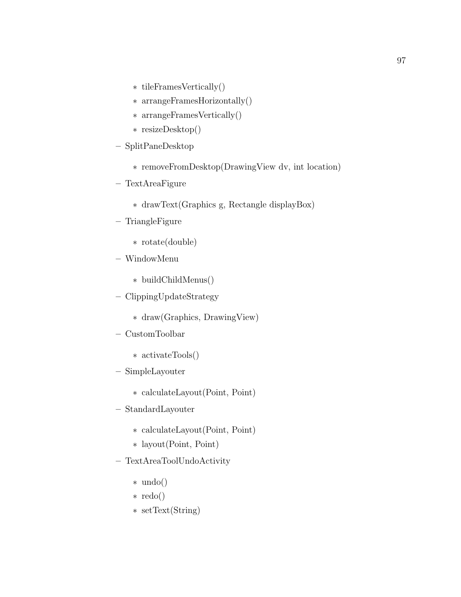- ∗ tileFramesVertically()
- ∗ arrangeFramesHorizontally()
- ∗ arrangeFramesVertically()
- ∗ resizeDesktop()
- SplitPaneDesktop
	- ∗ removeFromDesktop(DrawingView dv, int location)
- TextAreaFigure
	- ∗ drawText(Graphics g, Rectangle displayBox)
- TriangleFigure
	- ∗ rotate(double)
- WindowMenu

∗ buildChildMenus()

- ClippingUpdateStrategy
	- ∗ draw(Graphics, DrawingView)
- CustomToolbar
	- ∗ activateTools()
- SimpleLayouter
	- ∗ calculateLayout(Point, Point)
- StandardLayouter
	- ∗ calculateLayout(Point, Point)
	- ∗ layout(Point, Point)
- TextAreaToolUndoActivity
	- ∗ undo()
	- ∗ redo()
	- ∗ setText(String)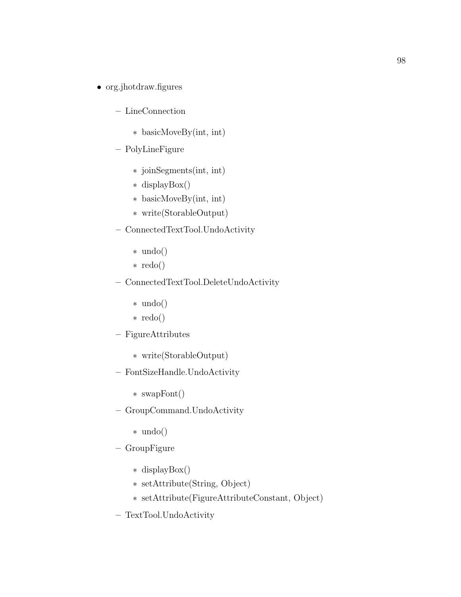- org.jhotdraw.figures
	- LineConnection
		- ∗ basicMoveBy(int, int)
	- PolyLineFigure
		- ∗ joinSegments(int, int)
		- ∗ displayBox()
		- ∗ basicMoveBy(int, int)
		- ∗ write(StorableOutput)
	- ConnectedTextTool.UndoActivity
		- ∗ undo()
		- ∗ redo()
	- ConnectedTextTool.DeleteUndoActivity
		- ∗ undo()
		- ∗ redo()
	- FigureAttributes
		- ∗ write(StorableOutput)
	- FontSizeHandle.UndoActivity
		- ∗ swapFont()
	- GroupCommand.UndoActivity
		- ∗ undo()
	- GroupFigure
		- ∗ displayBox()
		- ∗ setAttribute(String, Object)
		- ∗ setAttribute(FigureAttributeConstant, Object)
	- TextTool.UndoActivity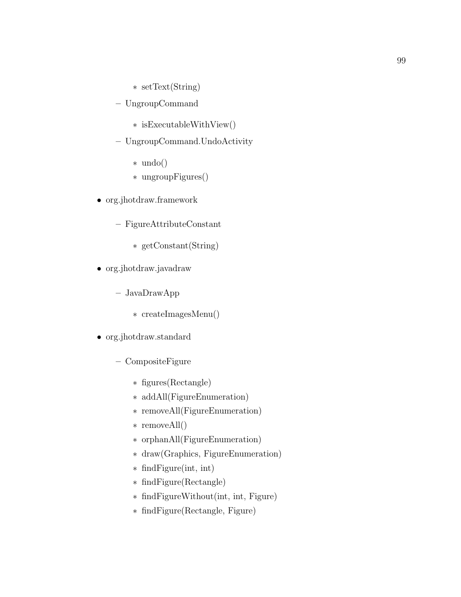- ∗ setText(String)
- UngroupCommand
	- ∗ isExecutableWithView()
- UngroupCommand.UndoActivity
	- ∗ undo()
	- ∗ ungroupFigures()
- org.jhotdraw.framework
	- FigureAttributeConstant
		- ∗ getConstant(String)
- org.jhotdraw.javadraw
	- JavaDrawApp
		- ∗ createImagesMenu()
- org.jhotdraw.standard
	- CompositeFigure
		- ∗ figures(Rectangle)
		- ∗ addAll(FigureEnumeration)
		- ∗ removeAll(FigureEnumeration)
		- ∗ removeAll()
		- ∗ orphanAll(FigureEnumeration)
		- ∗ draw(Graphics, FigureEnumeration)
		- ∗ findFigure(int, int)
		- ∗ findFigure(Rectangle)
		- ∗ findFigureWithout(int, int, Figure)
		- ∗ findFigure(Rectangle, Figure)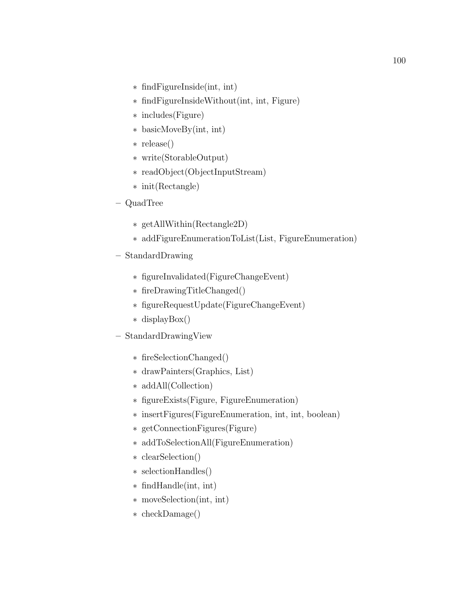- ∗ findFigureInside(int, int)
- ∗ findFigureInsideWithout(int, int, Figure)
- ∗ includes(Figure)
- ∗ basicMoveBy(int, int)
- ∗ release()
- ∗ write(StorableOutput)
- ∗ readObject(ObjectInputStream)
- ∗ init(Rectangle)
- QuadTree
	- ∗ getAllWithin(Rectangle2D)
	- ∗ addFigureEnumerationToList(List, FigureEnumeration)
- StandardDrawing
	- ∗ figureInvalidated(FigureChangeEvent)
	- ∗ fireDrawingTitleChanged()
	- ∗ figureRequestUpdate(FigureChangeEvent)
	- ∗ displayBox()
- StandardDrawingView
	- ∗ fireSelectionChanged()
	- ∗ drawPainters(Graphics, List)
	- ∗ addAll(Collection)
	- ∗ figureExists(Figure, FigureEnumeration)
	- ∗ insertFigures(FigureEnumeration, int, int, boolean)
	- ∗ getConnectionFigures(Figure)
	- ∗ addToSelectionAll(FigureEnumeration)
	- ∗ clearSelection()
	- ∗ selectionHandles()
	- ∗ findHandle(int, int)
	- ∗ moveSelection(int, int)
	- ∗ checkDamage()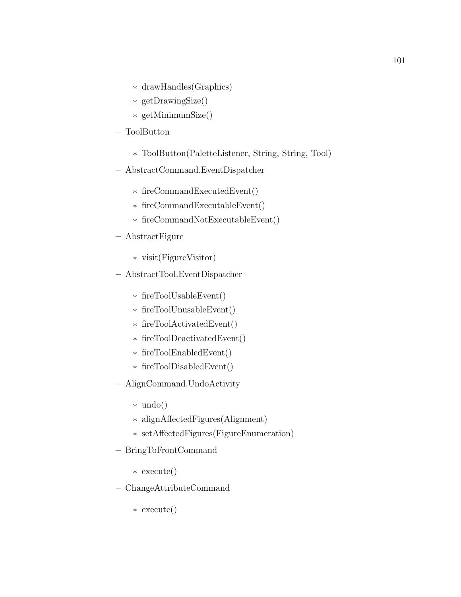- ∗ drawHandles(Graphics)
- ∗ getDrawingSize()
- ∗ getMinimumSize()
- ToolButton
	- ∗ ToolButton(PaletteListener, String, String, Tool)
- AbstractCommand.EventDispatcher
	- ∗ fireCommandExecutedEvent()
	- ∗ fireCommandExecutableEvent()
	- ∗ fireCommandNotExecutableEvent()
- AbstractFigure
	- ∗ visit(FigureVisitor)
- AbstractTool.EventDispatcher
	- ∗ fireToolUsableEvent()
	- ∗ fireToolUnusableEvent()
	- ∗ fireToolActivatedEvent()
	- ∗ fireToolDeactivatedEvent()
	- ∗ fireToolEnabledEvent()
	- ∗ fireToolDisabledEvent()
- AlignCommand.UndoActivity
	- ∗ undo()
	- ∗ alignAffectedFigures(Alignment)
	- ∗ setAffectedFigures(FigureEnumeration)
- BringToFrontCommand
	- ∗ execute()
- ChangeAttributeCommand
	- ∗ execute()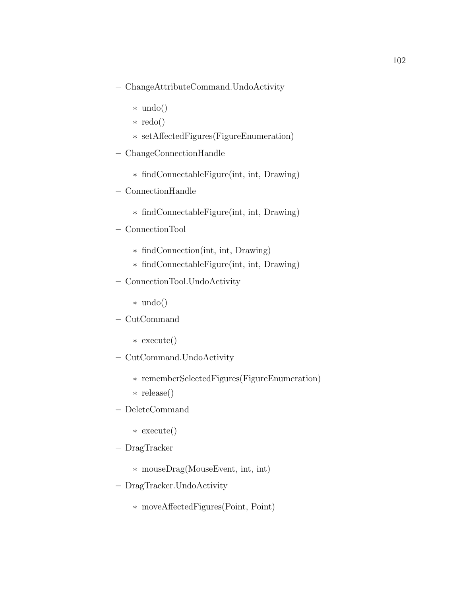- ChangeAttributeCommand.UndoActivity
	- ∗ undo()
	- ∗ redo()
	- ∗ setAffectedFigures(FigureEnumeration)
- ChangeConnectionHandle
	- ∗ findConnectableFigure(int, int, Drawing)
- ConnectionHandle
	- ∗ findConnectableFigure(int, int, Drawing)
- ConnectionTool
	- ∗ findConnection(int, int, Drawing)
	- ∗ findConnectableFigure(int, int, Drawing)
- ConnectionTool.UndoActivity
	- ∗ undo()
- CutCommand
	- ∗ execute()
- CutCommand.UndoActivity
	- ∗ rememberSelectedFigures(FigureEnumeration)
	- ∗ release()
- DeleteCommand
	- ∗ execute()
- DragTracker
	- ∗ mouseDrag(MouseEvent, int, int)
- DragTracker.UndoActivity
	- ∗ moveAffectedFigures(Point, Point)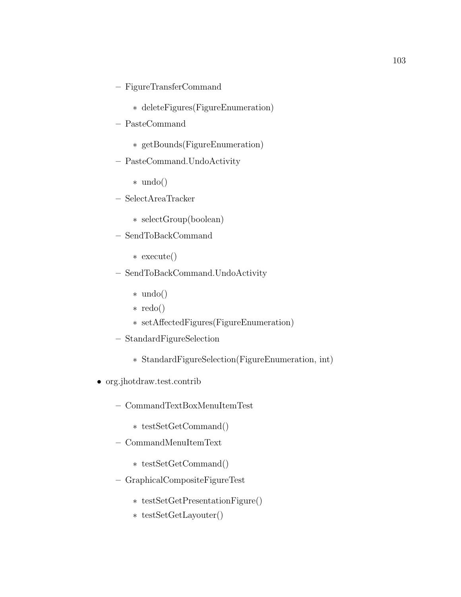- FigureTransferCommand
	- ∗ deleteFigures(FigureEnumeration)
- PasteCommand
	- ∗ getBounds(FigureEnumeration)
- PasteCommand.UndoActivity
	- ∗ undo()
- SelectAreaTracker
	- ∗ selectGroup(boolean)
- SendToBackCommand
	- ∗ execute()
- SendToBackCommand.UndoActivity
	- ∗ undo()
	- ∗ redo()
	- ∗ setAffectedFigures(FigureEnumeration)
- StandardFigureSelection
	- ∗ StandardFigureSelection(FigureEnumeration, int)
- org.jhotdraw.test.contrib
	- CommandTextBoxMenuItemTest
		- ∗ testSetGetCommand()
	- CommandMenuItemText
		- ∗ testSetGetCommand()
	- GraphicalCompositeFigureTest
		- ∗ testSetGetPresentationFigure()
		- ∗ testSetGetLayouter()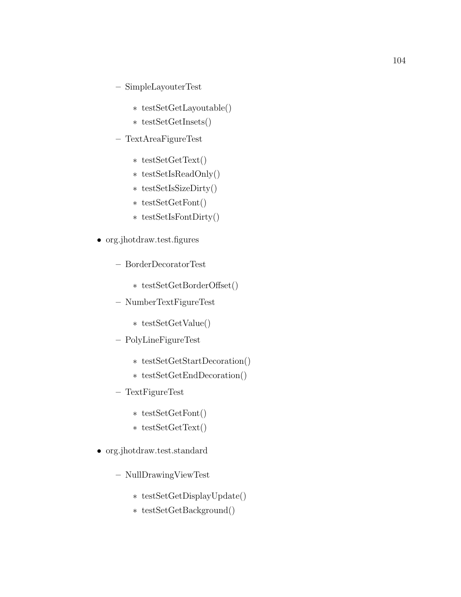- SimpleLayouterTest
	- ∗ testSetGetLayoutable()
	- ∗ testSetGetInsets()
- TextAreaFigureTest
	- ∗ testSetGetText()
	- ∗ testSetIsReadOnly()
	- ∗ testSetIsSizeDirty()
	- ∗ testSetGetFont()
	- ∗ testSetIsFontDirty()
- org.jhotdraw.test.figures
	- BorderDecoratorTest
		- ∗ testSetGetBorderOffset()
	- NumberTextFigureTest
		- ∗ testSetGetValue()
	- PolyLineFigureTest
		- ∗ testSetGetStartDecoration()
		- ∗ testSetGetEndDecoration()
	- TextFigureTest
		- ∗ testSetGetFont()
		- ∗ testSetGetText()
- org.jhotdraw.test.standard
	- NullDrawingViewTest
		- ∗ testSetGetDisplayUpdate()
		- ∗ testSetGetBackground()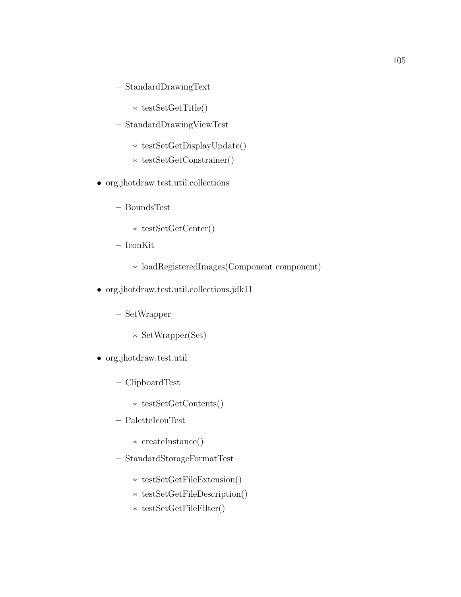- StandardDrawingText
	- ∗ testSetGetTitle()
- StandardDrawingViewTest
	- ∗ testSetGetDisplayUpdate()
	- ∗ testSetGetConstrainer()
- org.jhotdraw.test.util.collections
	- BoundsTest
		- ∗ testSetGetCenter()
	- IconKit
		- ∗ loadRegisteredImages(Component component)
- org.jhotdraw.test.util.collections.jdk11
	- SetWrapper
		- ∗ SetWrapper(Set)
- org.jhotdraw.test.util
	- ClipboardTest
		- ∗ testSetGetContents()
	- PaletteIconTest
		- ∗ createInstance()
	- StandardStorageFormatTest
		- ∗ testSetGetFileExtension()
		- ∗ testSetGetFileDescription()
		- ∗ testSetGetFileFilter()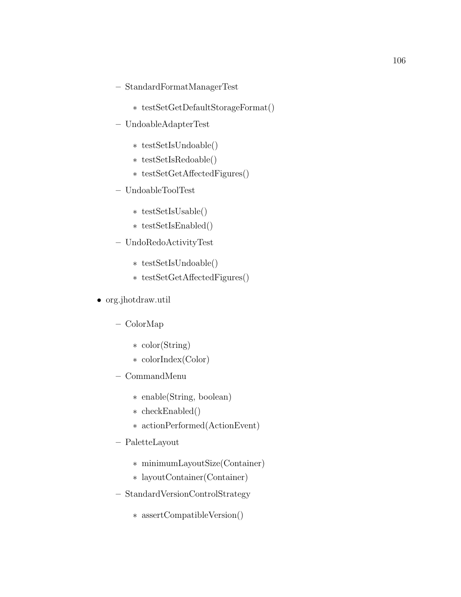- StandardFormatManagerTest
	- ∗ testSetGetDefaultStorageFormat()
- UndoableAdapterTest
	- ∗ testSetIsUndoable()
	- ∗ testSetIsRedoable()
	- ∗ testSetGetAffectedFigures()
- UndoableToolTest
	- ∗ testSetIsUsable()
	- ∗ testSetIsEnabled()
- UndoRedoActivityTest
	- ∗ testSetIsUndoable()
	- ∗ testSetGetAffectedFigures()
- org.jhotdraw.util
	- ColorMap
		- ∗ color(String)
		- ∗ colorIndex(Color)
	- CommandMenu
		- ∗ enable(String, boolean)
		- ∗ checkEnabled()
		- ∗ actionPerformed(ActionEvent)
	- PaletteLayout
		- ∗ minimumLayoutSize(Container)
		- ∗ layoutContainer(Container)
	- StandardVersionControlStrategy
		- ∗ assertCompatibleVersion()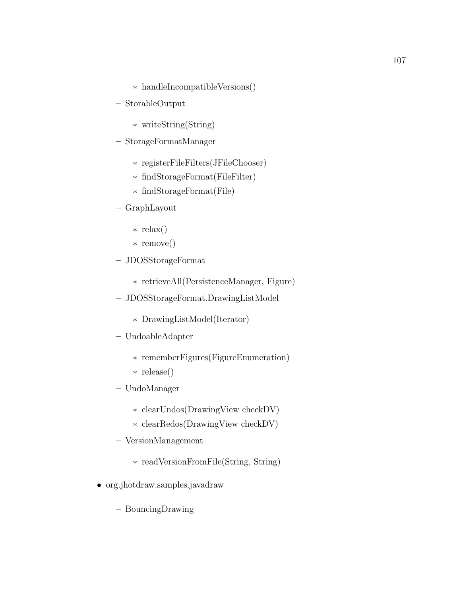- ∗ handleIncompatibleVersions()
- StorableOutput
	- ∗ writeString(String)
- StorageFormatManager
	- ∗ registerFileFilters(JFileChooser)
	- ∗ findStorageFormat(FileFilter)
	- ∗ findStorageFormat(File)
- GraphLayout
	- ∗ relax()
	- ∗ remove()
- JDOSStorageFormat
	- ∗ retrieveAll(PersistenceManager, Figure)
- JDOSStorageFormat.DrawingListModel
	- ∗ DrawingListModel(Iterator)
- UndoableAdapter
	- ∗ rememberFigures(FigureEnumeration)
	- ∗ release()
- UndoManager
	- ∗ clearUndos(DrawingView checkDV)
	- ∗ clearRedos(DrawingView checkDV)
- VersionManagement
	- ∗ readVersionFromFile(String, String)
- org.jhotdraw.samples.javadraw
	- BouncingDrawing